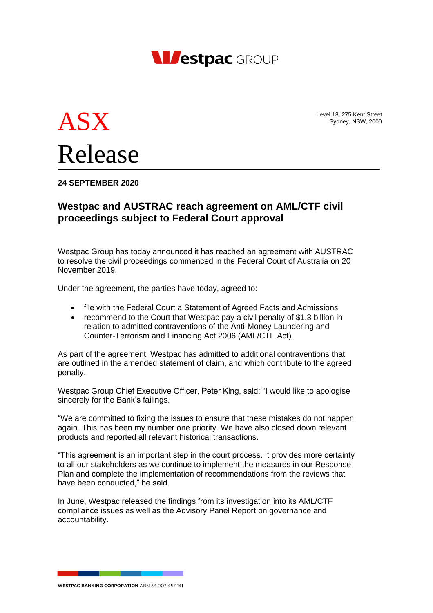

Level 18, 275 Kent Street Sydney, NSW, 2000



# **24 SEPTEMBER 2020**

# **Westpac and AUSTRAC reach agreement on AML/CTF civil proceedings subject to Federal Court approval**

Westpac Group has today announced it has reached an agreement with AUSTRAC to resolve the civil proceedings commenced in the Federal Court of Australia on 20 November 2019.

Under the agreement, the parties have today, agreed to:

- file with the Federal Court a Statement of Agreed Facts and Admissions
- recommend to the Court that Westpac pay a civil penalty of \$1.3 billion in relation to admitted contraventions of the Anti-Money Laundering and Counter-Terrorism and Financing Act 2006 (AML/CTF Act).

As part of the agreement, Westpac has admitted to additional contraventions that are outlined in the amended statement of claim, and which contribute to the agreed penalty.

Westpac Group Chief Executive Officer, Peter King, said: "I would like to apologise sincerely for the Bank's failings.

"We are committed to fixing the issues to ensure that these mistakes do not happen again. This has been my number one priority. We have also closed down relevant products and reported all relevant historical transactions.

"This agreement is an important step in the court process. It provides more certainty to all our stakeholders as we continue to implement the measures in our Response Plan and complete the implementation of recommendations from the reviews that have been conducted," he said.

In June, Westpac released the findings from its investigation into its AML/CTF compliance issues as well as the Advisory Panel Report on governance and accountability.

**WESTPAC BANKING CORPORATION ARN 33 007 457 141**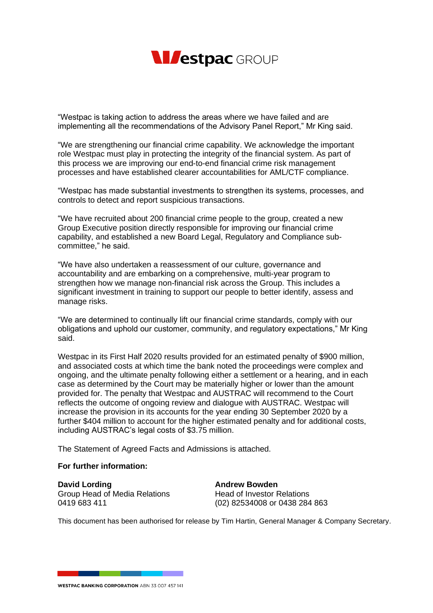

"Westpac is taking action to address the areas where we have failed and are implementing all the recommendations of the Advisory Panel Report," Mr King said.

"We are strengthening our financial crime capability. We acknowledge the important role Westpac must play in protecting the integrity of the financial system. As part of this process we are improving our end-to-end financial crime risk management processes and have established clearer accountabilities for AML/CTF compliance.

"Westpac has made substantial investments to strengthen its systems, processes, and controls to detect and report suspicious transactions.

"We have recruited about 200 financial crime people to the group, created a new Group Executive position directly responsible for improving our financial crime capability, and established a new Board Legal, Regulatory and Compliance subcommittee," he said.

"We have also undertaken a reassessment of our culture, governance and accountability and are embarking on a comprehensive, multi-year program to strengthen how we manage non-financial risk across the Group. This includes a significant investment in training to support our people to better identify, assess and manage risks.

"We are determined to continually lift our financial crime standards, comply with our obligations and uphold our customer, community, and regulatory expectations," Mr King said.

Westpac in its First Half 2020 results provided for an estimated penalty of \$900 million, and associated costs at which time the bank noted the proceedings were complex and ongoing, and the ultimate penalty following either a settlement or a hearing, and in each case as determined by the Court may be materially higher or lower than the amount provided for. The penalty that Westpac and AUSTRAC will recommend to the Court reflects the outcome of ongoing review and dialogue with AUSTRAC. Westpac will increase the provision in its accounts for the year ending 30 September 2020 by a further \$404 million to account for the higher estimated penalty and for additional costs, including AUSTRAC's legal costs of \$3.75 million.

The Statement of Agreed Facts and Admissions is attached.

# **For further information:**

**David Lording Andrew Bowden** Group Head of Media Relations **Head of Investor Relations** 0419 683 411 (02) 82534008 or 0438 284 863

This document has been authorised for release by Tim Hartin, General Manager & Company Secretary.

**WESTPAC BANKING CORPORATION ARN 33 007 457 141**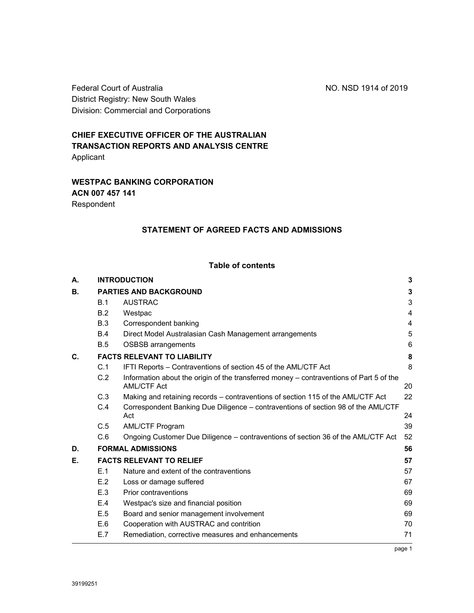Federal Court of Australia No. NSD 1914 of 2019 District Registry: New South Wales Division: Commercial and Corporations

# **CHIEF EXECUTIVE OFFICER OF THE AUSTRALIAN TRANSACTION REPORTS AND ANALYSIS CENTRE**  Applicant

# **WESTPAC BANKING CORPORATION ACN 007 457 141**  Respondent

# **STATEMENT OF AGREED FACTS AND ADMISSIONS**

# **Table of contents**

| А.             |                                    | <b>INTRODUCTION</b>                                                                                    |        |  |
|----------------|------------------------------------|--------------------------------------------------------------------------------------------------------|--------|--|
| В.             | <b>PARTIES AND BACKGROUND</b>      |                                                                                                        |        |  |
|                | <b>B.1</b>                         | <b>AUSTRAC</b>                                                                                         | 3      |  |
|                | B.2                                | Westpac                                                                                                | 4      |  |
|                | B.3                                | Correspondent banking                                                                                  | 4      |  |
|                | <b>B.4</b>                         | Direct Model Australasian Cash Management arrangements                                                 | 5      |  |
|                | <b>B.5</b>                         | <b>OSBSB</b> arrangements                                                                              | 6      |  |
| $\mathbf{C}$ . | <b>FACTS RELEVANT TO LIABILITY</b> |                                                                                                        |        |  |
|                | C.1                                | IFTI Reports - Contraventions of section 45 of the AML/CTF Act                                         | 8      |  |
|                | C.2                                | Information about the origin of the transferred money – contraventions of Part 5 of the<br>AML/CTF Act | 20     |  |
|                | C.3                                | Making and retaining records – contraventions of section 115 of the AML/CTF Act                        | 22     |  |
|                | C.4                                | Correspondent Banking Due Diligence - contraventions of section 98 of the AML/CTF<br>Act               | 24     |  |
|                | C.5                                | <b>AML/CTF Program</b>                                                                                 | 39     |  |
|                | C.6                                | Ongoing Customer Due Diligence – contraventions of section 36 of the AML/CTF Act                       | 52     |  |
| D.             |                                    | <b>FORMAL ADMISSIONS</b>                                                                               | 56     |  |
| Е.             | <b>FACTS RELEVANT TO RELIEF</b>    |                                                                                                        |        |  |
|                | E.1                                | Nature and extent of the contraventions                                                                | 57     |  |
|                | E.2                                | Loss or damage suffered                                                                                | 67     |  |
|                | E.3                                | Prior contraventions                                                                                   | 69     |  |
|                | E.4                                | Westpac's size and financial position                                                                  | 69     |  |
|                | E.5                                | Board and senior management involvement                                                                | 69     |  |
|                | E.6                                | Cooperation with AUSTRAC and contrition                                                                | 70     |  |
|                | E.7                                | Remediation, corrective measures and enhancements                                                      | 71     |  |
|                |                                    |                                                                                                        | page 1 |  |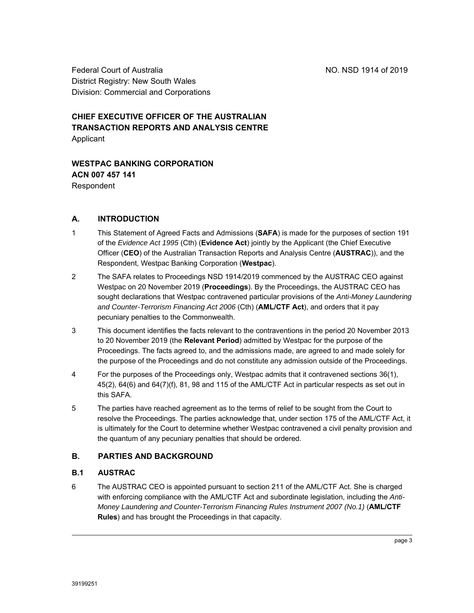Federal Court of Australia NO. NSD 1914 of 2019 District Registry: New South Wales Division: Commercial and Corporations

# **CHIEF EXECUTIVE OFFICER OF THE AUSTRALIAN TRANSACTION REPORTS AND ANALYSIS CENTRE**  Applicant

**WESTPAC BANKING CORPORATION ACN 007 457 141**  Respondent

# **A. INTRODUCTION**

- 1 This Statement of Agreed Facts and Admissions (**SAFA**) is made for the purposes of section 191 of the *Evidence Act 1995* (Cth) (**Evidence Act**) jointly by the Applicant (the Chief Executive Officer (**CEO**) of the Australian Transaction Reports and Analysis Centre (**AUSTRAC**)), and the Respondent, Westpac Banking Corporation (**Westpac**).
- 2 The SAFA relates to Proceedings NSD 1914/2019 commenced by the AUSTRAC CEO against Westpac on 20 November 2019 (**Proceedings**). By the Proceedings, the AUSTRAC CEO has sought declarations that Westpac contravened particular provisions of the *Anti-Money Laundering and Counter-Terrorism Financing Act 2006* (Cth) (**AML/CTF Act**), and orders that it pay pecuniary penalties to the Commonwealth.
- 3 This document identifies the facts relevant to the contraventions in the period 20 November 2013 to 20 November 2019 (the **Relevant Period**) admitted by Westpac for the purpose of the Proceedings. The facts agreed to, and the admissions made, are agreed to and made solely for the purpose of the Proceedings and do not constitute any admission outside of the Proceedings.
- 4 For the purposes of the Proceedings only, Westpac admits that it contravened sections 36(1), 45(2), 64(6) and 64(7)(f), 81, 98 and 115 of the AML/CTF Act in particular respects as set out in this SAFA.
- 5 The parties have reached agreement as to the terms of relief to be sought from the Court to resolve the Proceedings. The parties acknowledge that, under section 175 of the AML/CTF Act, it is ultimately for the Court to determine whether Westpac contravened a civil penalty provision and the quantum of any pecuniary penalties that should be ordered.

# **B. PARTIES AND BACKGROUND**

# **B.1 AUSTRAC**

6 The AUSTRAC CEO is appointed pursuant to section 211 of the AML/CTF Act. She is charged with enforcing compliance with the AML/CTF Act and subordinate legislation, including the *Anti-Money Laundering and Counter-Terrorism Financing Rules Instrument 2007 (No.1)* (**AML/CTF Rules**) and has brought the Proceedings in that capacity.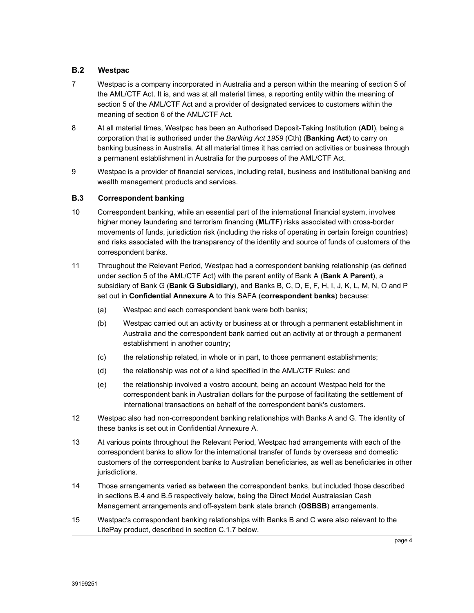## **B.2 Westpac**

- 7 Westpac is a company incorporated in Australia and a person within the meaning of section 5 of the AML/CTF Act. It is, and was at all material times, a reporting entity within the meaning of section 5 of the AML/CTF Act and a provider of designated services to customers within the meaning of section 6 of the AML/CTF Act.
- 8 At all material times, Westpac has been an Authorised Deposit-Taking Institution (**ADI**), being a corporation that is authorised under the *Banking Act 1959* (Cth) (**Banking Act**) to carry on banking business in Australia. At all material times it has carried on activities or business through a permanent establishment in Australia for the purposes of the AML/CTF Act.
- 9 Westpac is a provider of financial services, including retail, business and institutional banking and wealth management products and services.

### **B.3 Correspondent banking**

- 10 Correspondent banking, while an essential part of the international financial system, involves higher money laundering and terrorism financing (**ML/TF**) risks associated with cross-border movements of funds, jurisdiction risk (including the risks of operating in certain foreign countries) and risks associated with the transparency of the identity and source of funds of customers of the correspondent banks.
- 11 Throughout the Relevant Period, Westpac had a correspondent banking relationship (as defined under section 5 of the AML/CTF Act) with the parent entity of Bank A (**Bank A Parent**), a subsidiary of Bank G (**Bank G Subsidiary**), and Banks B, C, D, E, F, H, I, J, K, L, M, N, O and P set out in **Confidential Annexure A** to this SAFA (**correspondent banks**) because:
	- (a) Westpac and each correspondent bank were both banks;
	- (b) Westpac carried out an activity or business at or through a permanent establishment in Australia and the correspondent bank carried out an activity at or through a permanent establishment in another country;
	- (c) the relationship related, in whole or in part, to those permanent establishments;
	- (d) the relationship was not of a kind specified in the AML/CTF Rules: and
	- (e) the relationship involved a vostro account, being an account Westpac held for the correspondent bank in Australian dollars for the purpose of facilitating the settlement of international transactions on behalf of the correspondent bank's customers.
- 12 Westpac also had non-correspondent banking relationships with Banks A and G. The identity of these banks is set out in Confidential Annexure A.
- 13 At various points throughout the Relevant Period, Westpac had arrangements with each of the correspondent banks to allow for the international transfer of funds by overseas and domestic customers of the correspondent banks to Australian beneficiaries, as well as beneficiaries in other jurisdictions.
- 14 Those arrangements varied as between the correspondent banks, but included those described in sections B.4 and B.5 respectively below, being the Direct Model Australasian Cash Management arrangements and off-system bank state branch (**OSBSB**) arrangements.
- 15 Westpac's correspondent banking relationships with Banks B and C were also relevant to the LitePay product, described in section C.1.7 below.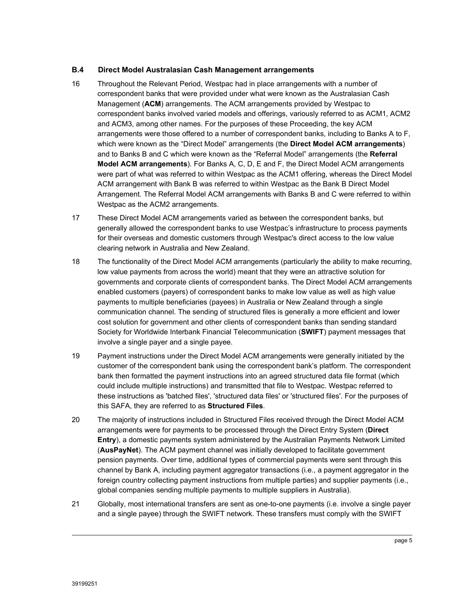### **B.4 Direct Model Australasian Cash Management arrangements**

- 16 Throughout the Relevant Period, Westpac had in place arrangements with a number of correspondent banks that were provided under what were known as the Australasian Cash Management (**ACM**) arrangements. The ACM arrangements provided by Westpac to correspondent banks involved varied models and offerings, variously referred to as ACM1, ACM2 and ACM3, among other names. For the purposes of these Proceeding, the key ACM arrangements were those offered to a number of correspondent banks, including to Banks A to F, which were known as the "Direct Model" arrangements (the **Direct Model ACM arrangements**) and to Banks B and C which were known as the "Referral Model" arrangements (the **Referral Model ACM arrangements**). For Banks A, C, D, E and F, the Direct Model ACM arrangements were part of what was referred to within Westpac as the ACM1 offering, whereas the Direct Model ACM arrangement with Bank B was referred to within Westpac as the Bank B Direct Model Arrangement. The Referral Model ACM arrangements with Banks B and C were referred to within Westpac as the ACM2 arrangements.
- 17 These Direct Model ACM arrangements varied as between the correspondent banks, but generally allowed the correspondent banks to use Westpac's infrastructure to process payments for their overseas and domestic customers through Westpac's direct access to the low value clearing network in Australia and New Zealand.
- 18 The functionality of the Direct Model ACM arrangements (particularly the ability to make recurring, low value payments from across the world) meant that they were an attractive solution for governments and corporate clients of correspondent banks. The Direct Model ACM arrangements enabled customers (payers) of correspondent banks to make low value as well as high value payments to multiple beneficiaries (payees) in Australia or New Zealand through a single communication channel. The sending of structured files is generally a more efficient and lower cost solution for government and other clients of correspondent banks than sending standard Society for Worldwide Interbank Financial Telecommunication (**SWIFT**) payment messages that involve a single payer and a single payee.
- 19 Payment instructions under the Direct Model ACM arrangements were generally initiated by the customer of the correspondent bank using the correspondent bank's platform. The correspondent bank then formatted the payment instructions into an agreed structured data file format (which could include multiple instructions) and transmitted that file to Westpac. Westpac referred to these instructions as 'batched files', 'structured data files' or 'structured files'. For the purposes of this SAFA, they are referred to as **Structured Files**.
- 20 The majority of instructions included in Structured Files received through the Direct Model ACM arrangements were for payments to be processed through the Direct Entry System (**Direct Entry**), a domestic payments system administered by the Australian Payments Network Limited (**AusPayNet**). The ACM payment channel was initially developed to facilitate government pension payments. Over time, additional types of commercial payments were sent through this channel by Bank A, including payment aggregator transactions (i.e., a payment aggregator in the foreign country collecting payment instructions from multiple parties) and supplier payments (i.e., global companies sending multiple payments to multiple suppliers in Australia).
- 21 Globally, most international transfers are sent as one-to-one payments (i.e. involve a single payer and a single payee) through the SWIFT network. These transfers must comply with the SWIFT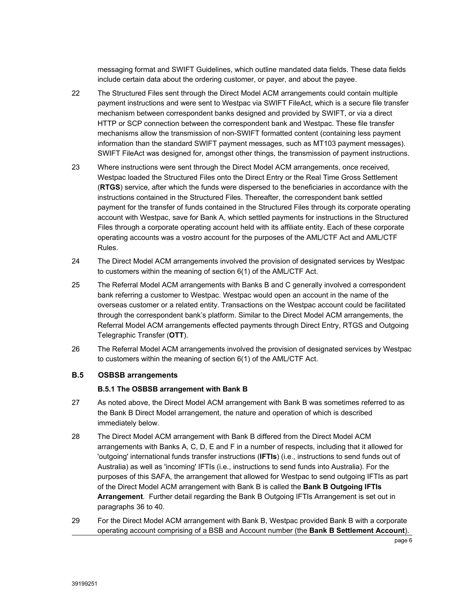messaging format and SWIFT Guidelines, which outline mandated data fields. These data fields include certain data about the ordering customer, or payer, and about the payee.

- 22 The Structured Files sent through the Direct Model ACM arrangements could contain multiple payment instructions and were sent to Westpac via SWIFT FileAct, which is a secure file transfer mechanism between correspondent banks designed and provided by SWIFT, or via a direct HTTP or SCP connection between the correspondent bank and Westpac. These file transfer mechanisms allow the transmission of non-SWIFT formatted content (containing less payment information than the standard SWIFT payment messages, such as MT103 payment messages). SWIFT FileAct was designed for, amongst other things, the transmission of payment instructions.
- 23 Where instructions were sent through the Direct Model ACM arrangements, once received, Westpac loaded the Structured Files onto the Direct Entry or the Real Time Gross Settlement (**RTGS**) service, after which the funds were dispersed to the beneficiaries in accordance with the instructions contained in the Structured Files. Thereafter, the correspondent bank settled payment for the transfer of funds contained in the Structured Files through its corporate operating account with Westpac, save for Bank A, which settled payments for instructions in the Structured Files through a corporate operating account held with its affiliate entity. Each of these corporate operating accounts was a vostro account for the purposes of the AML/CTF Act and AML/CTF Rules.
- 24 The Direct Model ACM arrangements involved the provision of designated services by Westpac to customers within the meaning of section 6(1) of the AML/CTF Act.
- 25 The Referral Model ACM arrangements with Banks B and C generally involved a correspondent bank referring a customer to Westpac. Westpac would open an account in the name of the overseas customer or a related entity. Transactions on the Westpac account could be facilitated through the correspondent bank's platform. Similar to the Direct Model ACM arrangements, the Referral Model ACM arrangements effected payments through Direct Entry, RTGS and Outgoing Telegraphic Transfer (**OTT**).
- 26 The Referral Model ACM arrangements involved the provision of designated services by Westpac to customers within the meaning of section 6(1) of the AML/CTF Act.

### **B.5 OSBSB arrangements**

### **B.5.1 The OSBSB arrangement with Bank B**

- 27 As noted above, the Direct Model ACM arrangement with Bank B was sometimes referred to as the Bank B Direct Model arrangement, the nature and operation of which is described immediately below.
- 28 The Direct Model ACM arrangement with Bank B differed from the Direct Model ACM arrangements with Banks A, C, D, E and F in a number of respects, including that it allowed for 'outgoing' international funds transfer instructions (**IFTIs**) (i.e., instructions to send funds out of Australia) as well as 'incoming' IFTIs (i.e., instructions to send funds into Australia). For the purposes of this SAFA, the arrangement that allowed for Westpac to send outgoing IFTIs as part of the Direct Model ACM arrangement with Bank B is called the **Bank B Outgoing IFTIs Arrangement**. Further detail regarding the Bank B Outgoing IFTIs Arrangement is set out in paragraphs 36 to 40.
- 29 For the Direct Model ACM arrangement with Bank B, Westpac provided Bank B with a corporate operating account comprising of a BSB and Account number (the **Bank B Settlement Account**).

page 6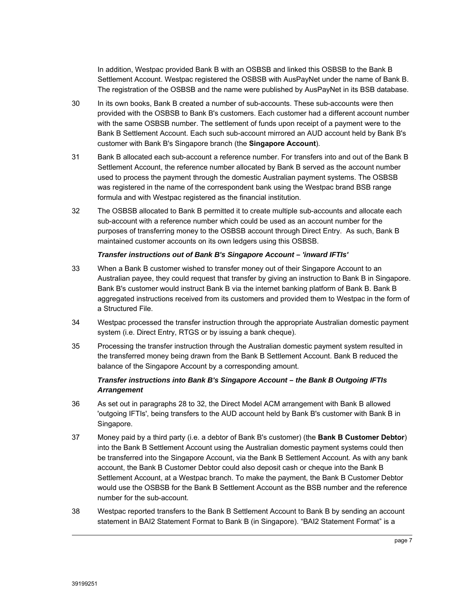In addition, Westpac provided Bank B with an OSBSB and linked this OSBSB to the Bank B Settlement Account. Westpac registered the OSBSB with AusPayNet under the name of Bank B. The registration of the OSBSB and the name were published by AusPayNet in its BSB database.

- 30 In its own books, Bank B created a number of sub-accounts. These sub-accounts were then provided with the OSBSB to Bank B's customers. Each customer had a different account number with the same OSBSB number. The settlement of funds upon receipt of a payment were to the Bank B Settlement Account. Each such sub-account mirrored an AUD account held by Bank B's customer with Bank B's Singapore branch (the **Singapore Account**).
- 31 Bank B allocated each sub-account a reference number. For transfers into and out of the Bank B Settlement Account, the reference number allocated by Bank B served as the account number used to process the payment through the domestic Australian payment systems. The OSBSB was registered in the name of the correspondent bank using the Westpac brand BSB range formula and with Westpac registered as the financial institution.
- 32 The OSBSB allocated to Bank B permitted it to create multiple sub-accounts and allocate each sub-account with a reference number which could be used as an account number for the purposes of transferring money to the OSBSB account through Direct Entry. As such, Bank B maintained customer accounts on its own ledgers using this OSBSB.

#### *Transfer instructions out of Bank B's Singapore Account – 'inward IFTIs'*

- 33 When a Bank B customer wished to transfer money out of their Singapore Account to an Australian payee, they could request that transfer by giving an instruction to Bank B in Singapore. Bank B's customer would instruct Bank B via the internet banking platform of Bank B. Bank B aggregated instructions received from its customers and provided them to Westpac in the form of a Structured File.
- 34 Westpac processed the transfer instruction through the appropriate Australian domestic payment system (i.e. Direct Entry, RTGS or by issuing a bank cheque).
- 35 Processing the transfer instruction through the Australian domestic payment system resulted in the transferred money being drawn from the Bank B Settlement Account. Bank B reduced the balance of the Singapore Account by a corresponding amount.

### *Transfer instructions into Bank B's Singapore Account – the Bank B Outgoing IFTIs Arrangement*

- 36 As set out in paragraphs 28 to 32, the Direct Model ACM arrangement with Bank B allowed 'outgoing IFTIs', being transfers to the AUD account held by Bank B's customer with Bank B in Singapore.
- 37 Money paid by a third party (i.e. a debtor of Bank B's customer) (the **Bank B Customer Debtor**) into the Bank B Settlement Account using the Australian domestic payment systems could then be transferred into the Singapore Account, via the Bank B Settlement Account. As with any bank account, the Bank B Customer Debtor could also deposit cash or cheque into the Bank B Settlement Account, at a Westpac branch. To make the payment, the Bank B Customer Debtor would use the OSBSB for the Bank B Settlement Account as the BSB number and the reference number for the sub-account.
- 38 Westpac reported transfers to the Bank B Settlement Account to Bank B by sending an account statement in BAI2 Statement Format to Bank B (in Singapore). "BAI2 Statement Format" is a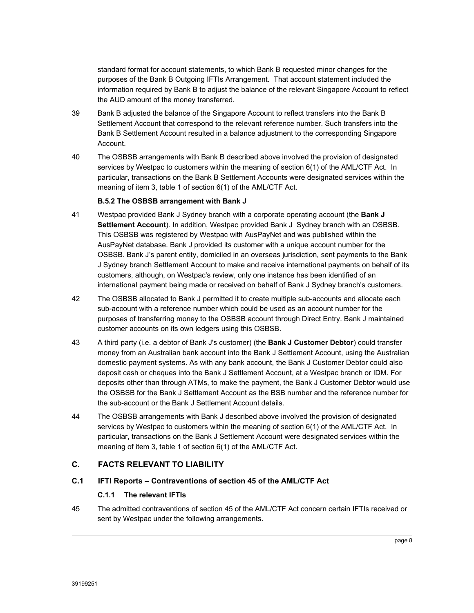standard format for account statements, to which Bank B requested minor changes for the purposes of the Bank B Outgoing IFTIs Arrangement. That account statement included the information required by Bank B to adjust the balance of the relevant Singapore Account to reflect the AUD amount of the money transferred.

- 39 Bank B adjusted the balance of the Singapore Account to reflect transfers into the Bank B Settlement Account that correspond to the relevant reference number. Such transfers into the Bank B Settlement Account resulted in a balance adjustment to the corresponding Singapore Account.
- 40 The OSBSB arrangements with Bank B described above involved the provision of designated services by Westpac to customers within the meaning of section 6(1) of the AML/CTF Act. In particular, transactions on the Bank B Settlement Accounts were designated services within the meaning of item 3, table 1 of section 6(1) of the AML/CTF Act.

#### **B.5.2 The OSBSB arrangement with Bank J**

- 41 Westpac provided Bank J Sydney branch with a corporate operating account (the **Bank J Settlement Account**). In addition, Westpac provided Bank J Sydney branch with an OSBSB. This OSBSB was registered by Westpac with AusPayNet and was published within the AusPayNet database. Bank J provided its customer with a unique account number for the OSBSB. Bank J's parent entity, domiciled in an overseas jurisdiction, sent payments to the Bank J Sydney branch Settlement Account to make and receive international payments on behalf of its customers, although, on Westpac's review, only one instance has been identified of an international payment being made or received on behalf of Bank J Sydney branch's customers.
- 42 The OSBSB allocated to Bank J permitted it to create multiple sub-accounts and allocate each sub-account with a reference number which could be used as an account number for the purposes of transferring money to the OSBSB account through Direct Entry. Bank J maintained customer accounts on its own ledgers using this OSBSB.
- 43 A third party (i.e. a debtor of Bank J's customer) (the **Bank J Customer Debtor**) could transfer money from an Australian bank account into the Bank J Settlement Account, using the Australian domestic payment systems. As with any bank account, the Bank J Customer Debtor could also deposit cash or cheques into the Bank J Settlement Account, at a Westpac branch or IDM. For deposits other than through ATMs, to make the payment, the Bank J Customer Debtor would use the OSBSB for the Bank J Settlement Account as the BSB number and the reference number for the sub-account or the Bank J Settlement Account details.
- 44 The OSBSB arrangements with Bank J described above involved the provision of designated services by Westpac to customers within the meaning of section 6(1) of the AML/CTF Act. In particular, transactions on the Bank J Settlement Account were designated services within the meaning of item 3, table 1 of section 6(1) of the AML/CTF Act.

# **C. FACTS RELEVANT TO LIABILITY**

### **C.1 IFTI Reports – Contraventions of section 45 of the AML/CTF Act**

### **C.1.1 The relevant IFTIs**

45 The admitted contraventions of section 45 of the AML/CTF Act concern certain IFTIs received or sent by Westpac under the following arrangements.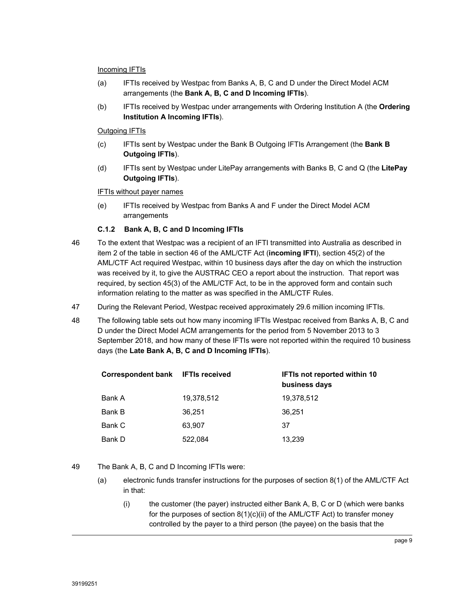#### Incoming IFTIs

- (a) IFTIs received by Westpac from Banks A, B, C and D under the Direct Model ACM arrangements (the **Bank A, B, C and D Incoming IFTIs**).
- (b) IFTIs received by Westpac under arrangements with Ordering Institution A (the **Ordering Institution A Incoming IFTIs**).

### **Outgoing IFTIs**

- (c) IFTIs sent by Westpac under the Bank B Outgoing IFTIs Arrangement (the **Bank B Outgoing IFTIs**).
- (d) IFTIs sent by Westpac under LitePay arrangements with Banks B, C and Q (the **LitePay Outgoing IFTIs**).

### IFTIs without payer names

(e) IFTIs received by Westpac from Banks A and F under the Direct Model ACM arrangements

### **C.1.2 Bank A, B, C and D Incoming IFTIs**

- 46 To the extent that Westpac was a recipient of an IFTI transmitted into Australia as described in item 2 of the table in section 46 of the AML/CTF Act (**incoming IFTI**), section 45(2) of the AML/CTF Act required Westpac, within 10 business days after the day on which the instruction was received by it, to give the AUSTRAC CEO a report about the instruction. That report was required, by section 45(3) of the AML/CTF Act, to be in the approved form and contain such information relating to the matter as was specified in the AML/CTF Rules.
- 47 During the Relevant Period, Westpac received approximately 29.6 million incoming IFTIs.
- 48 The following table sets out how many incoming IFTIs Westpac received from Banks A, B, C and D under the Direct Model ACM arrangements for the period from 5 November 2013 to 3 September 2018, and how many of these IFTIs were not reported within the required 10 business days (the **Late Bank A, B, C and D Incoming IFTIs**).

| Correspondent bank IFTIs received |            | <b>IFTIs not reported within 10</b><br>business days |
|-----------------------------------|------------|------------------------------------------------------|
| Bank A                            | 19,378,512 | 19,378,512                                           |
| Bank B                            | 36,251     | 36.251                                               |
| Bank C                            | 63.907     | 37                                                   |
| Bank D                            | 522,084    | 13.239                                               |

- 49 The Bank A, B, C and D Incoming IFTIs were:
	- (a) electronic funds transfer instructions for the purposes of section 8(1) of the AML/CTF Act in that:
		- (i) the customer (the payer) instructed either Bank A, B, C or D (which were banks for the purposes of section 8(1)(c)(ii) of the AML/CTF Act) to transfer money controlled by the payer to a third person (the payee) on the basis that the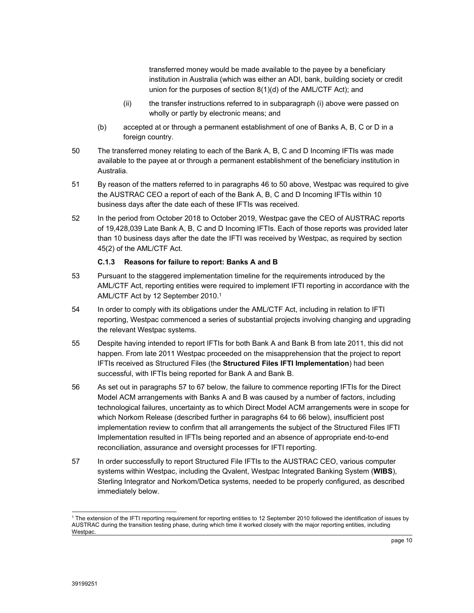transferred money would be made available to the payee by a beneficiary institution in Australia (which was either an ADI, bank, building society or credit union for the purposes of section 8(1)(d) of the AML/CTF Act); and

- (ii) the transfer instructions referred to in subparagraph (i) above were passed on wholly or partly by electronic means; and
- (b) accepted at or through a permanent establishment of one of Banks A, B, C or D in a foreign country.
- 50 The transferred money relating to each of the Bank A, B, C and D Incoming IFTIs was made available to the payee at or through a permanent establishment of the beneficiary institution in Australia.
- 51 By reason of the matters referred to in paragraphs 46 to 50 above, Westpac was required to give the AUSTRAC CEO a report of each of the Bank A, B, C and D Incoming IFTIs within 10 business days after the date each of these IFTIs was received.
- 52 In the period from October 2018 to October 2019, Westpac gave the CEO of AUSTRAC reports of 19,428,039 Late Bank A, B, C and D Incoming IFTIs. Each of those reports was provided later than 10 business days after the date the IFTI was received by Westpac, as required by section 45(2) of the AML/CTF Act.

### **C.1.3 Reasons for failure to report: Banks A and B**

- 53 Pursuant to the staggered implementation timeline for the requirements introduced by the AML/CTF Act, reporting entities were required to implement IFTI reporting in accordance with the AML/CTF Act by 12 September 2010.1
- 54 In order to comply with its obligations under the AML/CTF Act, including in relation to IFTI reporting, Westpac commenced a series of substantial projects involving changing and upgrading the relevant Westpac systems.
- 55 Despite having intended to report IFTIs for both Bank A and Bank B from late 2011, this did not happen. From late 2011 Westpac proceeded on the misapprehension that the project to report IFTIs received as Structured Files (the **Structured Files IFTI Implementation**) had been successful, with IFTIs being reported for Bank A and Bank B.
- 56 As set out in paragraphs 57 to 67 below, the failure to commence reporting IFTIs for the Direct Model ACM arrangements with Banks A and B was caused by a number of factors, including technological failures, uncertainty as to which Direct Model ACM arrangements were in scope for which Norkom Release (described further in paragraphs 64 to 66 below), insufficient post implementation review to confirm that all arrangements the subject of the Structured Files IFTI Implementation resulted in IFTIs being reported and an absence of appropriate end-to-end reconciliation, assurance and oversight processes for IFTI reporting.
- 57 In order successfully to report Structured File IFTIs to the AUSTRAC CEO, various computer systems within Westpac, including the Qvalent, Westpac Integrated Banking System (**WIBS**), Sterling Integrator and Norkom/Detica systems, needed to be properly configured, as described immediately below.

 $\overline{a}$ <sup>1</sup> The extension of the IFTI reporting requirement for reporting entities to 12 September 2010 followed the identification of issues by AUSTRAC during the transition testing phase, during which time it worked closely with the major reporting entities, including Westpac.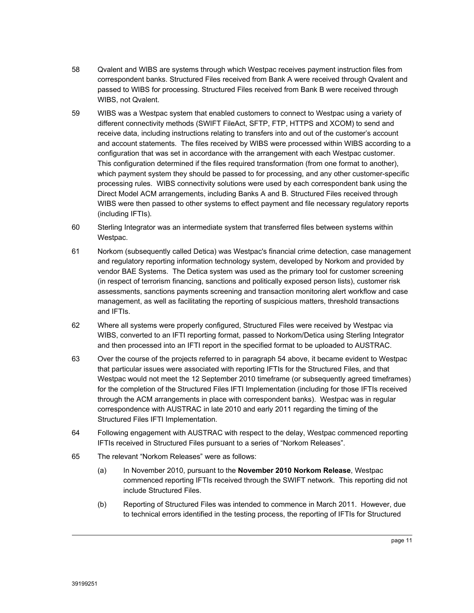- 58 Qvalent and WIBS are systems through which Westpac receives payment instruction files from correspondent banks. Structured Files received from Bank A were received through Qvalent and passed to WIBS for processing. Structured Files received from Bank B were received through WIBS, not Qvalent.
- 59 WIBS was a Westpac system that enabled customers to connect to Westpac using a variety of different connectivity methods (SWIFT FileAct, SFTP, FTP, HTTPS and XCOM) to send and receive data, including instructions relating to transfers into and out of the customer's account and account statements. The files received by WIBS were processed within WIBS according to a configuration that was set in accordance with the arrangement with each Westpac customer. This configuration determined if the files required transformation (from one format to another), which payment system they should be passed to for processing, and any other customer-specific processing rules. WIBS connectivity solutions were used by each correspondent bank using the Direct Model ACM arrangements, including Banks A and B. Structured Files received through WIBS were then passed to other systems to effect payment and file necessary regulatory reports (including IFTIs).
- 60 Sterling Integrator was an intermediate system that transferred files between systems within Westpac.
- 61 Norkom (subsequently called Detica) was Westpac's financial crime detection, case management and regulatory reporting information technology system, developed by Norkom and provided by vendor BAE Systems. The Detica system was used as the primary tool for customer screening (in respect of terrorism financing, sanctions and politically exposed person lists), customer risk assessments, sanctions payments screening and transaction monitoring alert workflow and case management, as well as facilitating the reporting of suspicious matters, threshold transactions and IFTIs.
- 62 Where all systems were properly configured, Structured Files were received by Westpac via WIBS, converted to an IFTI reporting format, passed to Norkom/Detica using Sterling Integrator and then processed into an IFTI report in the specified format to be uploaded to AUSTRAC.
- 63 Over the course of the projects referred to in paragraph 54 above, it became evident to Westpac that particular issues were associated with reporting IFTIs for the Structured Files, and that Westpac would not meet the 12 September 2010 timeframe (or subsequently agreed timeframes) for the completion of the Structured Files IFTI Implementation (including for those IFTIs received through the ACM arrangements in place with correspondent banks). Westpac was in regular correspondence with AUSTRAC in late 2010 and early 2011 regarding the timing of the Structured Files IFTI Implementation.
- 64 Following engagement with AUSTRAC with respect to the delay, Westpac commenced reporting IFTIs received in Structured Files pursuant to a series of "Norkom Releases".
- 65 The relevant "Norkom Releases" were as follows:
	- (a) In November 2010, pursuant to the **November 2010 Norkom Release**, Westpac commenced reporting IFTIs received through the SWIFT network. This reporting did not include Structured Files.
	- (b) Reporting of Structured Files was intended to commence in March 2011. However, due to technical errors identified in the testing process, the reporting of IFTIs for Structured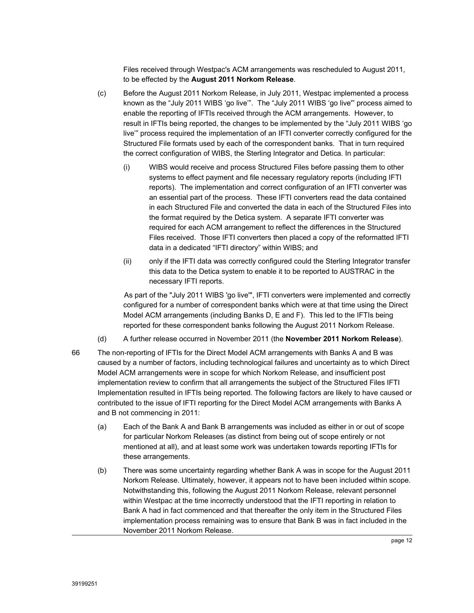Files received through Westpac's ACM arrangements was rescheduled to August 2011, to be effected by the **August 2011 Norkom Release**.

- (c) Before the August 2011 Norkom Release, in July 2011, Westpac implemented a process known as the "July 2011 WIBS 'go live'". The "July 2011 WIBS 'go live'" process aimed to enable the reporting of IFTIs received through the ACM arrangements. However, to result in IFTIs being reported, the changes to be implemented by the "July 2011 WIBS 'go live'" process required the implementation of an IFTI converter correctly configured for the Structured File formats used by each of the correspondent banks. That in turn required the correct configuration of WIBS, the Sterling Integrator and Detica. In particular:
	- (i) WIBS would receive and process Structured Files before passing them to other systems to effect payment and file necessary regulatory reports (including IFTI reports). The implementation and correct configuration of an IFTI converter was an essential part of the process. These IFTI converters read the data contained in each Structured File and converted the data in each of the Structured Files into the format required by the Detica system. A separate IFTI converter was required for each ACM arrangement to reflect the differences in the Structured Files received. Those IFTI converters then placed a copy of the reformatted IFTI data in a dedicated "IFTI directory" within WIBS; and
	- (ii) only if the IFTI data was correctly configured could the Sterling Integrator transfer this data to the Detica system to enable it to be reported to AUSTRAC in the necessary IFTI reports.

As part of the "July 2011 WIBS 'go live'", IFTI converters were implemented and correctly configured for a number of correspondent banks which were at that time using the Direct Model ACM arrangements (including Banks D, E and F). This led to the IFTIs being reported for these correspondent banks following the August 2011 Norkom Release.

- (d) A further release occurred in November 2011 (the **November 2011 Norkom Release**).
- 66 The non-reporting of IFTIs for the Direct Model ACM arrangements with Banks A and B was caused by a number of factors, including technological failures and uncertainty as to which Direct Model ACM arrangements were in scope for which Norkom Release, and insufficient post implementation review to confirm that all arrangements the subject of the Structured Files IFTI Implementation resulted in IFTIs being reported. The following factors are likely to have caused or contributed to the issue of IFTI reporting for the Direct Model ACM arrangements with Banks A and B not commencing in 2011:
	- (a) Each of the Bank A and Bank B arrangements was included as either in or out of scope for particular Norkom Releases (as distinct from being out of scope entirely or not mentioned at all), and at least some work was undertaken towards reporting IFTIs for these arrangements.
	- (b) There was some uncertainty regarding whether Bank A was in scope for the August 2011 Norkom Release. Ultimately, however, it appears not to have been included within scope. Notwithstanding this, following the August 2011 Norkom Release, relevant personnel within Westpac at the time incorrectly understood that the IFTI reporting in relation to Bank A had in fact commenced and that thereafter the only item in the Structured Files implementation process remaining was to ensure that Bank B was in fact included in the November 2011 Norkom Release.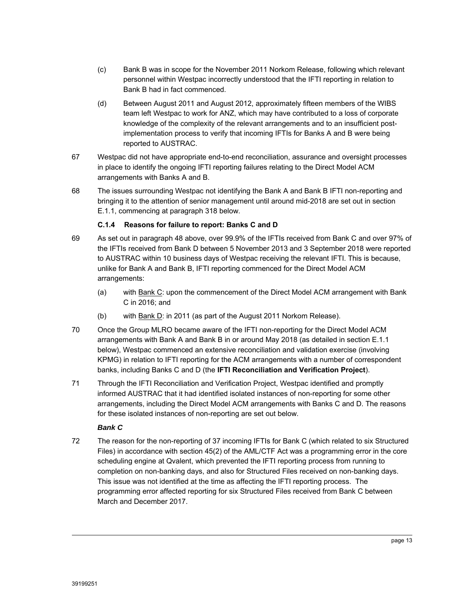- (c) Bank B was in scope for the November 2011 Norkom Release, following which relevant personnel within Westpac incorrectly understood that the IFTI reporting in relation to Bank B had in fact commenced.
- (d) Between August 2011 and August 2012, approximately fifteen members of the WIBS team left Westpac to work for ANZ, which may have contributed to a loss of corporate knowledge of the complexity of the relevant arrangements and to an insufficient postimplementation process to verify that incoming IFTIs for Banks A and B were being reported to AUSTRAC.
- 67 Westpac did not have appropriate end-to-end reconciliation, assurance and oversight processes in place to identify the ongoing IFTI reporting failures relating to the Direct Model ACM arrangements with Banks A and B.
- 68 The issues surrounding Westpac not identifying the Bank A and Bank B IFTI non-reporting and bringing it to the attention of senior management until around mid-2018 are set out in section E.1.1, commencing at paragraph 318 below.

### **C.1.4 Reasons for failure to report: Banks C and D**

- 69 As set out in paragraph 48 above, over 99.9% of the IFTIs received from Bank C and over 97% of the IFTIs received from Bank D between 5 November 2013 and 3 September 2018 were reported to AUSTRAC within 10 business days of Westpac receiving the relevant IFTI. This is because, unlike for Bank A and Bank B, IFTI reporting commenced for the Direct Model ACM arrangements:
	- (a) with Bank C: upon the commencement of the Direct Model ACM arrangement with Bank C in 2016; and
	- (b) with Bank D: in 2011 (as part of the August 2011 Norkom Release).
- 70 Once the Group MLRO became aware of the IFTI non-reporting for the Direct Model ACM arrangements with Bank A and Bank B in or around May 2018 (as detailed in section E.1.1 below), Westpac commenced an extensive reconciliation and validation exercise (involving KPMG) in relation to IFTI reporting for the ACM arrangements with a number of correspondent banks, including Banks C and D (the **IFTI Reconciliation and Verification Project**).
- 71 Through the IFTI Reconciliation and Verification Project, Westpac identified and promptly informed AUSTRAC that it had identified isolated instances of non-reporting for some other arrangements, including the Direct Model ACM arrangements with Banks C and D. The reasons for these isolated instances of non-reporting are set out below.

### *Bank C*

72 The reason for the non-reporting of 37 incoming IFTIs for Bank C (which related to six Structured Files) in accordance with section 45(2) of the AML/CTF Act was a programming error in the core scheduling engine at Qvalent, which prevented the IFTI reporting process from running to completion on non-banking days, and also for Structured Files received on non-banking days. This issue was not identified at the time as affecting the IFTI reporting process. The programming error affected reporting for six Structured Files received from Bank C between March and December 2017.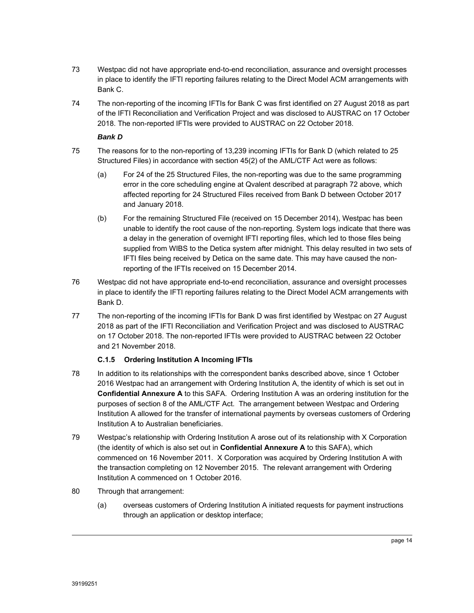- 73 Westpac did not have appropriate end-to-end reconciliation, assurance and oversight processes in place to identify the IFTI reporting failures relating to the Direct Model ACM arrangements with Bank C.
- 74 The non-reporting of the incoming IFTIs for Bank C was first identified on 27 August 2018 as part of the IFTI Reconciliation and Verification Project and was disclosed to AUSTRAC on 17 October 2018. The non-reported IFTIs were provided to AUSTRAC on 22 October 2018.

### *Bank D*

- 75 The reasons for to the non-reporting of 13,239 incoming IFTIs for Bank D (which related to 25 Structured Files) in accordance with section 45(2) of the AML/CTF Act were as follows:
	- (a) For 24 of the 25 Structured Files, the non-reporting was due to the same programming error in the core scheduling engine at Qvalent described at paragraph 72 above, which affected reporting for 24 Structured Files received from Bank D between October 2017 and January 2018.
	- (b) For the remaining Structured File (received on 15 December 2014), Westpac has been unable to identify the root cause of the non-reporting. System logs indicate that there was a delay in the generation of overnight IFTI reporting files, which led to those files being supplied from WIBS to the Detica system after midnight. This delay resulted in two sets of IFTI files being received by Detica on the same date. This may have caused the nonreporting of the IFTIs received on 15 December 2014.
- 76 Westpac did not have appropriate end-to-end reconciliation, assurance and oversight processes in place to identify the IFTI reporting failures relating to the Direct Model ACM arrangements with Bank D.
- 77 The non-reporting of the incoming IFTIs for Bank D was first identified by Westpac on 27 August 2018 as part of the IFTI Reconciliation and Verification Project and was disclosed to AUSTRAC on 17 October 2018. The non-reported IFTIs were provided to AUSTRAC between 22 October and 21 November 2018.

# **C.1.5 Ordering Institution A Incoming IFTIs**

- 78 In addition to its relationships with the correspondent banks described above, since 1 October 2016 Westpac had an arrangement with Ordering Institution A, the identity of which is set out in **Confidential Annexure A** to this SAFA. Ordering Institution A was an ordering institution for the purposes of section 8 of the AML/CTF Act. The arrangement between Westpac and Ordering Institution A allowed for the transfer of international payments by overseas customers of Ordering Institution A to Australian beneficiaries.
- 79 Westpac's relationship with Ordering Institution A arose out of its relationship with X Corporation (the identity of which is also set out in **Confidential Annexure A** to this SAFA), which commenced on 16 November 2011. X Corporation was acquired by Ordering Institution A with the transaction completing on 12 November 2015. The relevant arrangement with Ordering Institution A commenced on 1 October 2016.
- 80 Through that arrangement:
	- (a) overseas customers of Ordering Institution A initiated requests for payment instructions through an application or desktop interface;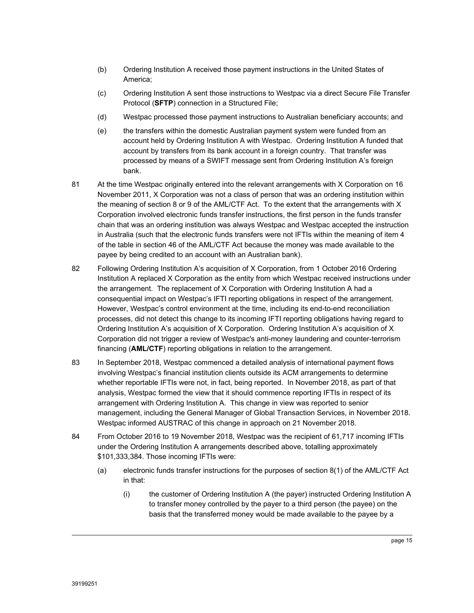- (b) Ordering Institution A received those payment instructions in the United States of America;
- (c) Ordering Institution A sent those instructions to Westpac via a direct Secure File Transfer Protocol (**SFTP**) connection in a Structured File;
- (d) Westpac processed those payment instructions to Australian beneficiary accounts; and
- (e) the transfers within the domestic Australian payment system were funded from an account held by Ordering Institution A with Westpac. Ordering Institution A funded that account by transfers from its bank account in a foreign country. That transfer was processed by means of a SWIFT message sent from Ordering Institution A's foreign bank.
- 81 At the time Westpac originally entered into the relevant arrangements with X Corporation on 16 November 2011, X Corporation was not a class of person that was an ordering institution within the meaning of section 8 or 9 of the AML/CTF Act. To the extent that the arrangements with X Corporation involved electronic funds transfer instructions, the first person in the funds transfer chain that was an ordering institution was always Westpac and Westpac accepted the instruction in Australia (such that the electronic funds transfers were not IFTIs within the meaning of item 4 of the table in section 46 of the AML/CTF Act because the money was made available to the payee by being credited to an account with an Australian bank).
- 82 Following Ordering Institution A's acquisition of X Corporation, from 1 October 2016 Ordering Institution A replaced X Corporation as the entity from which Westpac received instructions under the arrangement. The replacement of X Corporation with Ordering Institution A had a consequential impact on Westpac's IFTI reporting obligations in respect of the arrangement. However, Westpac's control environment at the time, including its end-to-end reconciliation processes, did not detect this change to its incoming IFTI reporting obligations having regard to Ordering Institution A's acquisition of X Corporation. Ordering Institution A's acquisition of X Corporation did not trigger a review of Westpac's anti-money laundering and counter-terrorism financing (**AML/CTF**) reporting obligations in relation to the arrangement.
- 83 In September 2018, Westpac commenced a detailed analysis of international payment flows involving Westpac's financial institution clients outside its ACM arrangements to determine whether reportable IFTIs were not, in fact, being reported. In November 2018, as part of that analysis, Westpac formed the view that it should commence reporting IFTIs in respect of its arrangement with Ordering Institution A. This change in view was reported to senior management, including the General Manager of Global Transaction Services, in November 2018. Westpac informed AUSTRAC of this change in approach on 21 November 2018.
- 84 From October 2016 to 19 November 2018, Westpac was the recipient of 61,717 incoming IFTIs under the Ordering Institution A arrangements described above, totalling approximately \$101,333,384. Those incoming IFTIs were:
	- (a) electronic funds transfer instructions for the purposes of section 8(1) of the AML/CTF Act in that:
		- (i) the customer of Ordering Institution A (the payer) instructed Ordering Institution A to transfer money controlled by the payer to a third person (the payee) on the basis that the transferred money would be made available to the payee by a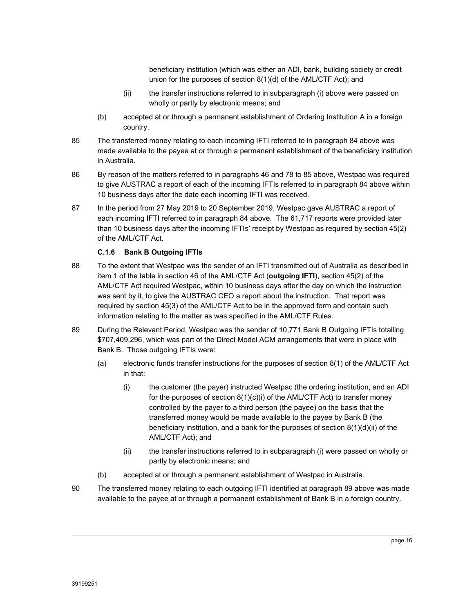beneficiary institution (which was either an ADI, bank, building society or credit union for the purposes of section 8(1)(d) of the AML/CTF Act); and

- (ii) the transfer instructions referred to in subparagraph (i) above were passed on wholly or partly by electronic means; and
- (b) accepted at or through a permanent establishment of Ordering Institution A in a foreign country.
- 85 The transferred money relating to each incoming IFTI referred to in paragraph 84 above was made available to the payee at or through a permanent establishment of the beneficiary institution in Australia.
- 86 By reason of the matters referred to in paragraphs 46 and 78 to 85 above, Westpac was required to give AUSTRAC a report of each of the incoming IFTIs referred to in paragraph 84 above within 10 business days after the date each incoming IFTI was received.
- 87 In the period from 27 May 2019 to 20 September 2019, Westpac gave AUSTRAC a report of each incoming IFTI referred to in paragraph 84 above. The 61,717 reports were provided later than 10 business days after the incoming IFTIs' receipt by Westpac as required by section 45(2) of the AML/CTF Act.

### **C.1.6 Bank B Outgoing IFTIs**

- 88 To the extent that Westpac was the sender of an IFTI transmitted out of Australia as described in item 1 of the table in section 46 of the AML/CTF Act (**outgoing IFTI**), section 45(2) of the AML/CTF Act required Westpac, within 10 business days after the day on which the instruction was sent by it, to give the AUSTRAC CEO a report about the instruction. That report was required by section 45(3) of the AML/CTF Act to be in the approved form and contain such information relating to the matter as was specified in the AML/CTF Rules.
- 89 During the Relevant Period, Westpac was the sender of 10,771 Bank B Outgoing IFTIs totalling \$707,409,296, which was part of the Direct Model ACM arrangements that were in place with Bank B. Those outgoing IFTIs were:
	- (a) electronic funds transfer instructions for the purposes of section 8(1) of the AML/CTF Act in that:
		- (i) the customer (the payer) instructed Westpac (the ordering institution, and an ADI for the purposes of section 8(1)(c)(i) of the AML/CTF Act) to transfer money controlled by the payer to a third person (the payee) on the basis that the transferred money would be made available to the payee by Bank B (the beneficiary institution, and a bank for the purposes of section  $8(1)(d)(ii)$  of the AML/CTF Act); and
		- (ii) the transfer instructions referred to in subparagraph (i) were passed on wholly or partly by electronic means; and
	- (b) accepted at or through a permanent establishment of Westpac in Australia.
- 90 The transferred money relating to each outgoing IFTI identified at paragraph 89 above was made available to the payee at or through a permanent establishment of Bank B in a foreign country.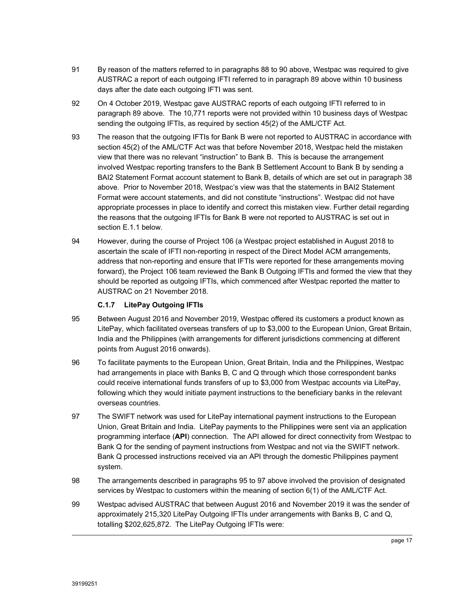- 91 By reason of the matters referred to in paragraphs 88 to 90 above, Westpac was required to give AUSTRAC a report of each outgoing IFTI referred to in paragraph 89 above within 10 business days after the date each outgoing IFTI was sent.
- 92 On 4 October 2019, Westpac gave AUSTRAC reports of each outgoing IFTI referred to in paragraph 89 above. The 10,771 reports were not provided within 10 business days of Westpac sending the outgoing IFTIs, as required by section 45(2) of the AML/CTF Act.
- 93 The reason that the outgoing IFTIs for Bank B were not reported to AUSTRAC in accordance with section 45(2) of the AML/CTF Act was that before November 2018, Westpac held the mistaken view that there was no relevant "instruction" to Bank B. This is because the arrangement involved Westpac reporting transfers to the Bank B Settlement Account to Bank B by sending a BAI2 Statement Format account statement to Bank B, details of which are set out in paragraph 38 above. Prior to November 2018, Westpac's view was that the statements in BAI2 Statement Format were account statements, and did not constitute "instructions". Westpac did not have appropriate processes in place to identify and correct this mistaken view. Further detail regarding the reasons that the outgoing IFTIs for Bank B were not reported to AUSTRAC is set out in section E.1.1 below.
- 94 However, during the course of Project 106 (a Westpac project established in August 2018 to ascertain the scale of IFTI non-reporting in respect of the Direct Model ACM arrangements, address that non-reporting and ensure that IFTIs were reported for these arrangements moving forward), the Project 106 team reviewed the Bank B Outgoing IFTIs and formed the view that they should be reported as outgoing IFTIs, which commenced after Westpac reported the matter to AUSTRAC on 21 November 2018.

### **C.1.7 LitePay Outgoing IFTIs**

- 95 Between August 2016 and November 2019, Westpac offered its customers a product known as LitePay, which facilitated overseas transfers of up to \$3,000 to the European Union, Great Britain, India and the Philippines (with arrangements for different jurisdictions commencing at different points from August 2016 onwards).
- 96 To facilitate payments to the European Union, Great Britain, India and the Philippines, Westpac had arrangements in place with Banks B, C and Q through which those correspondent banks could receive international funds transfers of up to \$3,000 from Westpac accounts via LitePay, following which they would initiate payment instructions to the beneficiary banks in the relevant overseas countries.
- 97 The SWIFT network was used for LitePay international payment instructions to the European Union, Great Britain and India. LitePay payments to the Philippines were sent via an application programming interface (**API**) connection. The API allowed for direct connectivity from Westpac to Bank Q for the sending of payment instructions from Westpac and not via the SWIFT network. Bank Q processed instructions received via an API through the domestic Philippines payment system.
- 98 The arrangements described in paragraphs 95 to 97 above involved the provision of designated services by Westpac to customers within the meaning of section 6(1) of the AML/CTF Act.
- 99 Westpac advised AUSTRAC that between August 2016 and November 2019 it was the sender of approximately 215,320 LitePay Outgoing IFTIs under arrangements with Banks B, C and Q, totalling \$202,625,872. The LitePay Outgoing IFTIs were: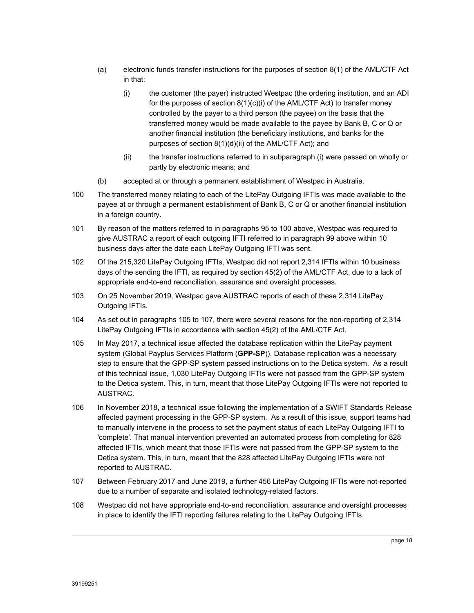- (a) electronic funds transfer instructions for the purposes of section 8(1) of the AML/CTF Act in that:
	- (i) the customer (the payer) instructed Westpac (the ordering institution, and an ADI for the purposes of section 8(1)(c)(i) of the AML/CTF Act) to transfer money controlled by the payer to a third person (the payee) on the basis that the transferred money would be made available to the payee by Bank B, C or Q or another financial institution (the beneficiary institutions, and banks for the purposes of section 8(1)(d)(ii) of the AML/CTF Act); and
	- (ii) the transfer instructions referred to in subparagraph (i) were passed on wholly or partly by electronic means; and
- (b) accepted at or through a permanent establishment of Westpac in Australia.
- 100 The transferred money relating to each of the LitePay Outgoing IFTIs was made available to the payee at or through a permanent establishment of Bank B, C or Q or another financial institution in a foreign country.
- 101 By reason of the matters referred to in paragraphs 95 to 100 above, Westpac was required to give AUSTRAC a report of each outgoing IFTI referred to in paragraph 99 above within 10 business days after the date each LitePay Outgoing IFTI was sent.
- 102 Of the 215,320 LitePay Outgoing IFTIs, Westpac did not report 2,314 IFTIs within 10 business days of the sending the IFTI, as required by section 45(2) of the AML/CTF Act, due to a lack of appropriate end-to-end reconciliation, assurance and oversight processes.
- 103 On 25 November 2019, Westpac gave AUSTRAC reports of each of these 2,314 LitePay Outgoing IFTIs.
- 104 As set out in paragraphs 105 to 107, there were several reasons for the non-reporting of 2,314 LitePay Outgoing IFTIs in accordance with section 45(2) of the AML/CTF Act.
- 105 In May 2017, a technical issue affected the database replication within the LitePay payment system (Global Payplus Services Platform (**GPP-SP**)). Database replication was a necessary step to ensure that the GPP-SP system passed instructions on to the Detica system. As a result of this technical issue, 1,030 LitePay Outgoing IFTIs were not passed from the GPP-SP system to the Detica system. This, in turn, meant that those LitePay Outgoing IFTIs were not reported to AUSTRAC.
- 106 In November 2018, a technical issue following the implementation of a SWIFT Standards Release affected payment processing in the GPP-SP system. As a result of this issue, support teams had to manually intervene in the process to set the payment status of each LitePay Outgoing IFTI to 'complete'. That manual intervention prevented an automated process from completing for 828 affected IFTIs, which meant that those IFTIs were not passed from the GPP-SP system to the Detica system. This, in turn, meant that the 828 affected LitePay Outgoing IFTIs were not reported to AUSTRAC.
- 107 Between February 2017 and June 2019, a further 456 LitePay Outgoing IFTIs were not-reported due to a number of separate and isolated technology-related factors.
- 108 Westpac did not have appropriate end-to-end reconciliation, assurance and oversight processes in place to identify the IFTI reporting failures relating to the LitePay Outgoing IFTIs.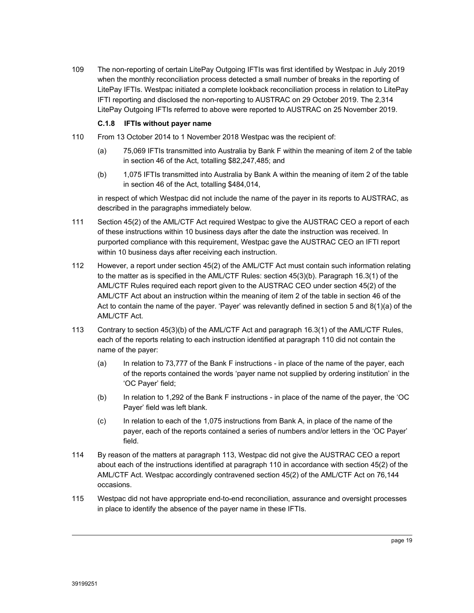109 The non-reporting of certain LitePay Outgoing IFTIs was first identified by Westpac in July 2019 when the monthly reconciliation process detected a small number of breaks in the reporting of LitePay IFTIs. Westpac initiated a complete lookback reconciliation process in relation to LitePay IFTI reporting and disclosed the non-reporting to AUSTRAC on 29 October 2019. The 2,314 LitePay Outgoing IFTIs referred to above were reported to AUSTRAC on 25 November 2019.

### **C.1.8 IFTIs without payer name**

- 110 From 13 October 2014 to 1 November 2018 Westpac was the recipient of:
	- (a) 75,069 IFTIs transmitted into Australia by Bank F within the meaning of item 2 of the table in section 46 of the Act, totalling \$82,247,485; and
	- (b) 1,075 IFTIs transmitted into Australia by Bank A within the meaning of item 2 of the table in section 46 of the Act, totalling \$484,014,

in respect of which Westpac did not include the name of the payer in its reports to AUSTRAC, as described in the paragraphs immediately below.

- 111 Section 45(2) of the AML/CTF Act required Westpac to give the AUSTRAC CEO a report of each of these instructions within 10 business days after the date the instruction was received. In purported compliance with this requirement, Westpac gave the AUSTRAC CEO an IFTI report within 10 business days after receiving each instruction.
- 112 However, a report under section 45(2) of the AML/CTF Act must contain such information relating to the matter as is specified in the AML/CTF Rules: section 45(3)(b). Paragraph 16.3(1) of the AML/CTF Rules required each report given to the AUSTRAC CEO under section 45(2) of the AML/CTF Act about an instruction within the meaning of item 2 of the table in section 46 of the Act to contain the name of the payer. 'Payer' was relevantly defined in section 5 and 8(1)(a) of the AML/CTF Act.
- 113 Contrary to section 45(3)(b) of the AML/CTF Act and paragraph 16.3(1) of the AML/CTF Rules, each of the reports relating to each instruction identified at paragraph 110 did not contain the name of the payer:
	- (a) In relation to 73,777 of the Bank F instructions in place of the name of the payer, each of the reports contained the words 'payer name not supplied by ordering institution' in the 'OC Payer' field;
	- (b) In relation to 1,292 of the Bank F instructions in place of the name of the payer, the 'OC Payer' field was left blank.
	- (c) In relation to each of the 1,075 instructions from Bank A, in place of the name of the payer, each of the reports contained a series of numbers and/or letters in the 'OC Payer' field.
- 114 By reason of the matters at paragraph 113, Westpac did not give the AUSTRAC CEO a report about each of the instructions identified at paragraph 110 in accordance with section 45(2) of the AML/CTF Act. Westpac accordingly contravened section 45(2) of the AML/CTF Act on 76,144 occasions.
- 115 Westpac did not have appropriate end-to-end reconciliation, assurance and oversight processes in place to identify the absence of the payer name in these IFTIs.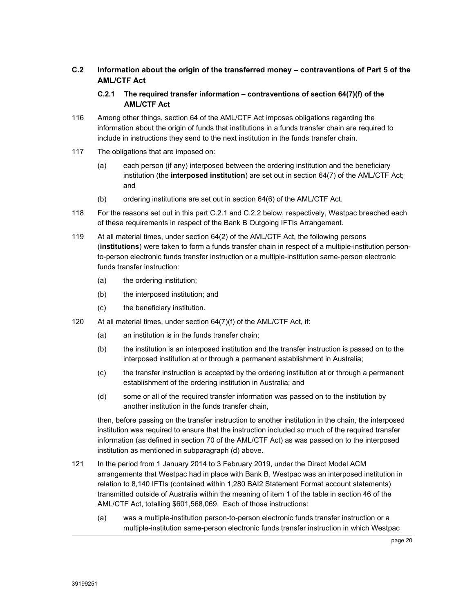# **C.2 Information about the origin of the transferred money – contraventions of Part 5 of the AML/CTF Act**

### **C.2.1 The required transfer information – contraventions of section 64(7)(f) of the AML/CTF Act**

- 116 Among other things, section 64 of the AML/CTF Act imposes obligations regarding the information about the origin of funds that institutions in a funds transfer chain are required to include in instructions they send to the next institution in the funds transfer chain.
- 117 The obligations that are imposed on:
	- (a) each person (if any) interposed between the ordering institution and the beneficiary institution (the **interposed institution**) are set out in section 64(7) of the AML/CTF Act; and
	- (b) ordering institutions are set out in section 64(6) of the AML/CTF Act.
- 118 For the reasons set out in this part C.2.1 and C.2.2 below, respectively, Westpac breached each of these requirements in respect of the Bank B Outgoing IFTIs Arrangement.
- 119 At all material times, under section 64(2) of the AML/CTF Act, the following persons (**institutions**) were taken to form a funds transfer chain in respect of a multiple-institution personto-person electronic funds transfer instruction or a multiple-institution same-person electronic funds transfer instruction:
	- (a) the ordering institution;
	- (b) the interposed institution; and
	- (c) the beneficiary institution.
- 120 At all material times, under section 64(7)(f) of the AML/CTF Act, if:
	- (a) an institution is in the funds transfer chain;
	- (b) the institution is an interposed institution and the transfer instruction is passed on to the interposed institution at or through a permanent establishment in Australia;
	- (c) the transfer instruction is accepted by the ordering institution at or through a permanent establishment of the ordering institution in Australia; and
	- (d) some or all of the required transfer information was passed on to the institution by another institution in the funds transfer chain,

then, before passing on the transfer instruction to another institution in the chain, the interposed institution was required to ensure that the instruction included so much of the required transfer information (as defined in section 70 of the AML/CTF Act) as was passed on to the interposed institution as mentioned in subparagraph (d) above.

- 121 In the period from 1 January 2014 to 3 February 2019, under the Direct Model ACM arrangements that Westpac had in place with Bank B, Westpac was an interposed institution in relation to 8,140 IFTIs (contained within 1,280 BAI2 Statement Format account statements) transmitted outside of Australia within the meaning of item 1 of the table in section 46 of the AML/CTF Act, totalling \$601,568,069. Each of those instructions:
	- (a) was a multiple-institution person-to-person electronic funds transfer instruction or a multiple-institution same-person electronic funds transfer instruction in which Westpac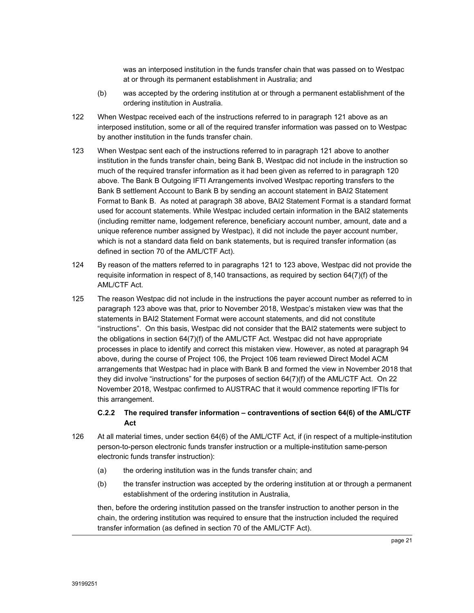was an interposed institution in the funds transfer chain that was passed on to Westpac at or through its permanent establishment in Australia; and

- (b) was accepted by the ordering institution at or through a permanent establishment of the ordering institution in Australia.
- 122 When Westpac received each of the instructions referred to in paragraph 121 above as an interposed institution, some or all of the required transfer information was passed on to Westpac by another institution in the funds transfer chain.
- 123 When Westpac sent each of the instructions referred to in paragraph 121 above to another institution in the funds transfer chain, being Bank B, Westpac did not include in the instruction so much of the required transfer information as it had been given as referred to in paragraph 120 above. The Bank B Outgoing IFTI Arrangements involved Westpac reporting transfers to the Bank B settlement Account to Bank B by sending an account statement in BAI2 Statement Format to Bank B. As noted at paragraph 38 above, BAI2 Statement Format is a standard format used for account statements. While Westpac included certain information in the BAI2 statements (including remitter name, lodgement reference, beneficiary account number, amount, date and a unique reference number assigned by Westpac), it did not include the payer account number, which is not a standard data field on bank statements, but is required transfer information (as defined in section 70 of the AML/CTF Act).
- 124 By reason of the matters referred to in paragraphs 121 to 123 above, Westpac did not provide the requisite information in respect of 8,140 transactions, as required by section 64(7)(f) of the AML/CTF Act.
- 125 The reason Westpac did not include in the instructions the payer account number as referred to in paragraph 123 above was that, prior to November 2018, Westpac's mistaken view was that the statements in BAI2 Statement Format were account statements, and did not constitute "instructions". On this basis, Westpac did not consider that the BAI2 statements were subject to the obligations in section 64(7)(f) of the AML/CTF Act. Westpac did not have appropriate processes in place to identify and correct this mistaken view. However, as noted at paragraph 94 above, during the course of Project 106, the Project 106 team reviewed Direct Model ACM arrangements that Westpac had in place with Bank B and formed the view in November 2018 that they did involve "instructions" for the purposes of section 64(7)(f) of the AML/CTF Act. On 22 November 2018, Westpac confirmed to AUSTRAC that it would commence reporting IFTIs for this arrangement.

### **C.2.2 The required transfer information – contraventions of section 64(6) of the AML/CTF Act**

- 126 At all material times, under section 64(6) of the AML/CTF Act, if (in respect of a multiple-institution person-to-person electronic funds transfer instruction or a multiple-institution same-person electronic funds transfer instruction):
	- (a) the ordering institution was in the funds transfer chain; and
	- (b) the transfer instruction was accepted by the ordering institution at or through a permanent establishment of the ordering institution in Australia,

then, before the ordering institution passed on the transfer instruction to another person in the chain, the ordering institution was required to ensure that the instruction included the required transfer information (as defined in section 70 of the AML/CTF Act).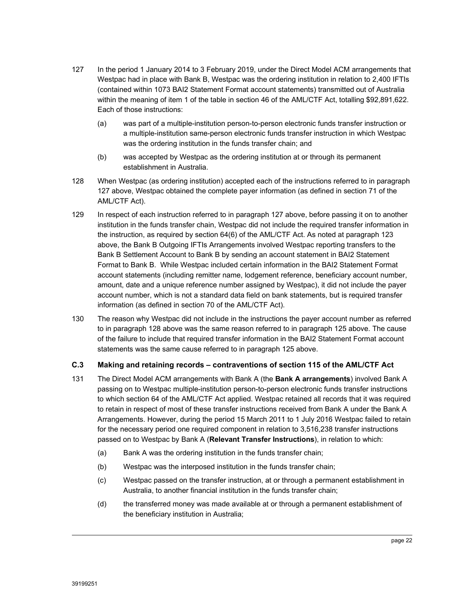- 127 In the period 1 January 2014 to 3 February 2019, under the Direct Model ACM arrangements that Westpac had in place with Bank B, Westpac was the ordering institution in relation to 2,400 IFTIs (contained within 1073 BAI2 Statement Format account statements) transmitted out of Australia within the meaning of item 1 of the table in section 46 of the AML/CTF Act, totalling \$92,891,622. Each of those instructions:
	- (a) was part of a multiple-institution person-to-person electronic funds transfer instruction or a multiple-institution same-person electronic funds transfer instruction in which Westpac was the ordering institution in the funds transfer chain; and
	- (b) was accepted by Westpac as the ordering institution at or through its permanent establishment in Australia.
- 128 When Westpac (as ordering institution) accepted each of the instructions referred to in paragraph 127 above, Westpac obtained the complete payer information (as defined in section 71 of the AML/CTF Act).
- 129 In respect of each instruction referred to in paragraph 127 above, before passing it on to another institution in the funds transfer chain, Westpac did not include the required transfer information in the instruction, as required by section 64(6) of the AML/CTF Act. As noted at paragraph 123 above, the Bank B Outgoing IFTIs Arrangements involved Westpac reporting transfers to the Bank B Settlement Account to Bank B by sending an account statement in BAI2 Statement Format to Bank B. While Westpac included certain information in the BAI2 Statement Format account statements (including remitter name, lodgement reference, beneficiary account number, amount, date and a unique reference number assigned by Westpac), it did not include the payer account number, which is not a standard data field on bank statements, but is required transfer information (as defined in section 70 of the AML/CTF Act).
- 130 The reason why Westpac did not include in the instructions the payer account number as referred to in paragraph 128 above was the same reason referred to in paragraph 125 above. The cause of the failure to include that required transfer information in the BAI2 Statement Format account statements was the same cause referred to in paragraph 125 above.

# **C.3 Making and retaining records – contraventions of section 115 of the AML/CTF Act**

- 131 The Direct Model ACM arrangements with Bank A (the **Bank A arrangements**) involved Bank A passing on to Westpac multiple-institution person-to-person electronic funds transfer instructions to which section 64 of the AML/CTF Act applied. Westpac retained all records that it was required to retain in respect of most of these transfer instructions received from Bank A under the Bank A Arrangements. However, during the period 15 March 2011 to 1 July 2016 Westpac failed to retain for the necessary period one required component in relation to 3,516,238 transfer instructions passed on to Westpac by Bank A (**Relevant Transfer Instructions**), in relation to which:
	- (a) Bank A was the ordering institution in the funds transfer chain;
	- (b) Westpac was the interposed institution in the funds transfer chain;
	- (c) Westpac passed on the transfer instruction, at or through a permanent establishment in Australia, to another financial institution in the funds transfer chain;
	- (d) the transferred money was made available at or through a permanent establishment of the beneficiary institution in Australia;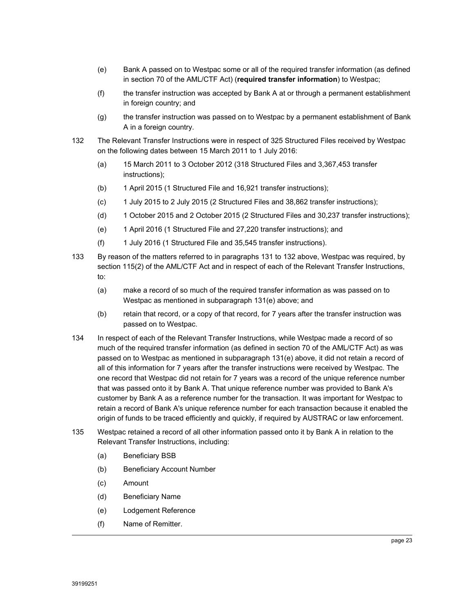- (e) Bank A passed on to Westpac some or all of the required transfer information (as defined in section 70 of the AML/CTF Act) (**required transfer information**) to Westpac;
- (f) the transfer instruction was accepted by Bank A at or through a permanent establishment in foreign country; and
- (g) the transfer instruction was passed on to Westpac by a permanent establishment of Bank A in a foreign country.
- 132 The Relevant Transfer Instructions were in respect of 325 Structured Files received by Westpac on the following dates between 15 March 2011 to 1 July 2016:
	- (a) 15 March 2011 to 3 October 2012 (318 Structured Files and 3,367,453 transfer instructions);
	- (b) 1 April 2015 (1 Structured File and 16,921 transfer instructions);
	- $(c)$  1 July 2015 to 2 July 2015 (2 Structured Files and 38,862 transfer instructions);
	- (d) 1 October 2015 and 2 October 2015 (2 Structured Files and 30,237 transfer instructions);
	- (e) 1 April 2016 (1 Structured File and 27,220 transfer instructions); and
	- (f) 1 July 2016 (1 Structured File and 35,545 transfer instructions).
- 133 By reason of the matters referred to in paragraphs 131 to 132 above, Westpac was required, by section 115(2) of the AML/CTF Act and in respect of each of the Relevant Transfer Instructions, to:
	- (a) make a record of so much of the required transfer information as was passed on to Westpac as mentioned in subparagraph 131(e) above; and
	- (b) retain that record, or a copy of that record, for 7 years after the transfer instruction was passed on to Westpac.
- 134 In respect of each of the Relevant Transfer Instructions, while Westpac made a record of so much of the required transfer information (as defined in section 70 of the AML/CTF Act) as was passed on to Westpac as mentioned in subparagraph 131(e) above, it did not retain a record of all of this information for 7 years after the transfer instructions were received by Westpac. The one record that Westpac did not retain for 7 years was a record of the unique reference number that was passed onto it by Bank A. That unique reference number was provided to Bank A's customer by Bank A as a reference number for the transaction. It was important for Westpac to retain a record of Bank A's unique reference number for each transaction because it enabled the origin of funds to be traced efficiently and quickly, if required by AUSTRAC or law enforcement.
- 135 Westpac retained a record of all other information passed onto it by Bank A in relation to the Relevant Transfer Instructions, including:
	- (a) Beneficiary BSB
	- (b) Beneficiary Account Number
	- (c) Amount
	- (d) Beneficiary Name
	- (e) Lodgement Reference
	- (f) Name of Remitter.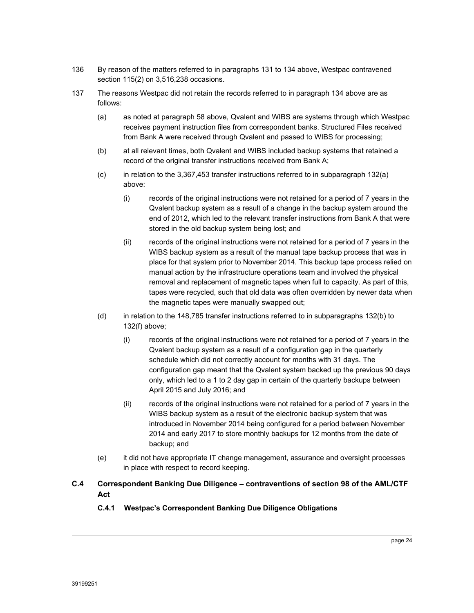- 136 By reason of the matters referred to in paragraphs 131 to 134 above, Westpac contravened section 115(2) on 3,516,238 occasions.
- 137 The reasons Westpac did not retain the records referred to in paragraph 134 above are as follows:
	- (a) as noted at paragraph 58 above, Qvalent and WIBS are systems through which Westpac receives payment instruction files from correspondent banks. Structured Files received from Bank A were received through Qvalent and passed to WIBS for processing;
	- (b) at all relevant times, both Qvalent and WIBS included backup systems that retained a record of the original transfer instructions received from Bank A;
	- (c) in relation to the 3,367,453 transfer instructions referred to in subparagraph 132(a) above:
		- (i) records of the original instructions were not retained for a period of 7 years in the Qvalent backup system as a result of a change in the backup system around the end of 2012, which led to the relevant transfer instructions from Bank A that were stored in the old backup system being lost; and
		- (ii) records of the original instructions were not retained for a period of 7 years in the WIBS backup system as a result of the manual tape backup process that was in place for that system prior to November 2014. This backup tape process relied on manual action by the infrastructure operations team and involved the physical removal and replacement of magnetic tapes when full to capacity. As part of this, tapes were recycled, such that old data was often overridden by newer data when the magnetic tapes were manually swapped out;
	- (d) in relation to the 148,785 transfer instructions referred to in subparagraphs 132(b) to 132(f) above;
		- (i) records of the original instructions were not retained for a period of 7 years in the Qvalent backup system as a result of a configuration gap in the quarterly schedule which did not correctly account for months with 31 days. The configuration gap meant that the Qvalent system backed up the previous 90 days only, which led to a 1 to 2 day gap in certain of the quarterly backups between April 2015 and July 2016; and
		- (ii) records of the original instructions were not retained for a period of 7 years in the WIBS backup system as a result of the electronic backup system that was introduced in November 2014 being configured for a period between November 2014 and early 2017 to store monthly backups for 12 months from the date of backup; and
	- (e) it did not have appropriate IT change management, assurance and oversight processes in place with respect to record keeping.

# **C.4 Correspondent Banking Due Diligence – contraventions of section 98 of the AML/CTF Act**

# **C.4.1 Westpac's Correspondent Banking Due Diligence Obligations**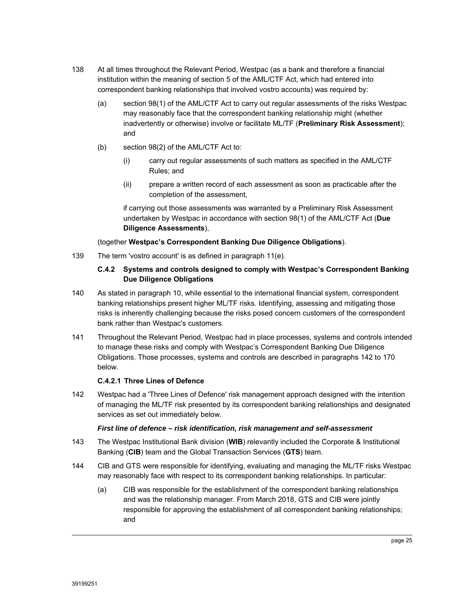- 138 At all times throughout the Relevant Period, Westpac (as a bank and therefore a financial institution within the meaning of section 5 of the AML/CTF Act, which had entered into correspondent banking relationships that involved vostro accounts) was required by:
	- (a) section 98(1) of the AML/CTF Act to carry out regular assessments of the risks Westpac may reasonably face that the correspondent banking relationship might (whether inadvertently or otherwise) involve or facilitate ML/TF (**Preliminary Risk Assessment**); and
	- (b) section 98(2) of the AML/CTF Act to:
		- (i) carry out regular assessments of such matters as specified in the AML/CTF Rules; and
		- (ii) prepare a written record of each assessment as soon as practicable after the completion of the assessment,

if carrying out those assessments was warranted by a Preliminary Risk Assessment undertaken by Westpac in accordance with section 98(1) of the AML/CTF Act (**Due Diligence Assessments**),

### (together **Westpac's Correspondent Banking Due Diligence Obligations**).

139 The term 'vostro account' is as defined in paragraph 11(e).

### **C.4.2 Systems and controls designed to comply with Westpac's Correspondent Banking Due Diligence Obligations**

- 140 As stated in paragraph 10, while essential to the international financial system, correspondent banking relationships present higher ML/TF risks. Identifying, assessing and mitigating those risks is inherently challenging because the risks posed concern customers of the correspondent bank rather than Westpac's customers.
- 141 Throughout the Relevant Period, Westpac had in place processes, systems and controls intended to manage these risks and comply with Westpac's Correspondent Banking Due Diligence Obligations. Those processes, systems and controls are described in paragraphs 142 to 170 below.

### **C.4.2.1 Three Lines of Defence**

142 Westpac had a 'Three Lines of Defence' risk management approach designed with the intention of managing the ML/TF risk presented by its correspondent banking relationships and designated services as set out immediately below.

#### *First line of defence – risk identification, risk management and self-assessment*

- 143 The Westpac Institutional Bank division (**WIB**) relevantly included the Corporate & Institutional Banking (**CIB**) team and the Global Transaction Services (**GTS**) team.
- 144 CIB and GTS were responsible for identifying, evaluating and managing the ML/TF risks Westpac may reasonably face with respect to its correspondent banking relationships. In particular:
	- (a) CIB was responsible for the establishment of the correspondent banking relationships and was the relationship manager. From March 2018, GTS and CIB were jointly responsible for approving the establishment of all correspondent banking relationships; and

page 25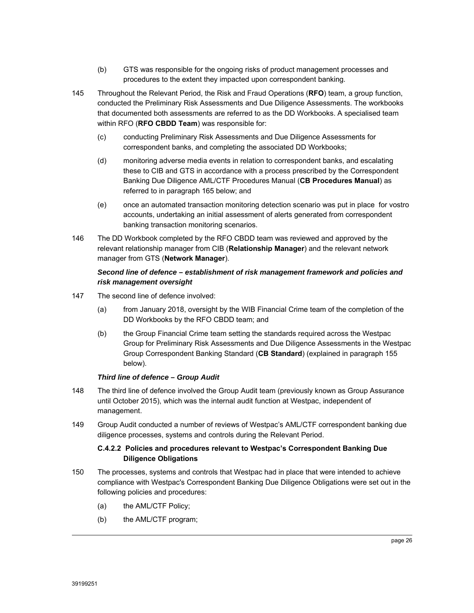- (b) GTS was responsible for the ongoing risks of product management processes and procedures to the extent they impacted upon correspondent banking.
- 145 Throughout the Relevant Period, the Risk and Fraud Operations (**RFO**) team, a group function, conducted the Preliminary Risk Assessments and Due Diligence Assessments. The workbooks that documented both assessments are referred to as the DD Workbooks. A specialised team within RFO (**RFO CBDD Team**) was responsible for:
	- (c) conducting Preliminary Risk Assessments and Due Diligence Assessments for correspondent banks, and completing the associated DD Workbooks;
	- (d) monitoring adverse media events in relation to correspondent banks, and escalating these to CIB and GTS in accordance with a process prescribed by the Correspondent Banking Due Diligence AML/CTF Procedures Manual (**CB Procedures Manual**) as referred to in paragraph 165 below; and
	- (e) once an automated transaction monitoring detection scenario was put in place for vostro accounts, undertaking an initial assessment of alerts generated from correspondent banking transaction monitoring scenarios.
- 146 The DD Workbook completed by the RFO CBDD team was reviewed and approved by the relevant relationship manager from CIB (**Relationship Manager**) and the relevant network manager from GTS (**Network Manager**).

# *Second line of defence – establishment of risk management framework and policies and risk management oversight*

- 147 The second line of defence involved:
	- (a) from January 2018, oversight by the WIB Financial Crime team of the completion of the DD Workbooks by the RFO CBDD team; and
	- (b) the Group Financial Crime team setting the standards required across the Westpac Group for Preliminary Risk Assessments and Due Diligence Assessments in the Westpac Group Correspondent Banking Standard (**CB Standard**) (explained in paragraph 155 below).

# *Third line of defence – Group Audit*

- 148 The third line of defence involved the Group Audit team (previously known as Group Assurance until October 2015), which was the internal audit function at Westpac, independent of management.
- 149 Group Audit conducted a number of reviews of Westpac's AML/CTF correspondent banking due diligence processes, systems and controls during the Relevant Period.

### **C.4.2.2 Policies and procedures relevant to Westpac's Correspondent Banking Due Diligence Obligations**

- 150 The processes, systems and controls that Westpac had in place that were intended to achieve compliance with Westpac's Correspondent Banking Due Diligence Obligations were set out in the following policies and procedures:
	- (a) the AML/CTF Policy;
	- (b) the AML/CTF program;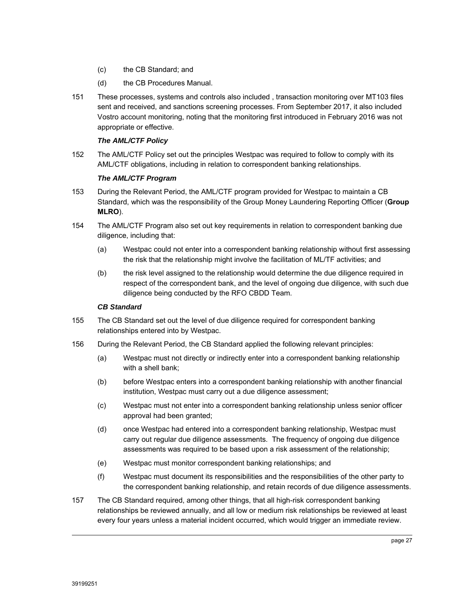- (c) the CB Standard; and
- (d) the CB Procedures Manual.
- 151 These processes, systems and controls also included , transaction monitoring over MT103 files sent and received, and sanctions screening processes. From September 2017, it also included Vostro account monitoring, noting that the monitoring first introduced in February 2016 was not appropriate or effective.

### *The AML/CTF Policy*

152 The AML/CTF Policy set out the principles Westpac was required to follow to comply with its AML/CTF obligations, including in relation to correspondent banking relationships.

### *The AML/CTF Program*

- 153 During the Relevant Period, the AML/CTF program provided for Westpac to maintain a CB Standard, which was the responsibility of the Group Money Laundering Reporting Officer (**Group MLRO**).
- 154 The AML/CTF Program also set out key requirements in relation to correspondent banking due diligence, including that:
	- (a) Westpac could not enter into a correspondent banking relationship without first assessing the risk that the relationship might involve the facilitation of ML/TF activities; and
	- (b) the risk level assigned to the relationship would determine the due diligence required in respect of the correspondent bank, and the level of ongoing due diligence, with such due diligence being conducted by the RFO CBDD Team.

### *CB Standard*

- 155 The CB Standard set out the level of due diligence required for correspondent banking relationships entered into by Westpac.
- 156 During the Relevant Period, the CB Standard applied the following relevant principles:
	- (a) Westpac must not directly or indirectly enter into a correspondent banking relationship with a shell bank;
	- (b) before Westpac enters into a correspondent banking relationship with another financial institution, Westpac must carry out a due diligence assessment;
	- (c) Westpac must not enter into a correspondent banking relationship unless senior officer approval had been granted;
	- (d) once Westpac had entered into a correspondent banking relationship, Westpac must carry out regular due diligence assessments. The frequency of ongoing due diligence assessments was required to be based upon a risk assessment of the relationship;
	- (e) Westpac must monitor correspondent banking relationships; and
	- (f) Westpac must document its responsibilities and the responsibilities of the other party to the correspondent banking relationship, and retain records of due diligence assessments.
- 157 The CB Standard required, among other things, that all high-risk correspondent banking relationships be reviewed annually, and all low or medium risk relationships be reviewed at least every four years unless a material incident occurred, which would trigger an immediate review.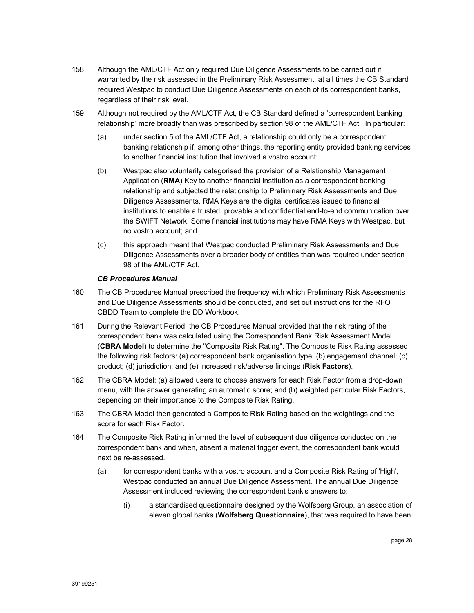- 158 Although the AML/CTF Act only required Due Diligence Assessments to be carried out if warranted by the risk assessed in the Preliminary Risk Assessment, at all times the CB Standard required Westpac to conduct Due Diligence Assessments on each of its correspondent banks, regardless of their risk level.
- 159 Although not required by the AML/CTF Act, the CB Standard defined a 'correspondent banking relationship' more broadly than was prescribed by section 98 of the AML/CTF Act. In particular:
	- (a) under section 5 of the AML/CTF Act, a relationship could only be a correspondent banking relationship if, among other things, the reporting entity provided banking services to another financial institution that involved a vostro account;
	- (b) Westpac also voluntarily categorised the provision of a Relationship Management Application (**RMA**) Key to another financial institution as a correspondent banking relationship and subjected the relationship to Preliminary Risk Assessments and Due Diligence Assessments. RMA Keys are the digital certificates issued to financial institutions to enable a trusted, provable and confidential end-to-end communication over the SWIFT Network. Some financial institutions may have RMA Keys with Westpac, but no vostro account; and
	- (c) this approach meant that Westpac conducted Preliminary Risk Assessments and Due Diligence Assessments over a broader body of entities than was required under section 98 of the AML/CTF Act.

### *CB Procedures Manual*

- 160 The CB Procedures Manual prescribed the frequency with which Preliminary Risk Assessments and Due Diligence Assessments should be conducted, and set out instructions for the RFO CBDD Team to complete the DD Workbook.
- 161 During the Relevant Period, the CB Procedures Manual provided that the risk rating of the correspondent bank was calculated using the Correspondent Bank Risk Assessment Model (**CBRA Model**) to determine the "Composite Risk Rating". The Composite Risk Rating assessed the following risk factors: (a) correspondent bank organisation type; (b) engagement channel; (c) product; (d) jurisdiction; and (e) increased risk/adverse findings (**Risk Factors**).
- 162 The CBRA Model: (a) allowed users to choose answers for each Risk Factor from a drop-down menu, with the answer generating an automatic score; and (b) weighted particular Risk Factors, depending on their importance to the Composite Risk Rating.
- 163 The CBRA Model then generated a Composite Risk Rating based on the weightings and the score for each Risk Factor.
- 164 The Composite Risk Rating informed the level of subsequent due diligence conducted on the correspondent bank and when, absent a material trigger event, the correspondent bank would next be re-assessed.
	- (a) for correspondent banks with a vostro account and a Composite Risk Rating of 'High', Westpac conducted an annual Due Diligence Assessment. The annual Due Diligence Assessment included reviewing the correspondent bank's answers to:
		- (i) a standardised questionnaire designed by the Wolfsberg Group, an association of eleven global banks (**Wolfsberg Questionnaire**), that was required to have been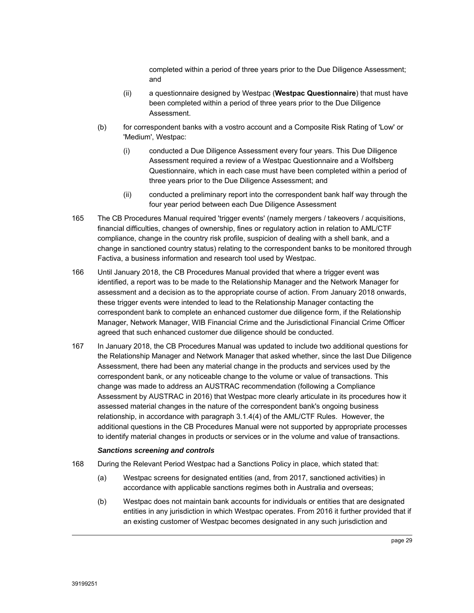completed within a period of three years prior to the Due Diligence Assessment; and

- (ii) a questionnaire designed by Westpac (**Westpac Questionnaire**) that must have been completed within a period of three years prior to the Due Diligence Assessment.
- (b) for correspondent banks with a vostro account and a Composite Risk Rating of 'Low' or 'Medium', Westpac:
	- (i) conducted a Due Diligence Assessment every four years. This Due Diligence Assessment required a review of a Westpac Questionnaire and a Wolfsberg Questionnaire, which in each case must have been completed within a period of three years prior to the Due Diligence Assessment; and
	- (ii) conducted a preliminary report into the correspondent bank half way through the four year period between each Due Diligence Assessment
- 165 The CB Procedures Manual required 'trigger events' (namely mergers / takeovers / acquisitions, financial difficulties, changes of ownership, fines or regulatory action in relation to AML/CTF compliance, change in the country risk profile, suspicion of dealing with a shell bank, and a change in sanctioned country status) relating to the correspondent banks to be monitored through Factiva, a business information and research tool used by Westpac.
- 166 Until January 2018, the CB Procedures Manual provided that where a trigger event was identified, a report was to be made to the Relationship Manager and the Network Manager for assessment and a decision as to the appropriate course of action. From January 2018 onwards, these trigger events were intended to lead to the Relationship Manager contacting the correspondent bank to complete an enhanced customer due diligence form, if the Relationship Manager, Network Manager, WIB Financial Crime and the Jurisdictional Financial Crime Officer agreed that such enhanced customer due diligence should be conducted.
- 167 In January 2018, the CB Procedures Manual was updated to include two additional questions for the Relationship Manager and Network Manager that asked whether, since the last Due Diligence Assessment, there had been any material change in the products and services used by the correspondent bank, or any noticeable change to the volume or value of transactions. This change was made to address an AUSTRAC recommendation (following a Compliance Assessment by AUSTRAC in 2016) that Westpac more clearly articulate in its procedures how it assessed material changes in the nature of the correspondent bank's ongoing business relationship, in accordance with paragraph 3.1.4(4) of the AML/CTF Rules. However, the additional questions in the CB Procedures Manual were not supported by appropriate processes to identify material changes in products or services or in the volume and value of transactions.

#### *Sanctions screening and controls*

- 168 During the Relevant Period Westpac had a Sanctions Policy in place, which stated that:
	- (a) Westpac screens for designated entities (and, from 2017, sanctioned activities) in accordance with applicable sanctions regimes both in Australia and overseas;
	- (b) Westpac does not maintain bank accounts for individuals or entities that are designated entities in any jurisdiction in which Westpac operates. From 2016 it further provided that if an existing customer of Westpac becomes designated in any such jurisdiction and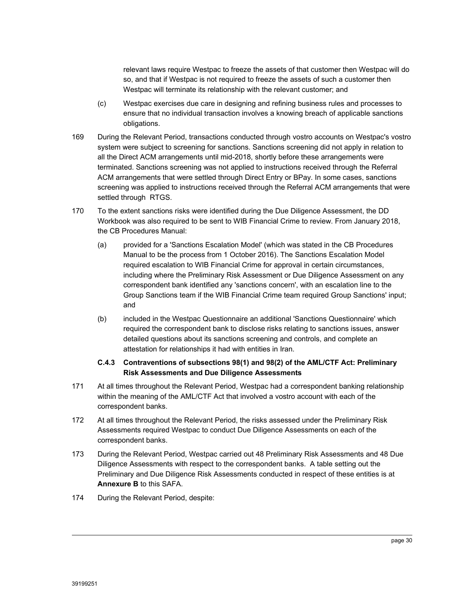relevant laws require Westpac to freeze the assets of that customer then Westpac will do so, and that if Westpac is not required to freeze the assets of such a customer then Westpac will terminate its relationship with the relevant customer; and

- (c) Westpac exercises due care in designing and refining business rules and processes to ensure that no individual transaction involves a knowing breach of applicable sanctions obligations.
- 169 During the Relevant Period, transactions conducted through vostro accounts on Westpac's vostro system were subject to screening for sanctions. Sanctions screening did not apply in relation to all the Direct ACM arrangements until mid-2018, shortly before these arrangements were terminated. Sanctions screening was not applied to instructions received through the Referral ACM arrangements that were settled through Direct Entry or BPay. In some cases, sanctions screening was applied to instructions received through the Referral ACM arrangements that were settled through RTGS.
- 170 To the extent sanctions risks were identified during the Due Diligence Assessment, the DD Workbook was also required to be sent to WIB Financial Crime to review. From January 2018, the CB Procedures Manual:
	- (a) provided for a 'Sanctions Escalation Model' (which was stated in the CB Procedures Manual to be the process from 1 October 2016). The Sanctions Escalation Model required escalation to WIB Financial Crime for approval in certain circumstances, including where the Preliminary Risk Assessment or Due Diligence Assessment on any correspondent bank identified any 'sanctions concern', with an escalation line to the Group Sanctions team if the WIB Financial Crime team required Group Sanctions' input; and
	- (b) included in the Westpac Questionnaire an additional 'Sanctions Questionnaire' which required the correspondent bank to disclose risks relating to sanctions issues, answer detailed questions about its sanctions screening and controls, and complete an attestation for relationships it had with entities in Iran.

### **C.4.3 Contraventions of subsections 98(1) and 98(2) of the AML/CTF Act: Preliminary Risk Assessments and Due Diligence Assessments**

- 171 At all times throughout the Relevant Period, Westpac had a correspondent banking relationship within the meaning of the AML/CTF Act that involved a vostro account with each of the correspondent banks.
- 172 At all times throughout the Relevant Period, the risks assessed under the Preliminary Risk Assessments required Westpac to conduct Due Diligence Assessments on each of the correspondent banks.
- 173 During the Relevant Period, Westpac carried out 48 Preliminary Risk Assessments and 48 Due Diligence Assessments with respect to the correspondent banks. A table setting out the Preliminary and Due Diligence Risk Assessments conducted in respect of these entities is at **Annexure B** to this SAFA.
- 174 During the Relevant Period, despite: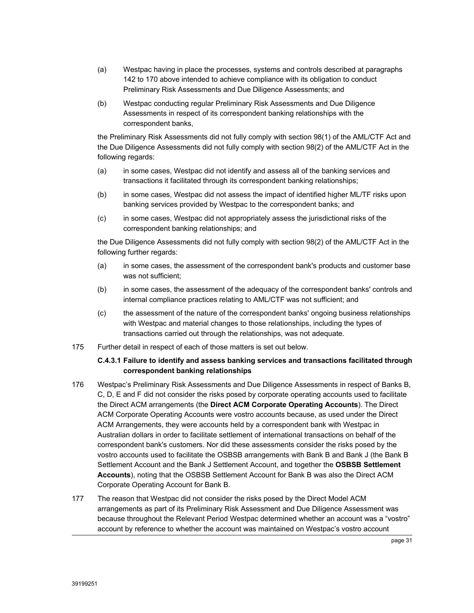- (a) Westpac having in place the processes, systems and controls described at paragraphs 142 to 170 above intended to achieve compliance with its obligation to conduct Preliminary Risk Assessments and Due Diligence Assessments; and
- (b) Westpac conducting regular Preliminary Risk Assessments and Due Diligence Assessments in respect of its correspondent banking relationships with the correspondent banks,

the Preliminary Risk Assessments did not fully comply with section 98(1) of the AML/CTF Act and the Due Diligence Assessments did not fully comply with section 98(2) of the AML/CTF Act in the following regards:

- (a) in some cases, Westpac did not identify and assess all of the banking services and transactions it facilitated through its correspondent banking relationships;
- (b) in some cases, Westpac did not assess the impact of identified higher ML/TF risks upon banking services provided by Westpac to the correspondent banks; and
- (c) in some cases, Westpac did not appropriately assess the jurisdictional risks of the correspondent banking relationships; and

the Due Diligence Assessments did not fully comply with section 98(2) of the AML/CTF Act in the following further regards:

- (a) in some cases, the assessment of the correspondent bank's products and customer base was not sufficient;
- (b) in some cases, the assessment of the adequacy of the correspondent banks' controls and internal compliance practices relating to AML/CTF was not sufficient; and
- (c) the assessment of the nature of the correspondent banks' ongoing business relationships with Westpac and material changes to those relationships, including the types of transactions carried out through the relationships, was not adequate.
- 175 Further detail in respect of each of those matters is set out below.

### **C.4.3.1 Failure to identify and assess banking services and transactions facilitated through correspondent banking relationships**

- 176 Westpac's Preliminary Risk Assessments and Due Diligence Assessments in respect of Banks B, C, D, E and F did not consider the risks posed by corporate operating accounts used to facilitate the Direct ACM arrangements (the **Direct ACM Corporate Operating Accounts**). The Direct ACM Corporate Operating Accounts were vostro accounts because, as used under the Direct ACM Arrangements, they were accounts held by a correspondent bank with Westpac in Australian dollars in order to facilitate settlement of international transactions on behalf of the correspondent bank's customers. Nor did these assessments consider the risks posed by the vostro accounts used to facilitate the OSBSB arrangements with Bank B and Bank J (the Bank B Settlement Account and the Bank J Settlement Account, and together the **OSBSB Settlement Accounts**), noting that the OSBSB Settlement Account for Bank B was also the Direct ACM Corporate Operating Account for Bank B.
- 177 The reason that Westpac did not consider the risks posed by the Direct Model ACM arrangements as part of its Preliminary Risk Assessment and Due Diligence Assessment was because throughout the Relevant Period Westpac determined whether an account was a "vostro" account by reference to whether the account was maintained on Westpac's vostro account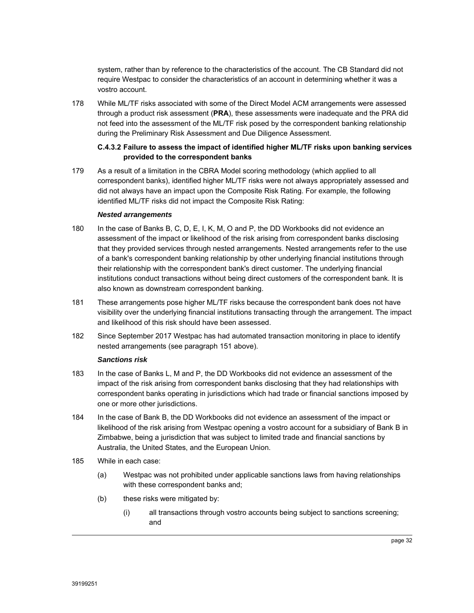system, rather than by reference to the characteristics of the account. The CB Standard did not require Westpac to consider the characteristics of an account in determining whether it was a vostro account.

178 While ML/TF risks associated with some of the Direct Model ACM arrangements were assessed through a product risk assessment (**PRA**), these assessments were inadequate and the PRA did not feed into the assessment of the ML/TF risk posed by the correspondent banking relationship during the Preliminary Risk Assessment and Due Diligence Assessment.

### **C.4.3.2 Failure to assess the impact of identified higher ML/TF risks upon banking services provided to the correspondent banks**

179 As a result of a limitation in the CBRA Model scoring methodology (which applied to all correspondent banks), identified higher ML/TF risks were not always appropriately assessed and did not always have an impact upon the Composite Risk Rating. For example, the following identified ML/TF risks did not impact the Composite Risk Rating:

#### *Nested arrangements*

- 180 In the case of Banks B, C, D, E, I, K, M, O and P, the DD Workbooks did not evidence an assessment of the impact or likelihood of the risk arising from correspondent banks disclosing that they provided services through nested arrangements. Nested arrangements refer to the use of a bank's correspondent banking relationship by other underlying financial institutions through their relationship with the correspondent bank's direct customer. The underlying financial institutions conduct transactions without being direct customers of the correspondent bank. It is also known as downstream correspondent banking.
- 181 These arrangements pose higher ML/TF risks because the correspondent bank does not have visibility over the underlying financial institutions transacting through the arrangement. The impact and likelihood of this risk should have been assessed.
- 182 Since September 2017 Westpac has had automated transaction monitoring in place to identify nested arrangements (see paragraph 151 above).

#### *Sanctions risk*

- 183 In the case of Banks L, M and P, the DD Workbooks did not evidence an assessment of the impact of the risk arising from correspondent banks disclosing that they had relationships with correspondent banks operating in jurisdictions which had trade or financial sanctions imposed by one or more other jurisdictions.
- 184 In the case of Bank B, the DD Workbooks did not evidence an assessment of the impact or likelihood of the risk arising from Westpac opening a vostro account for a subsidiary of Bank B in Zimbabwe, being a jurisdiction that was subject to limited trade and financial sanctions by Australia, the United States, and the European Union.
- 185 While in each case:
	- (a) Westpac was not prohibited under applicable sanctions laws from having relationships with these correspondent banks and;
	- (b) these risks were mitigated by:
		- (i) all transactions through vostro accounts being subject to sanctions screening; and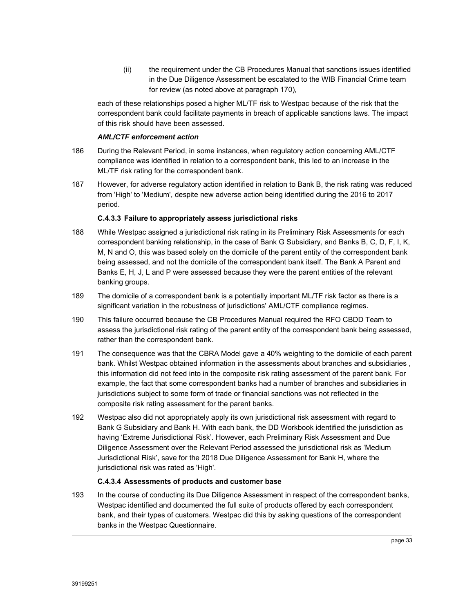(ii) the requirement under the CB Procedures Manual that sanctions issues identified in the Due Diligence Assessment be escalated to the WIB Financial Crime team for review (as noted above at paragraph 170),

each of these relationships posed a higher ML/TF risk to Westpac because of the risk that the correspondent bank could facilitate payments in breach of applicable sanctions laws. The impact of this risk should have been assessed.

#### *AML/CTF enforcement action*

- 186 During the Relevant Period, in some instances, when regulatory action concerning AML/CTF compliance was identified in relation to a correspondent bank, this led to an increase in the ML/TF risk rating for the correspondent bank.
- 187 However, for adverse regulatory action identified in relation to Bank B, the risk rating was reduced from 'High' to 'Medium', despite new adverse action being identified during the 2016 to 2017 period.

### **C.4.3.3 Failure to appropriately assess jurisdictional risks**

- 188 While Westpac assigned a jurisdictional risk rating in its Preliminary Risk Assessments for each correspondent banking relationship, in the case of Bank G Subsidiary, and Banks B, C, D, F, I, K, M, N and O, this was based solely on the domicile of the parent entity of the correspondent bank being assessed, and not the domicile of the correspondent bank itself. The Bank A Parent and Banks E, H, J, L and P were assessed because they were the parent entities of the relevant banking groups.
- 189 The domicile of a correspondent bank is a potentially important ML/TF risk factor as there is a significant variation in the robustness of jurisdictions' AML/CTF compliance regimes.
- 190 This failure occurred because the CB Procedures Manual required the RFO CBDD Team to assess the jurisdictional risk rating of the parent entity of the correspondent bank being assessed, rather than the correspondent bank.
- 191 The consequence was that the CBRA Model gave a 40% weighting to the domicile of each parent bank. Whilst Westpac obtained information in the assessments about branches and subsidiaries , this information did not feed into in the composite risk rating assessment of the parent bank. For example, the fact that some correspondent banks had a number of branches and subsidiaries in jurisdictions subject to some form of trade or financial sanctions was not reflected in the composite risk rating assessment for the parent banks.
- 192 Westpac also did not appropriately apply its own jurisdictional risk assessment with regard to Bank G Subsidiary and Bank H. With each bank, the DD Workbook identified the jurisdiction as having 'Extreme Jurisdictional Risk'. However, each Preliminary Risk Assessment and Due Diligence Assessment over the Relevant Period assessed the jurisdictional risk as 'Medium Jurisdictional Risk', save for the 2018 Due Diligence Assessment for Bank H, where the jurisdictional risk was rated as 'High'.

### **C.4.3.4 Assessments of products and customer base**

193 In the course of conducting its Due Diligence Assessment in respect of the correspondent banks, Westpac identified and documented the full suite of products offered by each correspondent bank, and their types of customers. Westpac did this by asking questions of the correspondent banks in the Westpac Questionnaire.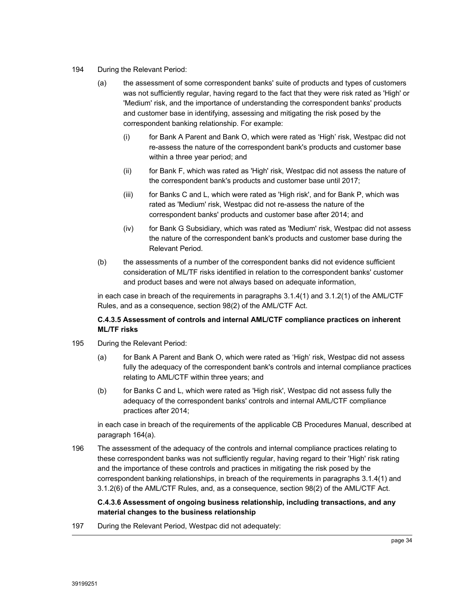#### 194 During the Relevant Period:

- (a) the assessment of some correspondent banks' suite of products and types of customers was not sufficiently regular, having regard to the fact that they were risk rated as 'High' or 'Medium' risk, and the importance of understanding the correspondent banks' products and customer base in identifying, assessing and mitigating the risk posed by the correspondent banking relationship. For example:
	- (i) for Bank A Parent and Bank O, which were rated as 'High' risk, Westpac did not re-assess the nature of the correspondent bank's products and customer base within a three year period; and
	- (ii) for Bank F, which was rated as 'High' risk, Westpac did not assess the nature of the correspondent bank's products and customer base until 2017;
	- (iii) for Banks C and L, which were rated as 'High risk', and for Bank P, which was rated as 'Medium' risk, Westpac did not re-assess the nature of the correspondent banks' products and customer base after 2014; and
	- (iv) for Bank G Subsidiary, which was rated as 'Medium' risk, Westpac did not assess the nature of the correspondent bank's products and customer base during the Relevant Period.
- (b) the assessments of a number of the correspondent banks did not evidence sufficient consideration of ML/TF risks identified in relation to the correspondent banks' customer and product bases and were not always based on adequate information,

in each case in breach of the requirements in paragraphs 3.1.4(1) and 3.1.2(1) of the AML/CTF Rules, and as a consequence, section 98(2) of the AML/CTF Act.

### **C.4.3.5 Assessment of controls and internal AML/CTF compliance practices on inherent ML/TF risks**

- 195 During the Relevant Period:
	- (a) for Bank A Parent and Bank O, which were rated as 'High' risk, Westpac did not assess fully the adequacy of the correspondent bank's controls and internal compliance practices relating to AML/CTF within three years; and
	- (b) for Banks C and L, which were rated as 'High risk', Westpac did not assess fully the adequacy of the correspondent banks' controls and internal AML/CTF compliance practices after 2014;

in each case in breach of the requirements of the applicable CB Procedures Manual, described at paragraph 164(a).

196 The assessment of the adequacy of the controls and internal compliance practices relating to these correspondent banks was not sufficiently regular, having regard to their 'High' risk rating and the importance of these controls and practices in mitigating the risk posed by the correspondent banking relationships, in breach of the requirements in paragraphs 3.1.4(1) and 3.1.2(6) of the AML/CTF Rules, and, as a consequence, section 98(2) of the AML/CTF Act.

### **C.4.3.6 Assessment of ongoing business relationship, including transactions, and any material changes to the business relationship**

197 During the Relevant Period, Westpac did not adequately: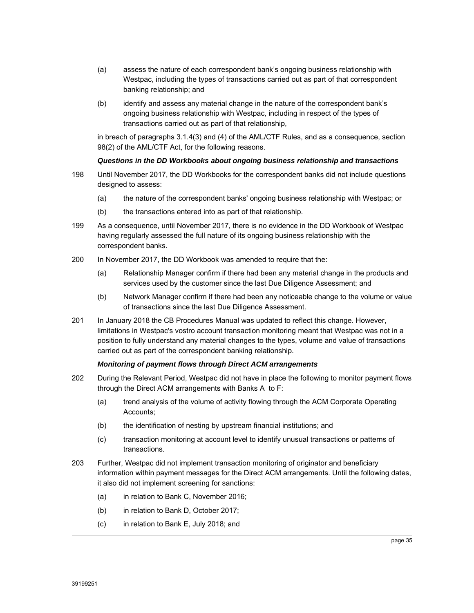- (a) assess the nature of each correspondent bank's ongoing business relationship with Westpac, including the types of transactions carried out as part of that correspondent banking relationship; and
- (b) identify and assess any material change in the nature of the correspondent bank's ongoing business relationship with Westpac, including in respect of the types of transactions carried out as part of that relationship,

in breach of paragraphs 3.1.4(3) and (4) of the AML/CTF Rules, and as a consequence, section 98(2) of the AML/CTF Act, for the following reasons.

# *Questions in the DD Workbooks about ongoing business relationship and transactions*

- 198 Until November 2017, the DD Workbooks for the correspondent banks did not include questions designed to assess:
	- (a) the nature of the correspondent banks' ongoing business relationship with Westpac; or
	- (b) the transactions entered into as part of that relationship.
- 199 As a consequence, until November 2017, there is no evidence in the DD Workbook of Westpac having regularly assessed the full nature of its ongoing business relationship with the correspondent banks.
- 200 In November 2017, the DD Workbook was amended to require that the:
	- (a) Relationship Manager confirm if there had been any material change in the products and services used by the customer since the last Due Diligence Assessment; and
	- (b) Network Manager confirm if there had been any noticeable change to the volume or value of transactions since the last Due Diligence Assessment.
- 201 In January 2018 the CB Procedures Manual was updated to reflect this change. However, limitations in Westpac's vostro account transaction monitoring meant that Westpac was not in a position to fully understand any material changes to the types, volume and value of transactions carried out as part of the correspondent banking relationship.

#### *Monitoring of payment flows through Direct ACM arrangements*

- 202 During the Relevant Period, Westpac did not have in place the following to monitor payment flows through the Direct ACM arrangements with Banks A to F:
	- (a) trend analysis of the volume of activity flowing through the ACM Corporate Operating Accounts;
	- (b) the identification of nesting by upstream financial institutions; and
	- (c) transaction monitoring at account level to identify unusual transactions or patterns of transactions.
- 203 Further, Westpac did not implement transaction monitoring of originator and beneficiary information within payment messages for the Direct ACM arrangements. Until the following dates, it also did not implement screening for sanctions:
	- (a) in relation to Bank C, November 2016;
	- (b) in relation to Bank D, October 2017;
	- (c) in relation to Bank E, July 2018; and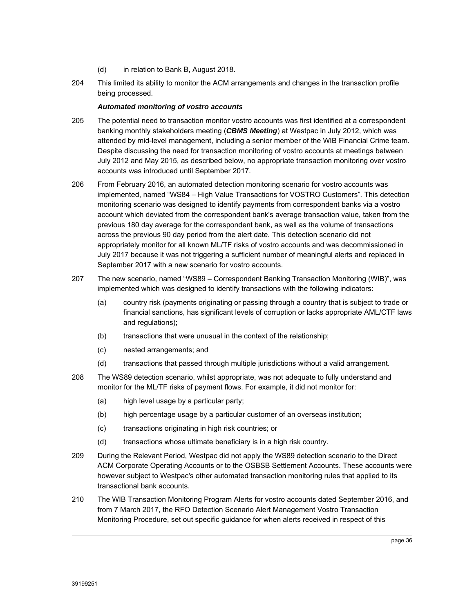- (d) in relation to Bank B, August 2018.
- 204 This limited its ability to monitor the ACM arrangements and changes in the transaction profile being processed.

#### *Automated monitoring of vostro accounts*

- 205 The potential need to transaction monitor vostro accounts was first identified at a correspondent banking monthly stakeholders meeting (*CBMS Meeting*) at Westpac in July 2012, which was attended by mid-level management, including a senior member of the WIB Financial Crime team. Despite discussing the need for transaction monitoring of vostro accounts at meetings between July 2012 and May 2015, as described below, no appropriate transaction monitoring over vostro accounts was introduced until September 2017.
- 206 From February 2016, an automated detection monitoring scenario for vostro accounts was implemented, named "WS84 – High Value Transactions for VOSTRO Customers". This detection monitoring scenario was designed to identify payments from correspondent banks via a vostro account which deviated from the correspondent bank's average transaction value, taken from the previous 180 day average for the correspondent bank, as well as the volume of transactions across the previous 90 day period from the alert date. This detection scenario did not appropriately monitor for all known ML/TF risks of vostro accounts and was decommissioned in July 2017 because it was not triggering a sufficient number of meaningful alerts and replaced in September 2017 with a new scenario for vostro accounts.
- 207 The new scenario, named "WS89 Correspondent Banking Transaction Monitoring (WIB)", was implemented which was designed to identify transactions with the following indicators:
	- (a) country risk (payments originating or passing through a country that is subject to trade or financial sanctions, has significant levels of corruption or lacks appropriate AML/CTF laws and regulations);
	- (b) transactions that were unusual in the context of the relationship;
	- (c) nested arrangements; and
	- (d) transactions that passed through multiple jurisdictions without a valid arrangement.
- 208 The WS89 detection scenario, whilst appropriate, was not adequate to fully understand and monitor for the ML/TF risks of payment flows. For example, it did not monitor for:
	- (a) high level usage by a particular party;
	- (b) high percentage usage by a particular customer of an overseas institution;
	- (c) transactions originating in high risk countries; or
	- (d) transactions whose ultimate beneficiary is in a high risk country.
- 209 During the Relevant Period, Westpac did not apply the WS89 detection scenario to the Direct ACM Corporate Operating Accounts or to the OSBSB Settlement Accounts. These accounts were however subject to Westpac's other automated transaction monitoring rules that applied to its transactional bank accounts.
- 210 The WIB Transaction Monitoring Program Alerts for vostro accounts dated September 2016, and from 7 March 2017, the RFO Detection Scenario Alert Management Vostro Transaction Monitoring Procedure, set out specific guidance for when alerts received in respect of this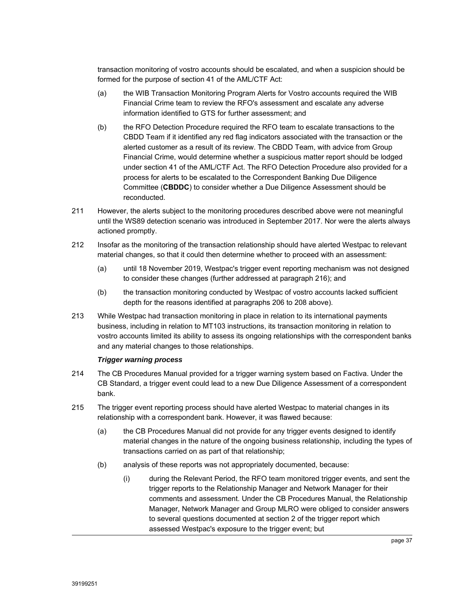transaction monitoring of vostro accounts should be escalated, and when a suspicion should be formed for the purpose of section 41 of the AML/CTF Act:

- (a) the WIB Transaction Monitoring Program Alerts for Vostro accounts required the WIB Financial Crime team to review the RFO's assessment and escalate any adverse information identified to GTS for further assessment; and
- (b) the RFO Detection Procedure required the RFO team to escalate transactions to the CBDD Team if it identified any red flag indicators associated with the transaction or the alerted customer as a result of its review. The CBDD Team, with advice from Group Financial Crime, would determine whether a suspicious matter report should be lodged under section 41 of the AML/CTF Act. The RFO Detection Procedure also provided for a process for alerts to be escalated to the Correspondent Banking Due Diligence Committee (**CBDDC**) to consider whether a Due Diligence Assessment should be reconducted.
- 211 However, the alerts subject to the monitoring procedures described above were not meaningful until the WS89 detection scenario was introduced in September 2017. Nor were the alerts always actioned promptly.
- 212 Insofar as the monitoring of the transaction relationship should have alerted Westpac to relevant material changes, so that it could then determine whether to proceed with an assessment:
	- (a) until 18 November 2019, Westpac's trigger event reporting mechanism was not designed to consider these changes (further addressed at paragraph 216); and
	- (b) the transaction monitoring conducted by Westpac of vostro accounts lacked sufficient depth for the reasons identified at paragraphs 206 to 208 above).
- 213 While Westpac had transaction monitoring in place in relation to its international payments business, including in relation to MT103 instructions, its transaction monitoring in relation to vostro accounts limited its ability to assess its ongoing relationships with the correspondent banks and any material changes to those relationships.

# *Trigger warning process*

- 214 The CB Procedures Manual provided for a trigger warning system based on Factiva. Under the CB Standard, a trigger event could lead to a new Due Diligence Assessment of a correspondent bank.
- 215 The trigger event reporting process should have alerted Westpac to material changes in its relationship with a correspondent bank. However, it was flawed because:
	- (a) the CB Procedures Manual did not provide for any trigger events designed to identify material changes in the nature of the ongoing business relationship, including the types of transactions carried on as part of that relationship;
	- (b) analysis of these reports was not appropriately documented, because:
		- (i) during the Relevant Period, the RFO team monitored trigger events, and sent the trigger reports to the Relationship Manager and Network Manager for their comments and assessment. Under the CB Procedures Manual, the Relationship Manager, Network Manager and Group MLRO were obliged to consider answers to several questions documented at section 2 of the trigger report which assessed Westpac's exposure to the trigger event; but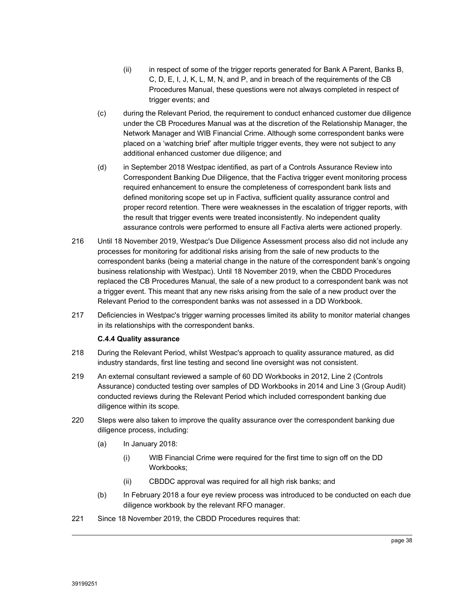- (ii) in respect of some of the trigger reports generated for Bank A Parent, Banks B, C, D, E, I, J, K, L, M, N, and P, and in breach of the requirements of the CB Procedures Manual, these questions were not always completed in respect of trigger events; and
- (c) during the Relevant Period, the requirement to conduct enhanced customer due diligence under the CB Procedures Manual was at the discretion of the Relationship Manager, the Network Manager and WIB Financial Crime. Although some correspondent banks were placed on a 'watching brief' after multiple trigger events, they were not subject to any additional enhanced customer due diligence; and
- (d) in September 2018 Westpac identified, as part of a Controls Assurance Review into Correspondent Banking Due Diligence, that the Factiva trigger event monitoring process required enhancement to ensure the completeness of correspondent bank lists and defined monitoring scope set up in Factiva, sufficient quality assurance control and proper record retention. There were weaknesses in the escalation of trigger reports, with the result that trigger events were treated inconsistently. No independent quality assurance controls were performed to ensure all Factiva alerts were actioned properly.
- 216 Until 18 November 2019, Westpac's Due Diligence Assessment process also did not include any processes for monitoring for additional risks arising from the sale of new products to the correspondent banks (being a material change in the nature of the correspondent bank's ongoing business relationship with Westpac). Until 18 November 2019, when the CBDD Procedures replaced the CB Procedures Manual, the sale of a new product to a correspondent bank was not a trigger event. This meant that any new risks arising from the sale of a new product over the Relevant Period to the correspondent banks was not assessed in a DD Workbook.
- 217 Deficiencies in Westpac's trigger warning processes limited its ability to monitor material changes in its relationships with the correspondent banks.

# **C.4.4 Quality assurance**

- 218 During the Relevant Period, whilst Westpac's approach to quality assurance matured, as did industry standards, first line testing and second line oversight was not consistent.
- 219 An external consultant reviewed a sample of 60 DD Workbooks in 2012, Line 2 (Controls Assurance) conducted testing over samples of DD Workbooks in 2014 and Line 3 (Group Audit) conducted reviews during the Relevant Period which included correspondent banking due diligence within its scope.
- 220 Steps were also taken to improve the quality assurance over the correspondent banking due diligence process, including:
	- (a) In January 2018:
		- (i) WIB Financial Crime were required for the first time to sign off on the DD Workbooks;
		- (ii) CBDDC approval was required for all high risk banks; and
	- (b) In February 2018 a four eye review process was introduced to be conducted on each due diligence workbook by the relevant RFO manager.
- 221 Since 18 November 2019, the CBDD Procedures requires that: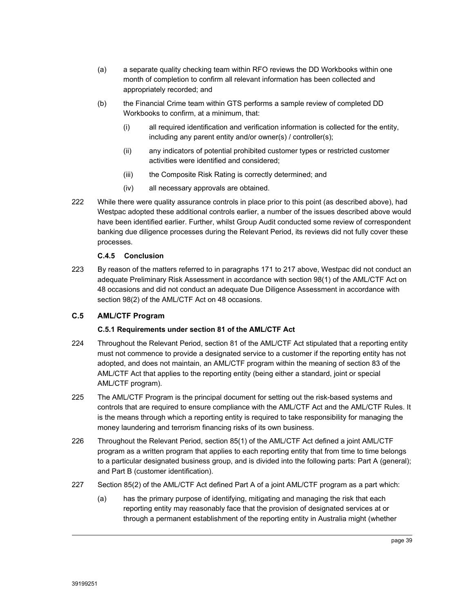- (a) a separate quality checking team within RFO reviews the DD Workbooks within one month of completion to confirm all relevant information has been collected and appropriately recorded; and
- (b) the Financial Crime team within GTS performs a sample review of completed DD Workbooks to confirm, at a minimum, that:
	- (i) all required identification and verification information is collected for the entity, including any parent entity and/or owner(s) / controller(s);
	- (ii) any indicators of potential prohibited customer types or restricted customer activities were identified and considered;
	- (iii) the Composite Risk Rating is correctly determined; and
	- (iv) all necessary approvals are obtained.
- 222 While there were quality assurance controls in place prior to this point (as described above), had Westpac adopted these additional controls earlier, a number of the issues described above would have been identified earlier. Further, whilst Group Audit conducted some review of correspondent banking due diligence processes during the Relevant Period, its reviews did not fully cover these processes.

# **C.4.5 Conclusion**

223 By reason of the matters referred to in paragraphs 171 to 217 above, Westpac did not conduct an adequate Preliminary Risk Assessment in accordance with section 98(1) of the AML/CTF Act on 48 occasions and did not conduct an adequate Due Diligence Assessment in accordance with section 98(2) of the AML/CTF Act on 48 occasions.

# **C.5 AML/CTF Program**

# **C.5.1 Requirements under section 81 of the AML/CTF Act**

- 224 Throughout the Relevant Period, section 81 of the AML/CTF Act stipulated that a reporting entity must not commence to provide a designated service to a customer if the reporting entity has not adopted, and does not maintain, an AML/CTF program within the meaning of section 83 of the AML/CTF Act that applies to the reporting entity (being either a standard, joint or special AML/CTF program).
- 225 The AML/CTF Program is the principal document for setting out the risk-based systems and controls that are required to ensure compliance with the AML/CTF Act and the AML/CTF Rules. It is the means through which a reporting entity is required to take responsibility for managing the money laundering and terrorism financing risks of its own business.
- 226 Throughout the Relevant Period, section 85(1) of the AML/CTF Act defined a joint AML/CTF program as a written program that applies to each reporting entity that from time to time belongs to a particular designated business group, and is divided into the following parts: Part A (general); and Part B (customer identification).
- 227 Section 85(2) of the AML/CTF Act defined Part A of a joint AML/CTF program as a part which:
	- (a) has the primary purpose of identifying, mitigating and managing the risk that each reporting entity may reasonably face that the provision of designated services at or through a permanent establishment of the reporting entity in Australia might (whether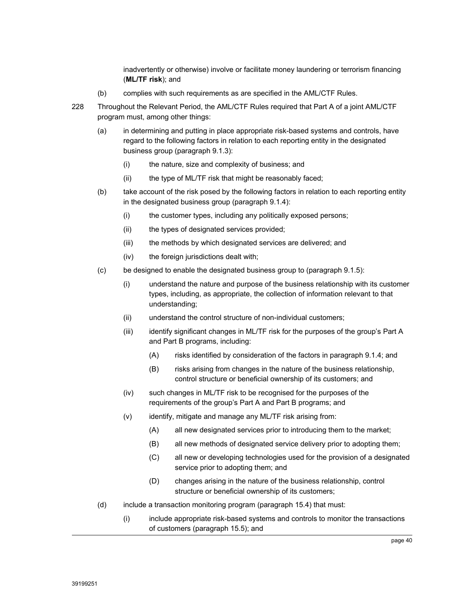inadvertently or otherwise) involve or facilitate money laundering or terrorism financing (**ML/TF risk**); and

- (b) complies with such requirements as are specified in the AML/CTF Rules.
- 228 Throughout the Relevant Period, the AML/CTF Rules required that Part A of a joint AML/CTF program must, among other things:
	- (a) in determining and putting in place appropriate risk-based systems and controls, have regard to the following factors in relation to each reporting entity in the designated business group (paragraph 9.1.3):
		- (i) the nature, size and complexity of business; and
		- (ii) the type of ML/TF risk that might be reasonably faced;
	- (b) take account of the risk posed by the following factors in relation to each reporting entity in the designated business group (paragraph 9.1.4):
		- (i) the customer types, including any politically exposed persons;
		- (ii) the types of designated services provided;
		- (iii) the methods by which designated services are delivered; and
		- (iv) the foreign jurisdictions dealt with;
	- (c) be designed to enable the designated business group to (paragraph 9.1.5):
		- (i) understand the nature and purpose of the business relationship with its customer types, including, as appropriate, the collection of information relevant to that understanding;
		- (ii) understand the control structure of non-individual customers;
		- (iii) identify significant changes in ML/TF risk for the purposes of the group's Part A and Part B programs, including:
			- (A) risks identified by consideration of the factors in paragraph 9.1.4; and
			- (B) risks arising from changes in the nature of the business relationship, control structure or beneficial ownership of its customers; and
		- (iv) such changes in ML/TF risk to be recognised for the purposes of the requirements of the group's Part A and Part B programs; and
		- (v) identify, mitigate and manage any ML/TF risk arising from:
			- (A) all new designated services prior to introducing them to the market;
			- (B) all new methods of designated service delivery prior to adopting them;
			- (C) all new or developing technologies used for the provision of a designated service prior to adopting them; and
			- (D) changes arising in the nature of the business relationship, control structure or beneficial ownership of its customers;
	- (d) include a transaction monitoring program (paragraph 15.4) that must:
		- (i) include appropriate risk-based systems and controls to monitor the transactions of customers (paragraph 15.5); and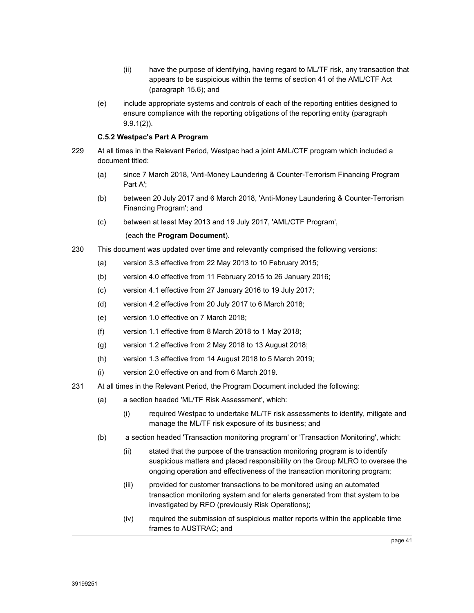- (ii) have the purpose of identifying, having regard to ML/TF risk, any transaction that appears to be suspicious within the terms of section 41 of the AML/CTF Act (paragraph 15.6); and
- (e) include appropriate systems and controls of each of the reporting entities designed to ensure compliance with the reporting obligations of the reporting entity (paragraph 9.9.1(2)).

# **C.5.2 Westpac's Part A Program**

- 229 At all times in the Relevant Period, Westpac had a joint AML/CTF program which included a document titled:
	- (a) since 7 March 2018, 'Anti-Money Laundering & Counter-Terrorism Financing Program Part A';
	- (b) between 20 July 2017 and 6 March 2018, 'Anti-Money Laundering & Counter-Terrorism Financing Program'; and
	- (c) between at least May 2013 and 19 July 2017, 'AML/CTF Program',

# (each the **Program Document**).

- 230 This document was updated over time and relevantly comprised the following versions:
	- (a) version 3.3 effective from 22 May 2013 to 10 February 2015;
	- (b) version 4.0 effective from 11 February 2015 to 26 January 2016;
	- (c) version 4.1 effective from 27 January 2016 to 19 July 2017;
	- (d) version 4.2 effective from 20 July 2017 to 6 March 2018;
	- (e) version 1.0 effective on 7 March 2018;
	- (f) version 1.1 effective from 8 March 2018 to 1 May 2018;
	- (g) version 1.2 effective from 2 May 2018 to 13 August 2018;
	- (h) version 1.3 effective from 14 August 2018 to 5 March 2019;
	- (i) version 2.0 effective on and from 6 March 2019.
- 231 At all times in the Relevant Period, the Program Document included the following:
	- (a) a section headed 'ML/TF Risk Assessment', which:
		- (i) required Westpac to undertake ML/TF risk assessments to identify, mitigate and manage the ML/TF risk exposure of its business; and
	- (b) a section headed 'Transaction monitoring program' or 'Transaction Monitoring', which:
		- (ii) stated that the purpose of the transaction monitoring program is to identify suspicious matters and placed responsibility on the Group MLRO to oversee the ongoing operation and effectiveness of the transaction monitoring program;
		- (iii) provided for customer transactions to be monitored using an automated transaction monitoring system and for alerts generated from that system to be investigated by RFO (previously Risk Operations);
		- (iv) required the submission of suspicious matter reports within the applicable time frames to AUSTRAC; and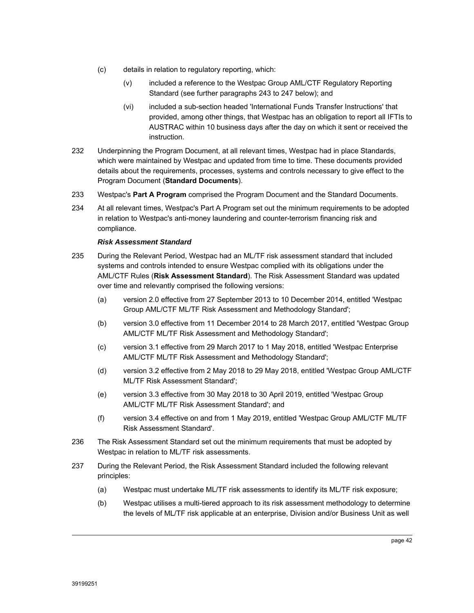- (c) details in relation to regulatory reporting, which:
	- (v) included a reference to the Westpac Group AML/CTF Regulatory Reporting Standard (see further paragraphs 243 to 247 below); and
	- (vi) included a sub-section headed 'International Funds Transfer Instructions' that provided, among other things, that Westpac has an obligation to report all IFTIs to AUSTRAC within 10 business days after the day on which it sent or received the instruction.
- 232 Underpinning the Program Document, at all relevant times, Westpac had in place Standards, which were maintained by Westpac and updated from time to time. These documents provided details about the requirements, processes, systems and controls necessary to give effect to the Program Document (**Standard Documents**).
- 233 Westpac's **Part A Program** comprised the Program Document and the Standard Documents.
- 234 At all relevant times, Westpac's Part A Program set out the minimum requirements to be adopted in relation to Westpac's anti-money laundering and counter-terrorism financing risk and compliance.

#### *Risk Assessment Standard*

- 235 During the Relevant Period, Westpac had an ML/TF risk assessment standard that included systems and controls intended to ensure Westpac complied with its obligations under the AML/CTF Rules (**Risk Assessment Standard**). The Risk Assessment Standard was updated over time and relevantly comprised the following versions:
	- (a) version 2.0 effective from 27 September 2013 to 10 December 2014, entitled 'Westpac Group AML/CTF ML/TF Risk Assessment and Methodology Standard';
	- (b) version 3.0 effective from 11 December 2014 to 28 March 2017, entitled 'Westpac Group AML/CTF ML/TF Risk Assessment and Methodology Standard';
	- (c) version 3.1 effective from 29 March 2017 to 1 May 2018, entitled 'Westpac Enterprise AML/CTF ML/TF Risk Assessment and Methodology Standard';
	- (d) version 3.2 effective from 2 May 2018 to 29 May 2018, entitled 'Westpac Group AML/CTF ML/TF Risk Assessment Standard';
	- (e) version 3.3 effective from 30 May 2018 to 30 April 2019, entitled 'Westpac Group AML/CTF ML/TF Risk Assessment Standard'; and
	- (f) version 3.4 effective on and from 1 May 2019, entitled 'Westpac Group AML/CTF ML/TF Risk Assessment Standard'.
- 236 The Risk Assessment Standard set out the minimum requirements that must be adopted by Westpac in relation to ML/TF risk assessments.
- 237 During the Relevant Period, the Risk Assessment Standard included the following relevant principles:
	- (a) Westpac must undertake ML/TF risk assessments to identify its ML/TF risk exposure;
	- (b) Westpac utilises a multi-tiered approach to its risk assessment methodology to determine the levels of ML/TF risk applicable at an enterprise, Division and/or Business Unit as well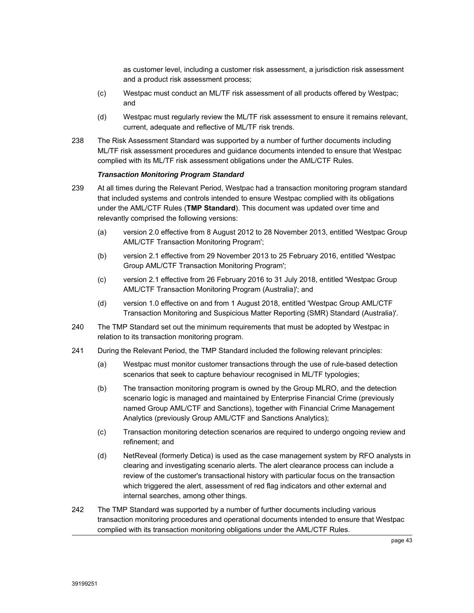as customer level, including a customer risk assessment, a jurisdiction risk assessment and a product risk assessment process;

- (c) Westpac must conduct an ML/TF risk assessment of all products offered by Westpac; and
- (d) Westpac must regularly review the ML/TF risk assessment to ensure it remains relevant, current, adequate and reflective of ML/TF risk trends.
- 238 The Risk Assessment Standard was supported by a number of further documents including ML/TF risk assessment procedures and guidance documents intended to ensure that Westpac complied with its ML/TF risk assessment obligations under the AML/CTF Rules.

#### *Transaction Monitoring Program Standard*

- 239 At all times during the Relevant Period, Westpac had a transaction monitoring program standard that included systems and controls intended to ensure Westpac complied with its obligations under the AML/CTF Rules (**TMP Standard**). This document was updated over time and relevantly comprised the following versions:
	- (a) version 2.0 effective from 8 August 2012 to 28 November 2013, entitled 'Westpac Group AML/CTF Transaction Monitoring Program';
	- (b) version 2.1 effective from 29 November 2013 to 25 February 2016, entitled 'Westpac Group AML/CTF Transaction Monitoring Program';
	- (c) version 2.1 effective from 26 February 2016 to 31 July 2018, entitled 'Westpac Group AML/CTF Transaction Monitoring Program (Australia)'; and
	- (d) version 1.0 effective on and from 1 August 2018, entitled 'Westpac Group AML/CTF Transaction Monitoring and Suspicious Matter Reporting (SMR) Standard (Australia)'.
- 240 The TMP Standard set out the minimum requirements that must be adopted by Westpac in relation to its transaction monitoring program.
- 241 During the Relevant Period, the TMP Standard included the following relevant principles:
	- (a) Westpac must monitor customer transactions through the use of rule-based detection scenarios that seek to capture behaviour recognised in ML/TF typologies;
	- (b) The transaction monitoring program is owned by the Group MLRO, and the detection scenario logic is managed and maintained by Enterprise Financial Crime (previously named Group AML/CTF and Sanctions), together with Financial Crime Management Analytics (previously Group AML/CTF and Sanctions Analytics);
	- (c) Transaction monitoring detection scenarios are required to undergo ongoing review and refinement; and
	- (d) NetReveal (formerly Detica) is used as the case management system by RFO analysts in clearing and investigating scenario alerts. The alert clearance process can include a review of the customer's transactional history with particular focus on the transaction which triggered the alert, assessment of red flag indicators and other external and internal searches, among other things.
- 242 The TMP Standard was supported by a number of further documents including various transaction monitoring procedures and operational documents intended to ensure that Westpac complied with its transaction monitoring obligations under the AML/CTF Rules.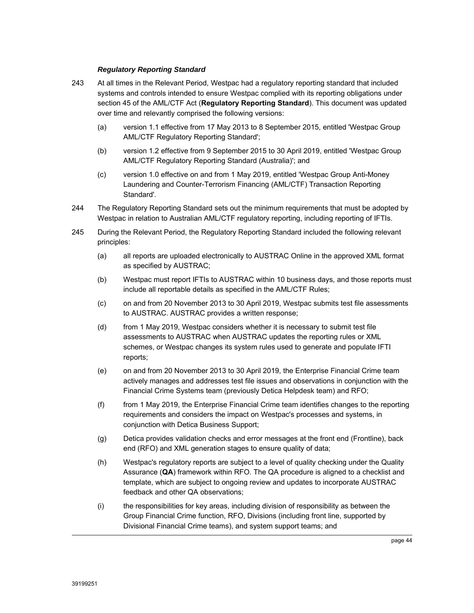## *Regulatory Reporting Standard*

- 243 At all times in the Relevant Period, Westpac had a regulatory reporting standard that included systems and controls intended to ensure Westpac complied with its reporting obligations under section 45 of the AML/CTF Act (**Regulatory Reporting Standard**). This document was updated over time and relevantly comprised the following versions:
	- (a) version 1.1 effective from 17 May 2013 to 8 September 2015, entitled 'Westpac Group AML/CTF Regulatory Reporting Standard';
	- (b) version 1.2 effective from 9 September 2015 to 30 April 2019, entitled 'Westpac Group AML/CTF Regulatory Reporting Standard (Australia)'; and
	- (c) version 1.0 effective on and from 1 May 2019, entitled 'Westpac Group Anti-Money Laundering and Counter-Terrorism Financing (AML/CTF) Transaction Reporting Standard'.
- 244 The Regulatory Reporting Standard sets out the minimum requirements that must be adopted by Westpac in relation to Australian AML/CTF regulatory reporting, including reporting of IFTIs.
- 245 During the Relevant Period, the Regulatory Reporting Standard included the following relevant principles:
	- (a) all reports are uploaded electronically to AUSTRAC Online in the approved XML format as specified by AUSTRAC;
	- (b) Westpac must report IFTIs to AUSTRAC within 10 business days, and those reports must include all reportable details as specified in the AML/CTF Rules;
	- (c) on and from 20 November 2013 to 30 April 2019, Westpac submits test file assessments to AUSTRAC. AUSTRAC provides a written response;
	- (d) from 1 May 2019, Westpac considers whether it is necessary to submit test file assessments to AUSTRAC when AUSTRAC updates the reporting rules or XML schemes, or Westpac changes its system rules used to generate and populate IFTI reports;
	- (e) on and from 20 November 2013 to 30 April 2019, the Enterprise Financial Crime team actively manages and addresses test file issues and observations in conjunction with the Financial Crime Systems team (previously Detica Helpdesk team) and RFO;
	- (f) from 1 May 2019, the Enterprise Financial Crime team identifies changes to the reporting requirements and considers the impact on Westpac's processes and systems, in conjunction with Detica Business Support;
	- (g) Detica provides validation checks and error messages at the front end (Frontline), back end (RFO) and XML generation stages to ensure quality of data;
	- (h) Westpac's regulatory reports are subject to a level of quality checking under the Quality Assurance (**QA**) framework within RFO. The QA procedure is aligned to a checklist and template, which are subject to ongoing review and updates to incorporate AUSTRAC feedback and other QA observations;
	- (i) the responsibilities for key areas, including division of responsibility as between the Group Financial Crime function, RFO, Divisions (including front line, supported by Divisional Financial Crime teams), and system support teams; and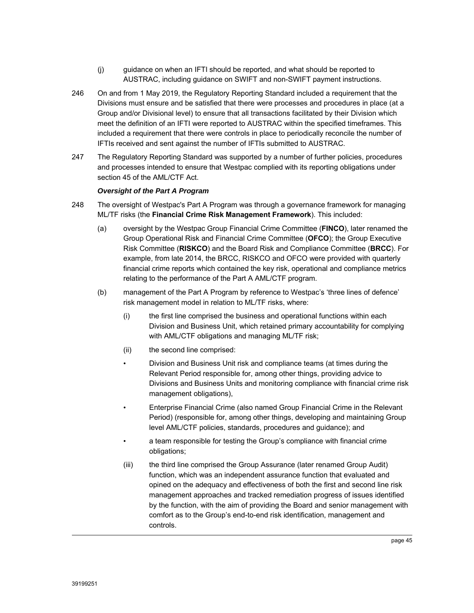- (j) guidance on when an IFTI should be reported, and what should be reported to AUSTRAC, including guidance on SWIFT and non-SWIFT payment instructions.
- 246 On and from 1 May 2019, the Regulatory Reporting Standard included a requirement that the Divisions must ensure and be satisfied that there were processes and procedures in place (at a Group and/or Divisional level) to ensure that all transactions facilitated by their Division which meet the definition of an IFTI were reported to AUSTRAC within the specified timeframes. This included a requirement that there were controls in place to periodically reconcile the number of IFTIs received and sent against the number of IFTIs submitted to AUSTRAC.
- 247 The Regulatory Reporting Standard was supported by a number of further policies, procedures and processes intended to ensure that Westpac complied with its reporting obligations under section 45 of the AML/CTF Act.

# *Oversight of the Part A Program*

- 248 The oversight of Westpac's Part A Program was through a governance framework for managing ML/TF risks (the **Financial Crime Risk Management Framework**). This included:
	- (a) oversight by the Westpac Group Financial Crime Committee (**FINCO**), later renamed the Group Operational Risk and Financial Crime Committee (**OFCO**); the Group Executive Risk Committee (**RISKCO**) and the Board Risk and Compliance Committee (**BRCC**). For example, from late 2014, the BRCC, RISKCO and OFCO were provided with quarterly financial crime reports which contained the key risk, operational and compliance metrics relating to the performance of the Part A AML/CTF program.
	- (b) management of the Part A Program by reference to Westpac's 'three lines of defence' risk management model in relation to ML/TF risks, where:
		- (i) the first line comprised the business and operational functions within each Division and Business Unit, which retained primary accountability for complying with AML/CTF obligations and managing ML/TF risk;
		- (ii) the second line comprised:
		- Division and Business Unit risk and compliance teams (at times during the Relevant Period responsible for, among other things, providing advice to Divisions and Business Units and monitoring compliance with financial crime risk management obligations),
		- Enterprise Financial Crime (also named Group Financial Crime in the Relevant Period) (responsible for, among other things, developing and maintaining Group level AML/CTF policies, standards, procedures and guidance); and
		- a team responsible for testing the Group's compliance with financial crime obligations;
		- (iii) the third line comprised the Group Assurance (later renamed Group Audit) function, which was an independent assurance function that evaluated and opined on the adequacy and effectiveness of both the first and second line risk management approaches and tracked remediation progress of issues identified by the function, with the aim of providing the Board and senior management with comfort as to the Group's end-to-end risk identification, management and controls.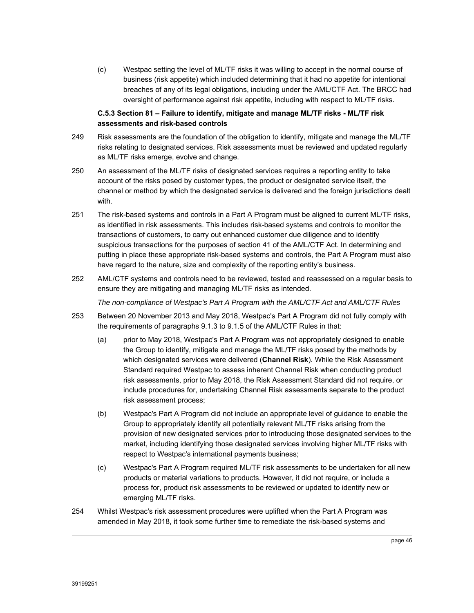(c) Westpac setting the level of ML/TF risks it was willing to accept in the normal course of business (risk appetite) which included determining that it had no appetite for intentional breaches of any of its legal obligations, including under the AML/CTF Act. The BRCC had oversight of performance against risk appetite, including with respect to ML/TF risks.

# **C.5.3 Section 81 – Failure to identify, mitigate and manage ML/TF risks - ML/TF risk assessments and risk-based controls**

- 249 Risk assessments are the foundation of the obligation to identify, mitigate and manage the ML/TF risks relating to designated services. Risk assessments must be reviewed and updated regularly as ML/TF risks emerge, evolve and change.
- 250 An assessment of the ML/TF risks of designated services requires a reporting entity to take account of the risks posed by customer types, the product or designated service itself, the channel or method by which the designated service is delivered and the foreign jurisdictions dealt with.
- 251 The risk-based systems and controls in a Part A Program must be aligned to current ML/TF risks, as identified in risk assessments. This includes risk-based systems and controls to monitor the transactions of customers, to carry out enhanced customer due diligence and to identify suspicious transactions for the purposes of section 41 of the AML/CTF Act. In determining and putting in place these appropriate risk-based systems and controls, the Part A Program must also have regard to the nature, size and complexity of the reporting entity's business.
- 252 AML/CTF systems and controls need to be reviewed, tested and reassessed on a regular basis to ensure they are mitigating and managing ML/TF risks as intended.

*The non-compliance of Westpac's Part A Program with the AML/CTF Act and AML/CTF Rules* 

- 253 Between 20 November 2013 and May 2018, Westpac's Part A Program did not fully comply with the requirements of paragraphs 9.1.3 to 9.1.5 of the AML/CTF Rules in that:
	- (a) prior to May 2018, Westpac's Part A Program was not appropriately designed to enable the Group to identify, mitigate and manage the ML/TF risks posed by the methods by which designated services were delivered (**Channel Risk**). While the Risk Assessment Standard required Westpac to assess inherent Channel Risk when conducting product risk assessments, prior to May 2018, the Risk Assessment Standard did not require, or include procedures for, undertaking Channel Risk assessments separate to the product risk assessment process;
	- (b) Westpac's Part A Program did not include an appropriate level of guidance to enable the Group to appropriately identify all potentially relevant ML/TF risks arising from the provision of new designated services prior to introducing those designated services to the market, including identifying those designated services involving higher ML/TF risks with respect to Westpac's international payments business;
	- (c) Westpac's Part A Program required ML/TF risk assessments to be undertaken for all new products or material variations to products. However, it did not require, or include a process for, product risk assessments to be reviewed or updated to identify new or emerging ML/TF risks.
- 254 Whilst Westpac's risk assessment procedures were uplifted when the Part A Program was amended in May 2018, it took some further time to remediate the risk-based systems and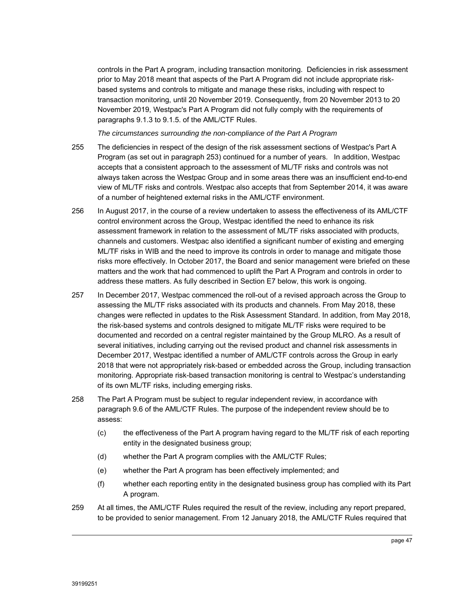controls in the Part A program, including transaction monitoring. Deficiencies in risk assessment prior to May 2018 meant that aspects of the Part A Program did not include appropriate riskbased systems and controls to mitigate and manage these risks, including with respect to transaction monitoring, until 20 November 2019. Consequently, from 20 November 2013 to 20 November 2019, Westpac's Part A Program did not fully comply with the requirements of paragraphs 9.1.3 to 9.1.5. of the AML/CTF Rules.

*The circumstances surrounding the non-compliance of the Part A Program*

- 255 The deficiencies in respect of the design of the risk assessment sections of Westpac's Part A Program (as set out in paragraph 253) continued for a number of years. In addition, Westpac accepts that a consistent approach to the assessment of ML/TF risks and controls was not always taken across the Westpac Group and in some areas there was an insufficient end-to-end view of ML/TF risks and controls. Westpac also accepts that from September 2014, it was aware of a number of heightened external risks in the AML/CTF environment.
- 256 In August 2017, in the course of a review undertaken to assess the effectiveness of its AML/CTF control environment across the Group, Westpac identified the need to enhance its risk assessment framework in relation to the assessment of ML/TF risks associated with products, channels and customers. Westpac also identified a significant number of existing and emerging ML/TF risks in WIB and the need to improve its controls in order to manage and mitigate those risks more effectively. In October 2017, the Board and senior management were briefed on these matters and the work that had commenced to uplift the Part A Program and controls in order to address these matters. As fully described in Section E7 below, this work is ongoing.
- 257 In December 2017, Westpac commenced the roll-out of a revised approach across the Group to assessing the ML/TF risks associated with its products and channels. From May 2018, these changes were reflected in updates to the Risk Assessment Standard. In addition, from May 2018, the risk-based systems and controls designed to mitigate ML/TF risks were required to be documented and recorded on a central register maintained by the Group MLRO. As a result of several initiatives, including carrying out the revised product and channel risk assessments in December 2017, Westpac identified a number of AML/CTF controls across the Group in early 2018 that were not appropriately risk-based or embedded across the Group, including transaction monitoring. Appropriate risk-based transaction monitoring is central to Westpac's understanding of its own ML/TF risks, including emerging risks.
- 258 The Part A Program must be subject to regular independent review, in accordance with paragraph 9.6 of the AML/CTF Rules. The purpose of the independent review should be to assess:
	- (c) the effectiveness of the Part A program having regard to the ML/TF risk of each reporting entity in the designated business group;
	- (d) whether the Part A program complies with the AML/CTF Rules;
	- (e) whether the Part A program has been effectively implemented; and
	- (f) whether each reporting entity in the designated business group has complied with its Part A program.
- 259 At all times, the AML/CTF Rules required the result of the review, including any report prepared, to be provided to senior management. From 12 January 2018, the AML/CTF Rules required that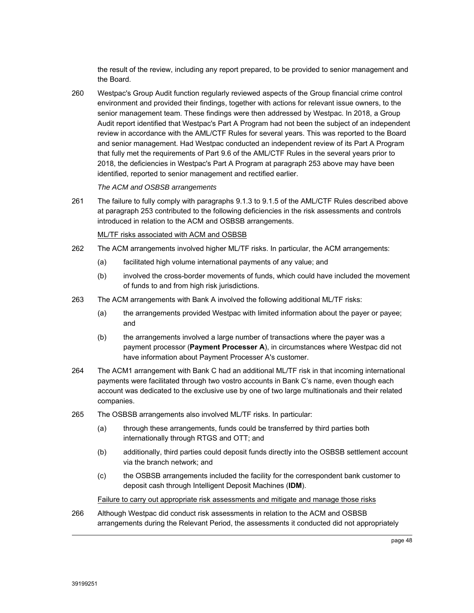the result of the review, including any report prepared, to be provided to senior management and the Board.

260 Westpac's Group Audit function regularly reviewed aspects of the Group financial crime control environment and provided their findings, together with actions for relevant issue owners, to the senior management team. These findings were then addressed by Westpac. In 2018, a Group Audit report identified that Westpac's Part A Program had not been the subject of an independent review in accordance with the AML/CTF Rules for several years. This was reported to the Board and senior management. Had Westpac conducted an independent review of its Part A Program that fully met the requirements of Part 9.6 of the AML/CTF Rules in the several years prior to 2018, the deficiencies in Westpac's Part A Program at paragraph 253 above may have been identified, reported to senior management and rectified earlier.

#### *The ACM and OSBSB arrangements*

261 The failure to fully comply with paragraphs 9.1.3 to 9.1.5 of the AML/CTF Rules described above at paragraph 253 contributed to the following deficiencies in the risk assessments and controls introduced in relation to the ACM and OSBSB arrangements.

#### ML/TF risks associated with ACM and OSBSB

- 262 The ACM arrangements involved higher ML/TF risks. In particular, the ACM arrangements:
	- (a) facilitated high volume international payments of any value; and
	- (b) involved the cross-border movements of funds, which could have included the movement of funds to and from high risk jurisdictions.
- 263 The ACM arrangements with Bank A involved the following additional ML/TF risks:
	- (a) the arrangements provided Westpac with limited information about the payer or payee; and
	- (b) the arrangements involved a large number of transactions where the payer was a payment processor (**Payment Processer A**), in circumstances where Westpac did not have information about Payment Processer A's customer.
- 264 The ACM1 arrangement with Bank C had an additional ML/TF risk in that incoming international payments were facilitated through two vostro accounts in Bank C's name, even though each account was dedicated to the exclusive use by one of two large multinationals and their related companies.
- 265 The OSBSB arrangements also involved ML/TF risks. In particular:
	- (a) through these arrangements, funds could be transferred by third parties both internationally through RTGS and OTT; and
	- (b) additionally, third parties could deposit funds directly into the OSBSB settlement account via the branch network; and
	- (c) the OSBSB arrangements included the facility for the correspondent bank customer to deposit cash through Intelligent Deposit Machines (**IDM**).

#### Failure to carry out appropriate risk assessments and mitigate and manage those risks

266 Although Westpac did conduct risk assessments in relation to the ACM and OSBSB arrangements during the Relevant Period, the assessments it conducted did not appropriately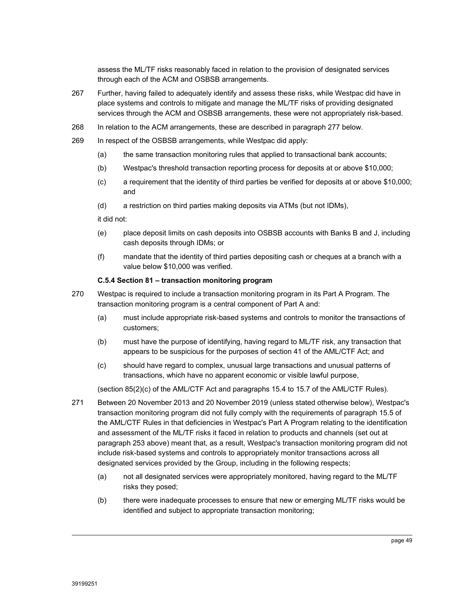assess the ML/TF risks reasonably faced in relation to the provision of designated services through each of the ACM and OSBSB arrangements.

- 267 Further, having failed to adequately identify and assess these risks, while Westpac did have in place systems and controls to mitigate and manage the ML/TF risks of providing designated services through the ACM and OSBSB arrangements, these were not appropriately risk-based.
- 268 In relation to the ACM arrangements, these are described in paragraph 277 below.
- 269 In respect of the OSBSB arrangements, while Westpac did apply:
	- (a) the same transaction monitoring rules that applied to transactional bank accounts;
	- (b) Westpac's threshold transaction reporting process for deposits at or above \$10,000;
	- (c) a requirement that the identity of third parties be verified for deposits at or above \$10,000; and
	- (d) a restriction on third parties making deposits via ATMs (but not IDMs),

it did not:

- (e) place deposit limits on cash deposits into OSBSB accounts with Banks B and J, including cash deposits through IDMs; or
- (f) mandate that the identity of third parties depositing cash or cheques at a branch with a value below \$10,000 was verified.

#### **C.5.4 Section 81 – transaction monitoring program**

- 270 Westpac is required to include a transaction monitoring program in its Part A Program. The transaction monitoring program is a central component of Part A and:
	- (a) must include appropriate risk-based systems and controls to monitor the transactions of customers;
	- (b) must have the purpose of identifying, having regard to ML/TF risk, any transaction that appears to be suspicious for the purposes of section 41 of the AML/CTF Act; and
	- (c) should have regard to complex, unusual large transactions and unusual patterns of transactions, which have no apparent economic or visible lawful purpose,

(section 85(2)(c) of the AML/CTF Act and paragraphs 15.4 to 15.7 of the AML/CTF Rules).

- 271 Between 20 November 2013 and 20 November 2019 (unless stated otherwise below), Westpac's transaction monitoring program did not fully comply with the requirements of paragraph 15.5 of the AML/CTF Rules in that deficiencies in Westpac's Part A Program relating to the identification and assessment of the ML/TF risks it faced in relation to products and channels (set out at paragraph 253 above) meant that, as a result, Westpac's transaction monitoring program did not include risk-based systems and controls to appropriately monitor transactions across all designated services provided by the Group, including in the following respects;
	- (a) not all designated services were appropriately monitored, having regard to the ML/TF risks they posed;
	- (b) there were inadequate processes to ensure that new or emerging ML/TF risks would be identified and subject to appropriate transaction monitoring;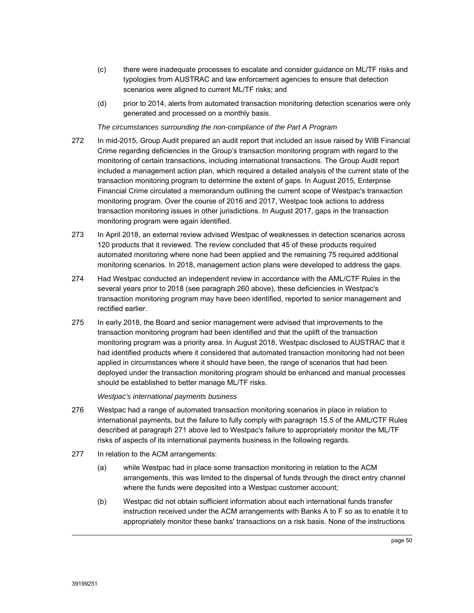- (c) there were inadequate processes to escalate and consider guidance on ML/TF risks and typologies from AUSTRAC and law enforcement agencies to ensure that detection scenarios were aligned to current ML/TF risks; and
- (d) prior to 2014, alerts from automated transaction monitoring detection scenarios were only generated and processed on a monthly basis.

*The circumstances surrounding the non-compliance of the Part A Program*

- 272 In mid-2015, Group Audit prepared an audit report that included an issue raised by WIB Financial Crime regarding deficiencies in the Group's transaction monitoring program with regard to the monitoring of certain transactions, including international transactions. The Group Audit report included a management action plan, which required a detailed analysis of the current state of the transaction monitoring program to determine the extent of gaps. In August 2015, Enterprise Financial Crime circulated a memorandum outlining the current scope of Westpac's transaction monitoring program. Over the course of 2016 and 2017, Westpac took actions to address transaction monitoring issues in other jurisdictions. In August 2017, gaps in the transaction monitoring program were again identified.
- 273 In April 2018, an external review advised Westpac of weaknesses in detection scenarios across 120 products that it reviewed. The review concluded that 45 of these products required automated monitoring where none had been applied and the remaining 75 required additional monitoring scenarios. In 2018, management action plans were developed to address the gaps.
- 274 Had Westpac conducted an independent review in accordance with the AML/CTF Rules in the several years prior to 2018 (see paragraph 260 above), these deficiencies in Westpac's transaction monitoring program may have been identified, reported to senior management and rectified earlier.
- 275 In early 2018, the Board and senior management were advised that improvements to the transaction monitoring program had been identified and that the uplift of the transaction monitoring program was a priority area. In August 2018, Westpac disclosed to AUSTRAC that it had identified products where it considered that automated transaction monitoring had not been applied in circumstances where it should have been, the range of scenarios that had been deployed under the transaction monitoring program should be enhanced and manual processes should be established to better manage ML/TF risks.

*Westpac's international payments business* 

- 276 Westpac had a range of automated transaction monitoring scenarios in place in relation to international payments, but the failure to fully comply with paragraph 15.5 of the AML/CTF Rules described at paragraph 271 above led to Westpac's failure to appropriately monitor the ML/TF risks of aspects of its international payments business in the following regards.
- 277 In relation to the ACM arrangements:
	- (a) while Westpac had in place some transaction monitoring in relation to the ACM arrangements, this was limited to the dispersal of funds through the direct entry channel where the funds were deposited into a Westpac customer account;
	- (b) Westpac did not obtain sufficient information about each international funds transfer instruction received under the ACM arrangements with Banks A to F so as to enable it to appropriately monitor these banks' transactions on a risk basis. None of the instructions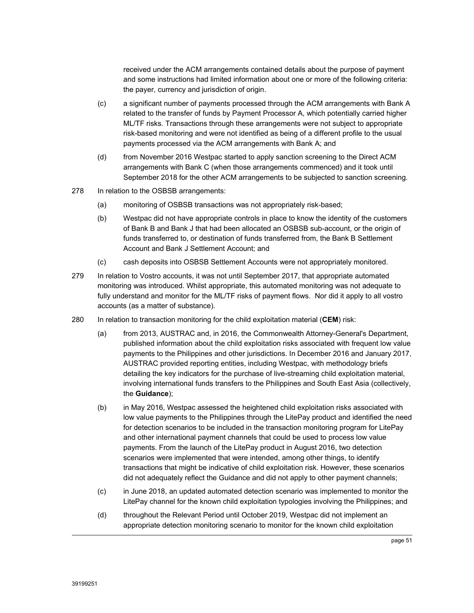received under the ACM arrangements contained details about the purpose of payment and some instructions had limited information about one or more of the following criteria: the payer, currency and jurisdiction of origin.

- (c) a significant number of payments processed through the ACM arrangements with Bank A related to the transfer of funds by Payment Processor A, which potentially carried higher ML/TF risks. Transactions through these arrangements were not subject to appropriate risk-based monitoring and were not identified as being of a different profile to the usual payments processed via the ACM arrangements with Bank A; and
- (d) from November 2016 Westpac started to apply sanction screening to the Direct ACM arrangements with Bank C (when those arrangements commenced) and it took until September 2018 for the other ACM arrangements to be subjected to sanction screening.
- 278 In relation to the OSBSB arrangements:
	- (a) monitoring of OSBSB transactions was not appropriately risk-based;
	- (b) Westpac did not have appropriate controls in place to know the identity of the customers of Bank B and Bank J that had been allocated an OSBSB sub-account, or the origin of funds transferred to, or destination of funds transferred from, the Bank B Settlement Account and Bank J Settlement Account; and
	- (c) cash deposits into OSBSB Settlement Accounts were not appropriately monitored.
- 279 In relation to Vostro accounts, it was not until September 2017, that appropriate automated monitoring was introduced. Whilst appropriate, this automated monitoring was not adequate to fully understand and monitor for the ML/TF risks of payment flows. Nor did it apply to all vostro accounts (as a matter of substance).
- 280 In relation to transaction monitoring for the child exploitation material (**CEM**) risk:
	- (a) from 2013, AUSTRAC and, in 2016, the Commonwealth Attorney-General's Department, published information about the child exploitation risks associated with frequent low value payments to the Philippines and other jurisdictions. In December 2016 and January 2017, AUSTRAC provided reporting entities, including Westpac, with methodology briefs detailing the key indicators for the purchase of live-streaming child exploitation material, involving international funds transfers to the Philippines and South East Asia (collectively, the **Guidance**);
	- (b) in May 2016, Westpac assessed the heightened child exploitation risks associated with low value payments to the Philippines through the LitePay product and identified the need for detection scenarios to be included in the transaction monitoring program for LitePay and other international payment channels that could be used to process low value payments. From the launch of the LitePay product in August 2016, two detection scenarios were implemented that were intended, among other things, to identify transactions that might be indicative of child exploitation risk. However, these scenarios did not adequately reflect the Guidance and did not apply to other payment channels;
	- (c) in June 2018, an updated automated detection scenario was implemented to monitor the LitePay channel for the known child exploitation typologies involving the Philippines; and
	- (d) throughout the Relevant Period until October 2019, Westpac did not implement an appropriate detection monitoring scenario to monitor for the known child exploitation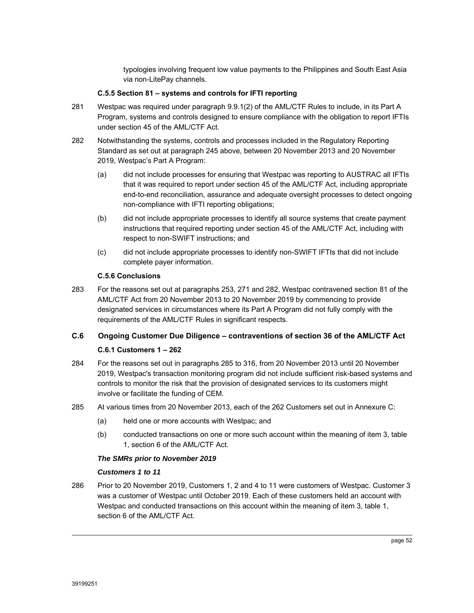typologies involving frequent low value payments to the Philippines and South East Asia via non-LitePay channels.

#### **C.5.5 Section 81 – systems and controls for IFTI reporting**

- 281 Westpac was required under paragraph 9.9.1(2) of the AML/CTF Rules to include, in its Part A Program, systems and controls designed to ensure compliance with the obligation to report IFTIs under section 45 of the AML/CTF Act.
- 282 Notwithstanding the systems, controls and processes included in the Regulatory Reporting Standard as set out at paragraph 245 above, between 20 November 2013 and 20 November 2019, Westpac's Part A Program:
	- (a) did not include processes for ensuring that Westpac was reporting to AUSTRAC all IFTIs that it was required to report under section 45 of the AML/CTF Act, including appropriate end-to-end reconciliation, assurance and adequate oversight processes to detect ongoing non-compliance with IFTI reporting obligations;
	- (b) did not include appropriate processes to identify all source systems that create payment instructions that required reporting under section 45 of the AML/CTF Act, including with respect to non-SWIFT instructions; and
	- (c) did not include appropriate processes to identify non-SWIFT IFTIs that did not include complete payer information.

# **C.5.6 Conclusions**

283 For the reasons set out at paragraphs 253, 271 and 282, Westpac contravened section 81 of the AML/CTF Act from 20 November 2013 to 20 November 2019 by commencing to provide designated services in circumstances where its Part A Program did not fully comply with the requirements of the AML/CTF Rules in significant respects.

# **C.6 Ongoing Customer Due Diligence – contraventions of section 36 of the AML/CTF Act**

# **C.6.1 Customers 1 – 262**

- 284 For the reasons set out in paragraphs 285 to 316, from 20 November 2013 until 20 November 2019, Westpac's transaction monitoring program did not include sufficient risk-based systems and controls to monitor the risk that the provision of designated services to its customers might involve or facilitate the funding of CEM.
- 285 At various times from 20 November 2013, each of the 262 Customers set out in Annexure C:
	- (a) held one or more accounts with Westpac; and
	- (b) conducted transactions on one or more such account within the meaning of item 3, table 1, section 6 of the AML/CTF Act.

#### *The SMRs prior to November 2019*

#### *Customers 1 to 11*

286 Prior to 20 November 2019, Customers 1, 2 and 4 to 11 were customers of Westpac. Customer 3 was a customer of Westpac until October 2019. Each of these customers held an account with Westpac and conducted transactions on this account within the meaning of item 3, table 1, section 6 of the AML/CTF Act.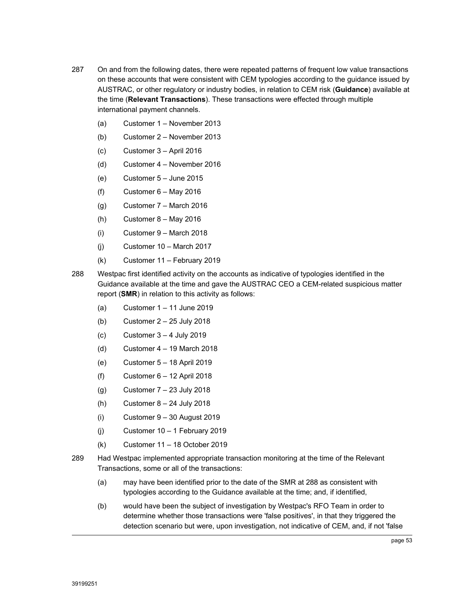- 287 On and from the following dates, there were repeated patterns of frequent low value transactions on these accounts that were consistent with CEM typologies according to the guidance issued by AUSTRAC, or other regulatory or industry bodies, in relation to CEM risk (**Guidance**) available at the time (**Relevant Transactions**). These transactions were effected through multiple international payment channels.
	- (a) Customer 1 November 2013
	- (b) Customer 2 November 2013
	- (c) Customer 3 April 2016
	- (d) Customer 4 November 2016
	- (e) Customer 5 June 2015
	- (f) Customer  $6 -$  May 2016
	- (g) Customer 7 March 2016
	- (h) Customer  $8 -$  May 2016
	- (i) Customer 9 March 2018
	- (j) Customer 10 March 2017
	- (k) Customer 11 February 2019
- 288 Westpac first identified activity on the accounts as indicative of typologies identified in the Guidance available at the time and gave the AUSTRAC CEO a CEM-related suspicious matter report (**SMR**) in relation to this activity as follows:
	- (a) Customer 1 11 June 2019
	- (b) Customer 2 25 July 2018
	- (c) Customer  $3 4$  July 2019
	- (d) Customer 4 19 March 2018
	- (e) Customer 5 18 April 2019
	- $(f)$  Customer  $6 12$  April 2018
	- (g) Customer 7 23 July 2018
	- (h) Customer  $8 24$  July 2018
	- (i) Customer 9 30 August 2019
	- (i) Customer  $10 1$  February 2019
	- (k) Customer 11 18 October 2019
- 289 Had Westpac implemented appropriate transaction monitoring at the time of the Relevant Transactions, some or all of the transactions:
	- (a) may have been identified prior to the date of the SMR at 288 as consistent with typologies according to the Guidance available at the time; and, if identified,
	- (b) would have been the subject of investigation by Westpac's RFO Team in order to determine whether those transactions were 'false positives', in that they triggered the detection scenario but were, upon investigation, not indicative of CEM, and, if not 'false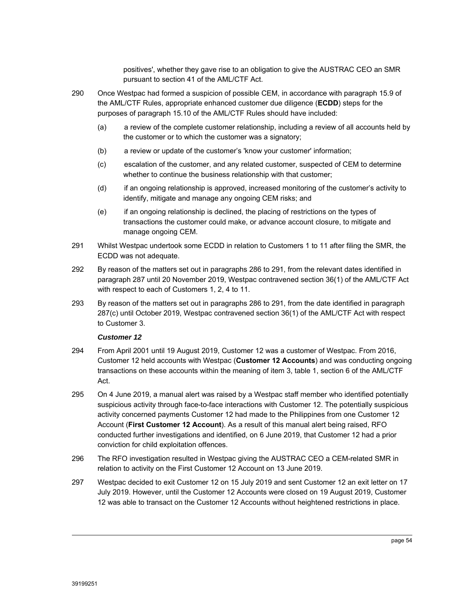positives', whether they gave rise to an obligation to give the AUSTRAC CEO an SMR pursuant to section 41 of the AML/CTF Act.

- 290 Once Westpac had formed a suspicion of possible CEM, in accordance with paragraph 15.9 of the AML/CTF Rules, appropriate enhanced customer due diligence (**ECDD**) steps for the purposes of paragraph 15.10 of the AML/CTF Rules should have included:
	- (a) a review of the complete customer relationship, including a review of all accounts held by the customer or to which the customer was a signatory;
	- (b) a review or update of the customer's 'know your customer' information;
	- (c) escalation of the customer, and any related customer, suspected of CEM to determine whether to continue the business relationship with that customer;
	- (d) if an ongoing relationship is approved, increased monitoring of the customer's activity to identify, mitigate and manage any ongoing CEM risks; and
	- (e) if an ongoing relationship is declined, the placing of restrictions on the types of transactions the customer could make, or advance account closure, to mitigate and manage ongoing CEM.
- 291 Whilst Westpac undertook some ECDD in relation to Customers 1 to 11 after filing the SMR, the ECDD was not adequate.
- 292 By reason of the matters set out in paragraphs 286 to 291, from the relevant dates identified in paragraph 287 until 20 November 2019, Westpac contravened section 36(1) of the AML/CTF Act with respect to each of Customers 1, 2, 4 to 11.
- 293 By reason of the matters set out in paragraphs 286 to 291, from the date identified in paragraph 287(c) until October 2019, Westpac contravened section 36(1) of the AML/CTF Act with respect to Customer 3.

# *Customer 12*

- 294 From April 2001 until 19 August 2019, Customer 12 was a customer of Westpac. From 2016, Customer 12 held accounts with Westpac (**Customer 12 Accounts**) and was conducting ongoing transactions on these accounts within the meaning of item 3, table 1, section 6 of the AML/CTF Act.
- 295 On 4 June 2019, a manual alert was raised by a Westpac staff member who identified potentially suspicious activity through face-to-face interactions with Customer 12. The potentially suspicious activity concerned payments Customer 12 had made to the Philippines from one Customer 12 Account (**First Customer 12 Account**). As a result of this manual alert being raised, RFO conducted further investigations and identified, on 6 June 2019, that Customer 12 had a prior conviction for child exploitation offences.
- 296 The RFO investigation resulted in Westpac giving the AUSTRAC CEO a CEM-related SMR in relation to activity on the First Customer 12 Account on 13 June 2019.
- 297 Westpac decided to exit Customer 12 on 15 July 2019 and sent Customer 12 an exit letter on 17 July 2019. However, until the Customer 12 Accounts were closed on 19 August 2019, Customer 12 was able to transact on the Customer 12 Accounts without heightened restrictions in place.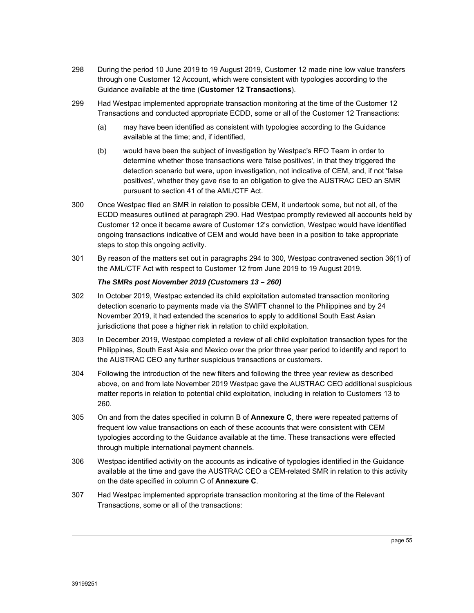- 298 During the period 10 June 2019 to 19 August 2019, Customer 12 made nine low value transfers through one Customer 12 Account, which were consistent with typologies according to the Guidance available at the time (**Customer 12 Transactions**).
- 299 Had Westpac implemented appropriate transaction monitoring at the time of the Customer 12 Transactions and conducted appropriate ECDD, some or all of the Customer 12 Transactions:
	- (a) may have been identified as consistent with typologies according to the Guidance available at the time; and, if identified,
	- (b) would have been the subject of investigation by Westpac's RFO Team in order to determine whether those transactions were 'false positives', in that they triggered the detection scenario but were, upon investigation, not indicative of CEM, and, if not 'false positives', whether they gave rise to an obligation to give the AUSTRAC CEO an SMR pursuant to section 41 of the AML/CTF Act.
- 300 Once Westpac filed an SMR in relation to possible CEM, it undertook some, but not all, of the ECDD measures outlined at paragraph 290. Had Westpac promptly reviewed all accounts held by Customer 12 once it became aware of Customer 12's conviction, Westpac would have identified ongoing transactions indicative of CEM and would have been in a position to take appropriate steps to stop this ongoing activity.
- 301 By reason of the matters set out in paragraphs 294 to 300, Westpac contravened section 36(1) of the AML/CTF Act with respect to Customer 12 from June 2019 to 19 August 2019.

#### *The SMRs post November 2019 (Customers 13 – 260)*

- 302 In October 2019, Westpac extended its child exploitation automated transaction monitoring detection scenario to payments made via the SWIFT channel to the Philippines and by 24 November 2019, it had extended the scenarios to apply to additional South East Asian jurisdictions that pose a higher risk in relation to child exploitation.
- 303 In December 2019, Westpac completed a review of all child exploitation transaction types for the Philippines, South East Asia and Mexico over the prior three year period to identify and report to the AUSTRAC CEO any further suspicious transactions or customers.
- 304 Following the introduction of the new filters and following the three year review as described above, on and from late November 2019 Westpac gave the AUSTRAC CEO additional suspicious matter reports in relation to potential child exploitation, including in relation to Customers 13 to 260.
- 305 On and from the dates specified in column B of **Annexure C**, there were repeated patterns of frequent low value transactions on each of these accounts that were consistent with CEM typologies according to the Guidance available at the time. These transactions were effected through multiple international payment channels.
- 306 Westpac identified activity on the accounts as indicative of typologies identified in the Guidance available at the time and gave the AUSTRAC CEO a CEM-related SMR in relation to this activity on the date specified in column C of **Annexure C**.
- 307 Had Westpac implemented appropriate transaction monitoring at the time of the Relevant Transactions, some or all of the transactions: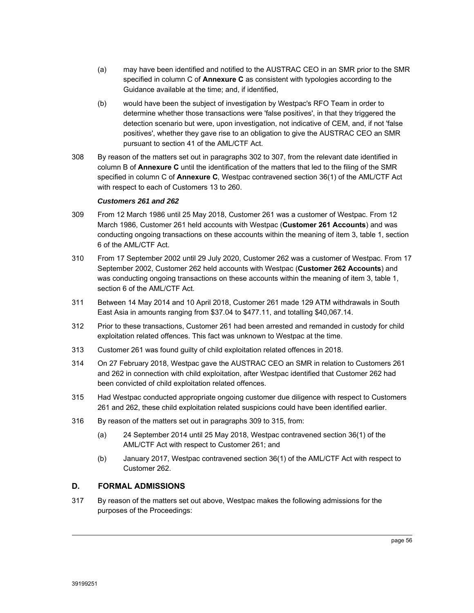- (a) may have been identified and notified to the AUSTRAC CEO in an SMR prior to the SMR specified in column C of **Annexure C** as consistent with typologies according to the Guidance available at the time; and, if identified,
- (b) would have been the subject of investigation by Westpac's RFO Team in order to determine whether those transactions were 'false positives', in that they triggered the detection scenario but were, upon investigation, not indicative of CEM, and, if not 'false positives', whether they gave rise to an obligation to give the AUSTRAC CEO an SMR pursuant to section 41 of the AML/CTF Act.
- 308 By reason of the matters set out in paragraphs 302 to 307, from the relevant date identified in column B of **Annexure C** until the identification of the matters that led to the filing of the SMR specified in column C of **Annexure C**, Westpac contravened section 36(1) of the AML/CTF Act with respect to each of Customers 13 to 260.

# *Customers 261 and 262*

- 309 From 12 March 1986 until 25 May 2018, Customer 261 was a customer of Westpac. From 12 March 1986, Customer 261 held accounts with Westpac (**Customer 261 Accounts**) and was conducting ongoing transactions on these accounts within the meaning of item 3, table 1, section 6 of the AML/CTF Act.
- 310 From 17 September 2002 until 29 July 2020, Customer 262 was a customer of Westpac. From 17 September 2002, Customer 262 held accounts with Westpac (**Customer 262 Accounts**) and was conducting ongoing transactions on these accounts within the meaning of item 3, table 1, section 6 of the AML/CTF Act.
- 311 Between 14 May 2014 and 10 April 2018, Customer 261 made 129 ATM withdrawals in South East Asia in amounts ranging from \$37.04 to \$477.11, and totalling \$40,067.14.
- 312 Prior to these transactions, Customer 261 had been arrested and remanded in custody for child exploitation related offences. This fact was unknown to Westpac at the time.
- 313 Customer 261 was found guilty of child exploitation related offences in 2018.
- 314 On 27 February 2018, Westpac gave the AUSTRAC CEO an SMR in relation to Customers 261 and 262 in connection with child exploitation, after Westpac identified that Customer 262 had been convicted of child exploitation related offences.
- 315 Had Westpac conducted appropriate ongoing customer due diligence with respect to Customers 261 and 262, these child exploitation related suspicions could have been identified earlier.
- 316 By reason of the matters set out in paragraphs 309 to 315, from:
	- (a) 24 September 2014 until 25 May 2018, Westpac contravened section 36(1) of the AML/CTF Act with respect to Customer 261; and
	- (b) January 2017, Westpac contravened section 36(1) of the AML/CTF Act with respect to Customer 262.

# **D. FORMAL ADMISSIONS**

317 By reason of the matters set out above, Westpac makes the following admissions for the purposes of the Proceedings: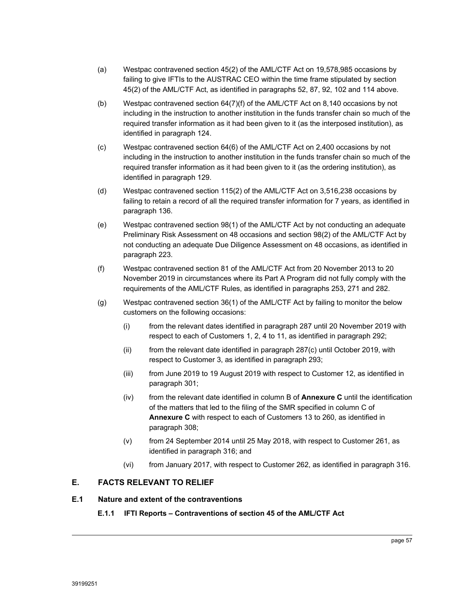- (a) Westpac contravened section 45(2) of the AML/CTF Act on 19,578,985 occasions by failing to give IFTIs to the AUSTRAC CEO within the time frame stipulated by section 45(2) of the AML/CTF Act, as identified in paragraphs 52, 87, 92, 102 and 114 above.
- (b) Westpac contravened section 64(7)(f) of the AML/CTF Act on 8,140 occasions by not including in the instruction to another institution in the funds transfer chain so much of the required transfer information as it had been given to it (as the interposed institution), as identified in paragraph 124.
- (c) Westpac contravened section 64(6) of the AML/CTF Act on 2,400 occasions by not including in the instruction to another institution in the funds transfer chain so much of the required transfer information as it had been given to it (as the ordering institution), as identified in paragraph 129.
- (d) Westpac contravened section 115(2) of the AML/CTF Act on 3,516,238 occasions by failing to retain a record of all the required transfer information for 7 years, as identified in paragraph 136.
- (e) Westpac contravened section 98(1) of the AML/CTF Act by not conducting an adequate Preliminary Risk Assessment on 48 occasions and section 98(2) of the AML/CTF Act by not conducting an adequate Due Diligence Assessment on 48 occasions, as identified in paragraph 223.
- (f) Westpac contravened section 81 of the AML/CTF Act from 20 November 2013 to 20 November 2019 in circumstances where its Part A Program did not fully comply with the requirements of the AML/CTF Rules, as identified in paragraphs 253, 271 and 282.
- (g) Westpac contravened section 36(1) of the AML/CTF Act by failing to monitor the below customers on the following occasions:
	- (i) from the relevant dates identified in paragraph 287 until 20 November 2019 with respect to each of Customers 1, 2, 4 to 11, as identified in paragraph 292;
	- (ii) from the relevant date identified in paragraph 287(c) until October 2019, with respect to Customer 3, as identified in paragraph 293;
	- (iii) from June 2019 to 19 August 2019 with respect to Customer 12, as identified in paragraph 301;
	- (iv) from the relevant date identified in column B of **Annexure C** until the identification of the matters that led to the filing of the SMR specified in column C of **Annexure C** with respect to each of Customers 13 to 260, as identified in paragraph 308;
	- (v) from 24 September 2014 until 25 May 2018, with respect to Customer 261, as identified in paragraph 316; and
	- (vi) from January 2017, with respect to Customer 262, as identified in paragraph 316.

# **E. FACTS RELEVANT TO RELIEF**

# **E.1 Nature and extent of the contraventions**

# **E.1.1 IFTI Reports – Contraventions of section 45 of the AML/CTF Act**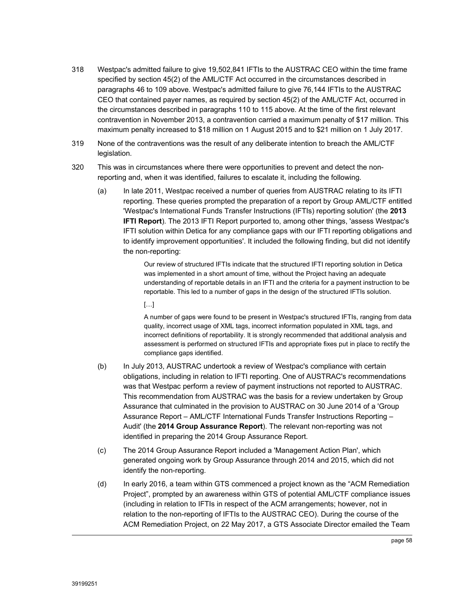- 318 Westpac's admitted failure to give 19,502,841 IFTIs to the AUSTRAC CEO within the time frame specified by section 45(2) of the AML/CTF Act occurred in the circumstances described in paragraphs 46 to 109 above. Westpac's admitted failure to give 76,144 IFTIs to the AUSTRAC CEO that contained payer names, as required by section 45(2) of the AML/CTF Act, occurred in the circumstances described in paragraphs 110 to 115 above. At the time of the first relevant contravention in November 2013, a contravention carried a maximum penalty of \$17 million. This maximum penalty increased to \$18 million on 1 August 2015 and to \$21 million on 1 July 2017.
- 319 None of the contraventions was the result of any deliberate intention to breach the AML/CTF legislation.
- 320 This was in circumstances where there were opportunities to prevent and detect the nonreporting and, when it was identified, failures to escalate it, including the following.
	- (a) In late 2011, Westpac received a number of queries from AUSTRAC relating to its IFTI reporting. These queries prompted the preparation of a report by Group AML/CTF entitled 'Westpac's International Funds Transfer Instructions (IFTIs) reporting solution' (the **2013 IFTI Report**). The 2013 IFTI Report purported to, among other things, 'assess Westpac's IFTI solution within Detica for any compliance gaps with our IFTI reporting obligations and to identify improvement opportunities'. It included the following finding, but did not identify the non-reporting:

Our review of structured IFTIs indicate that the structured IFTI reporting solution in Detica was implemented in a short amount of time, without the Project having an adequate understanding of reportable details in an IFTI and the criteria for a payment instruction to be reportable. This led to a number of gaps in the design of the structured IFTIs solution.

 $[\cdot \cdot]$ 

A number of gaps were found to be present in Westpac's structured IFTIs, ranging from data quality, incorrect usage of XML tags, incorrect information populated in XML tags, and incorrect definitions of reportability. It is strongly recommended that additional analysis and assessment is performed on structured IFTIs and appropriate fixes put in place to rectify the compliance gaps identified.

- (b) In July 2013, AUSTRAC undertook a review of Westpac's compliance with certain obligations, including in relation to IFTI reporting. One of AUSTRAC's recommendations was that Westpac perform a review of payment instructions not reported to AUSTRAC. This recommendation from AUSTRAC was the basis for a review undertaken by Group Assurance that culminated in the provision to AUSTRAC on 30 June 2014 of a 'Group Assurance Report – AML/CTF International Funds Transfer Instructions Reporting – Audit' (the **2014 Group Assurance Report**). The relevant non-reporting was not identified in preparing the 2014 Group Assurance Report.
- (c) The 2014 Group Assurance Report included a 'Management Action Plan', which generated ongoing work by Group Assurance through 2014 and 2015, which did not identify the non-reporting.
- (d) In early 2016, a team within GTS commenced a project known as the "ACM Remediation Project", prompted by an awareness within GTS of potential AML/CTF compliance issues (including in relation to IFTIs in respect of the ACM arrangements; however, not in relation to the non-reporting of IFTIs to the AUSTRAC CEO). During the course of the ACM Remediation Project, on 22 May 2017, a GTS Associate Director emailed the Team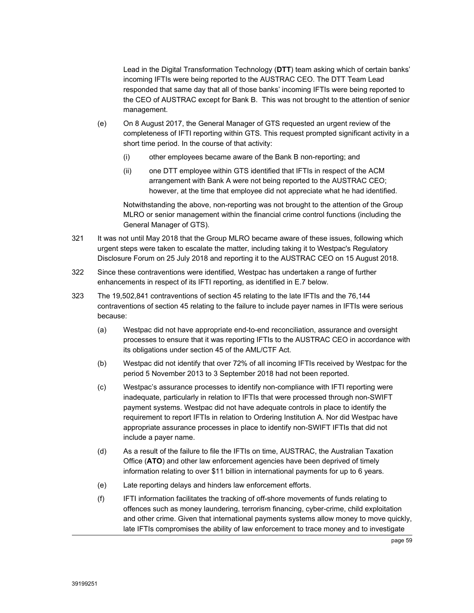Lead in the Digital Transformation Technology (**DTT**) team asking which of certain banks' incoming IFTIs were being reported to the AUSTRAC CEO. The DTT Team Lead responded that same day that all of those banks' incoming IFTIs were being reported to the CEO of AUSTRAC except for Bank B. This was not brought to the attention of senior management.

- (e) On 8 August 2017, the General Manager of GTS requested an urgent review of the completeness of IFTI reporting within GTS. This request prompted significant activity in a short time period. In the course of that activity:
	- (i) other employees became aware of the Bank B non-reporting; and
	- (ii) one DTT employee within GTS identified that IFTIs in respect of the ACM arrangement with Bank A were not being reported to the AUSTRAC CEO; however, at the time that employee did not appreciate what he had identified.

Notwithstanding the above, non-reporting was not brought to the attention of the Group MLRO or senior management within the financial crime control functions (including the General Manager of GTS).

- 321 It was not until May 2018 that the Group MLRO became aware of these issues, following which urgent steps were taken to escalate the matter, including taking it to Westpac's Regulatory Disclosure Forum on 25 July 2018 and reporting it to the AUSTRAC CEO on 15 August 2018.
- 322 Since these contraventions were identified, Westpac has undertaken a range of further enhancements in respect of its IFTI reporting, as identified in E.7 below.
- 323 The 19,502,841 contraventions of section 45 relating to the late IFTIs and the 76,144 contraventions of section 45 relating to the failure to include payer names in IFTIs were serious because:
	- (a) Westpac did not have appropriate end-to-end reconciliation, assurance and oversight processes to ensure that it was reporting IFTIs to the AUSTRAC CEO in accordance with its obligations under section 45 of the AML/CTF Act.
	- (b) Westpac did not identify that over 72% of all incoming IFTIs received by Westpac for the period 5 November 2013 to 3 September 2018 had not been reported.
	- (c) Westpac's assurance processes to identify non-compliance with IFTI reporting were inadequate, particularly in relation to IFTIs that were processed through non-SWIFT payment systems. Westpac did not have adequate controls in place to identify the requirement to report IFTIs in relation to Ordering Institution A. Nor did Westpac have appropriate assurance processes in place to identify non-SWIFT IFTIs that did not include a payer name.
	- (d) As a result of the failure to file the IFTIs on time, AUSTRAC, the Australian Taxation Office (**ATO**) and other law enforcement agencies have been deprived of timely information relating to over \$11 billion in international payments for up to 6 years.
	- (e) Late reporting delays and hinders law enforcement efforts.
	- (f) IFTI information facilitates the tracking of off-shore movements of funds relating to offences such as money laundering, terrorism financing, cyber-crime, child exploitation and other crime. Given that international payments systems allow money to move quickly, late IFTIs compromises the ability of law enforcement to trace money and to investigate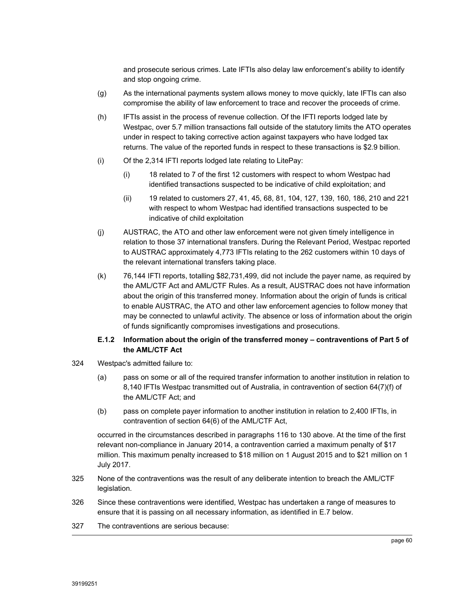and prosecute serious crimes. Late IFTIs also delay law enforcement's ability to identify and stop ongoing crime.

- (g) As the international payments system allows money to move quickly, late IFTIs can also compromise the ability of law enforcement to trace and recover the proceeds of crime.
- (h) IFTIs assist in the process of revenue collection. Of the IFTI reports lodged late by Westpac, over 5.7 million transactions fall outside of the statutory limits the ATO operates under in respect to taking corrective action against taxpayers who have lodged tax returns. The value of the reported funds in respect to these transactions is \$2.9 billion.
- (i) Of the 2,314 IFTI reports lodged late relating to LitePay:
	- (i) 18 related to 7 of the first 12 customers with respect to whom Westpac had identified transactions suspected to be indicative of child exploitation; and
	- (ii) 19 related to customers 27, 41, 45, 68, 81, 104, 127, 139, 160, 186, 210 and 221 with respect to whom Westpac had identified transactions suspected to be indicative of child exploitation
- (j) AUSTRAC, the ATO and other law enforcement were not given timely intelligence in relation to those 37 international transfers. During the Relevant Period, Westpac reported to AUSTRAC approximately 4,773 IFTIs relating to the 262 customers within 10 days of the relevant international transfers taking place.
- (k) 76,144 IFTI reports, totalling \$82,731,499, did not include the payer name, as required by the AML/CTF Act and AML/CTF Rules. As a result, AUSTRAC does not have information about the origin of this transferred money. Information about the origin of funds is critical to enable AUSTRAC, the ATO and other law enforcement agencies to follow money that may be connected to unlawful activity. The absence or loss of information about the origin of funds significantly compromises investigations and prosecutions.

# **E.1.2 Information about the origin of the transferred money – contraventions of Part 5 of the AML/CTF Act**

- 324 Westpac's admitted failure to:
	- (a) pass on some or all of the required transfer information to another institution in relation to 8,140 IFTIs Westpac transmitted out of Australia, in contravention of section 64(7)(f) of the AML/CTF Act; and
	- (b) pass on complete payer information to another institution in relation to 2,400 IFTIs, in contravention of section 64(6) of the AML/CTF Act,

occurred in the circumstances described in paragraphs 116 to 130 above. At the time of the first relevant non-compliance in January 2014, a contravention carried a maximum penalty of \$17 million. This maximum penalty increased to \$18 million on 1 August 2015 and to \$21 million on 1 July 2017.

- 325 None of the contraventions was the result of any deliberate intention to breach the AML/CTF legislation.
- 326 Since these contraventions were identified, Westpac has undertaken a range of measures to ensure that it is passing on all necessary information, as identified in E.7 below.
- 327 The contraventions are serious because: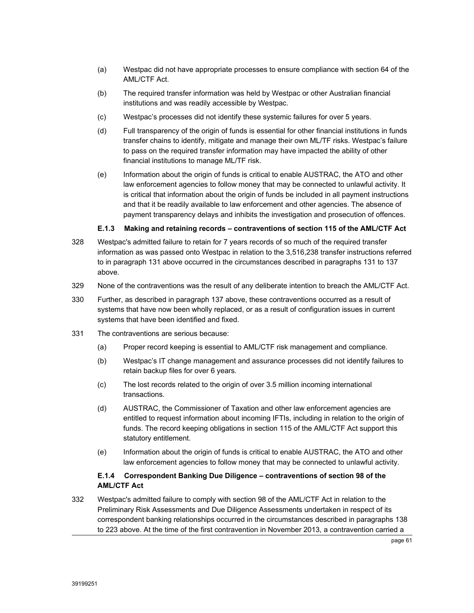- (a) Westpac did not have appropriate processes to ensure compliance with section 64 of the AML/CTF Act.
- (b) The required transfer information was held by Westpac or other Australian financial institutions and was readily accessible by Westpac.
- (c) Westpac's processes did not identify these systemic failures for over 5 years.
- (d) Full transparency of the origin of funds is essential for other financial institutions in funds transfer chains to identify, mitigate and manage their own ML/TF risks. Westpac's failure to pass on the required transfer information may have impacted the ability of other financial institutions to manage ML/TF risk.
- (e) Information about the origin of funds is critical to enable AUSTRAC, the ATO and other law enforcement agencies to follow money that may be connected to unlawful activity. It is critical that information about the origin of funds be included in all payment instructions and that it be readily available to law enforcement and other agencies. The absence of payment transparency delays and inhibits the investigation and prosecution of offences.

# **E.1.3 Making and retaining records – contraventions of section 115 of the AML/CTF Act**

- 328 Westpac's admitted failure to retain for 7 years records of so much of the required transfer information as was passed onto Westpac in relation to the 3,516,238 transfer instructions referred to in paragraph 131 above occurred in the circumstances described in paragraphs 131 to 137 above.
- 329 None of the contraventions was the result of any deliberate intention to breach the AML/CTF Act.
- 330 Further, as described in paragraph 137 above, these contraventions occurred as a result of systems that have now been wholly replaced, or as a result of configuration issues in current systems that have been identified and fixed.
- 331 The contraventions are serious because:
	- (a) Proper record keeping is essential to AML/CTF risk management and compliance.
	- (b) Westpac's IT change management and assurance processes did not identify failures to retain backup files for over 6 years.
	- (c) The lost records related to the origin of over 3.5 million incoming international transactions.
	- (d) AUSTRAC, the Commissioner of Taxation and other law enforcement agencies are entitled to request information about incoming IFTIs, including in relation to the origin of funds. The record keeping obligations in section 115 of the AML/CTF Act support this statutory entitlement.
	- (e) Information about the origin of funds is critical to enable AUSTRAC, the ATO and other law enforcement agencies to follow money that may be connected to unlawful activity.

# **E.1.4 Correspondent Banking Due Diligence – contraventions of section 98 of the AML/CTF Act**

332 Westpac's admitted failure to comply with section 98 of the AML/CTF Act in relation to the Preliminary Risk Assessments and Due Diligence Assessments undertaken in respect of its correspondent banking relationships occurred in the circumstances described in paragraphs 138 to 223 above. At the time of the first contravention in November 2013, a contravention carried a

page 61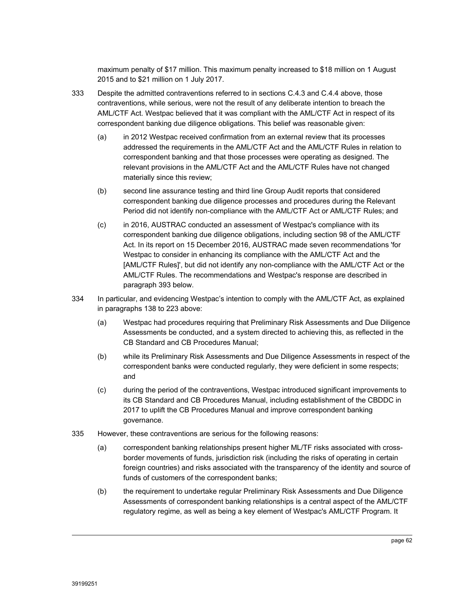maximum penalty of \$17 million. This maximum penalty increased to \$18 million on 1 August 2015 and to \$21 million on 1 July 2017.

- 333 Despite the admitted contraventions referred to in sections C.4.3 and C.4.4 above, those contraventions, while serious, were not the result of any deliberate intention to breach the AML/CTF Act. Westpac believed that it was compliant with the AML/CTF Act in respect of its correspondent banking due diligence obligations. This belief was reasonable given:
	- (a) in 2012 Westpac received confirmation from an external review that its processes addressed the requirements in the AML/CTF Act and the AML/CTF Rules in relation to correspondent banking and that those processes were operating as designed. The relevant provisions in the AML/CTF Act and the AML/CTF Rules have not changed materially since this review;
	- (b) second line assurance testing and third line Group Audit reports that considered correspondent banking due diligence processes and procedures during the Relevant Period did not identify non-compliance with the AML/CTF Act or AML/CTF Rules; and
	- (c) in 2016, AUSTRAC conducted an assessment of Westpac's compliance with its correspondent banking due diligence obligations, including section 98 of the AML/CTF Act. In its report on 15 December 2016, AUSTRAC made seven recommendations 'for Westpac to consider in enhancing its compliance with the AML/CTF Act and the [AML/CTF Rules]', but did not identify any non-compliance with the AML/CTF Act or the AML/CTF Rules. The recommendations and Westpac's response are described in paragraph 393 below.
- 334 In particular, and evidencing Westpac's intention to comply with the AML/CTF Act, as explained in paragraphs 138 to 223 above:
	- (a) Westpac had procedures requiring that Preliminary Risk Assessments and Due Diligence Assessments be conducted, and a system directed to achieving this, as reflected in the CB Standard and CB Procedures Manual;
	- (b) while its Preliminary Risk Assessments and Due Diligence Assessments in respect of the correspondent banks were conducted regularly, they were deficient in some respects; and
	- (c) during the period of the contraventions, Westpac introduced significant improvements to its CB Standard and CB Procedures Manual, including establishment of the CBDDC in 2017 to uplift the CB Procedures Manual and improve correspondent banking governance.
- 335 However, these contraventions are serious for the following reasons:
	- (a) correspondent banking relationships present higher ML/TF risks associated with crossborder movements of funds, jurisdiction risk (including the risks of operating in certain foreign countries) and risks associated with the transparency of the identity and source of funds of customers of the correspondent banks;
	- (b) the requirement to undertake regular Preliminary Risk Assessments and Due Diligence Assessments of correspondent banking relationships is a central aspect of the AML/CTF regulatory regime, as well as being a key element of Westpac's AML/CTF Program. It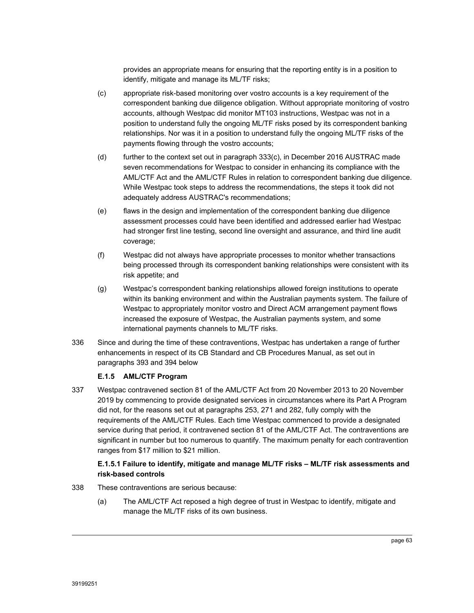provides an appropriate means for ensuring that the reporting entity is in a position to identify, mitigate and manage its ML/TF risks;

- (c) appropriate risk-based monitoring over vostro accounts is a key requirement of the correspondent banking due diligence obligation. Without appropriate monitoring of vostro accounts, although Westpac did monitor MT103 instructions, Westpac was not in a position to understand fully the ongoing ML/TF risks posed by its correspondent banking relationships. Nor was it in a position to understand fully the ongoing ML/TF risks of the payments flowing through the vostro accounts;
- (d) further to the context set out in paragraph 333(c), in December 2016 AUSTRAC made seven recommendations for Westpac to consider in enhancing its compliance with the AML/CTF Act and the AML/CTF Rules in relation to correspondent banking due diligence. While Westpac took steps to address the recommendations, the steps it took did not adequately address AUSTRAC's recommendations;
- (e) flaws in the design and implementation of the correspondent banking due diligence assessment processes could have been identified and addressed earlier had Westpac had stronger first line testing, second line oversight and assurance, and third line audit coverage;
- (f) Westpac did not always have appropriate processes to monitor whether transactions being processed through its correspondent banking relationships were consistent with its risk appetite; and
- (g) Westpac's correspondent banking relationships allowed foreign institutions to operate within its banking environment and within the Australian payments system. The failure of Westpac to appropriately monitor vostro and Direct ACM arrangement payment flows increased the exposure of Westpac, the Australian payments system, and some international payments channels to ML/TF risks.
- 336 Since and during the time of these contraventions, Westpac has undertaken a range of further enhancements in respect of its CB Standard and CB Procedures Manual, as set out in paragraphs 393 and 394 below

# **E.1.5 AML/CTF Program**

337 Westpac contravened section 81 of the AML/CTF Act from 20 November 2013 to 20 November 2019 by commencing to provide designated services in circumstances where its Part A Program did not, for the reasons set out at paragraphs 253, 271 and 282, fully comply with the requirements of the AML/CTF Rules. Each time Westpac commenced to provide a designated service during that period, it contravened section 81 of the AML/CTF Act. The contraventions are significant in number but too numerous to quantify. The maximum penalty for each contravention ranges from \$17 million to \$21 million.

# **E.1.5.1 Failure to identify, mitigate and manage ML/TF risks – ML/TF risk assessments and risk-based controls**

- 338 These contraventions are serious because:
	- (a) The AML/CTF Act reposed a high degree of trust in Westpac to identify, mitigate and manage the ML/TF risks of its own business.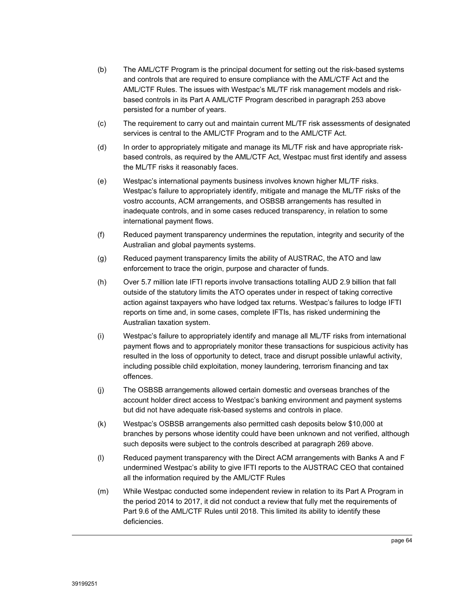- (b) The AML/CTF Program is the principal document for setting out the risk-based systems and controls that are required to ensure compliance with the AML/CTF Act and the AML/CTF Rules. The issues with Westpac's ML/TF risk management models and riskbased controls in its Part A AML/CTF Program described in paragraph 253 above persisted for a number of years.
- (c) The requirement to carry out and maintain current ML/TF risk assessments of designated services is central to the AML/CTF Program and to the AML/CTF Act.
- (d) In order to appropriately mitigate and manage its ML/TF risk and have appropriate riskbased controls, as required by the AML/CTF Act, Westpac must first identify and assess the ML/TF risks it reasonably faces.
- (e) Westpac's international payments business involves known higher ML/TF risks. Westpac's failure to appropriately identify, mitigate and manage the ML/TF risks of the vostro accounts, ACM arrangements, and OSBSB arrangements has resulted in inadequate controls, and in some cases reduced transparency, in relation to some international payment flows.
- (f) Reduced payment transparency undermines the reputation, integrity and security of the Australian and global payments systems.
- (g) Reduced payment transparency limits the ability of AUSTRAC, the ATO and law enforcement to trace the origin, purpose and character of funds.
- (h) Over 5.7 million late IFTI reports involve transactions totalling AUD 2.9 billion that fall outside of the statutory limits the ATO operates under in respect of taking corrective action against taxpayers who have lodged tax returns. Westpac's failures to lodge IFTI reports on time and, in some cases, complete IFTIs, has risked undermining the Australian taxation system.
- (i) Westpac's failure to appropriately identify and manage all ML/TF risks from international payment flows and to appropriately monitor these transactions for suspicious activity has resulted in the loss of opportunity to detect, trace and disrupt possible unlawful activity, including possible child exploitation, money laundering, terrorism financing and tax offences.
- (j) The OSBSB arrangements allowed certain domestic and overseas branches of the account holder direct access to Westpac's banking environment and payment systems but did not have adequate risk-based systems and controls in place.
- (k) Westpac's OSBSB arrangements also permitted cash deposits below \$10,000 at branches by persons whose identity could have been unknown and not verified, although such deposits were subject to the controls described at paragraph 269 above.
- (l) Reduced payment transparency with the Direct ACM arrangements with Banks A and F undermined Westpac's ability to give IFTI reports to the AUSTRAC CEO that contained all the information required by the AML/CTF Rules
- (m) While Westpac conducted some independent review in relation to its Part A Program in the period 2014 to 2017, it did not conduct a review that fully met the requirements of Part 9.6 of the AML/CTF Rules until 2018. This limited its ability to identify these deficiencies.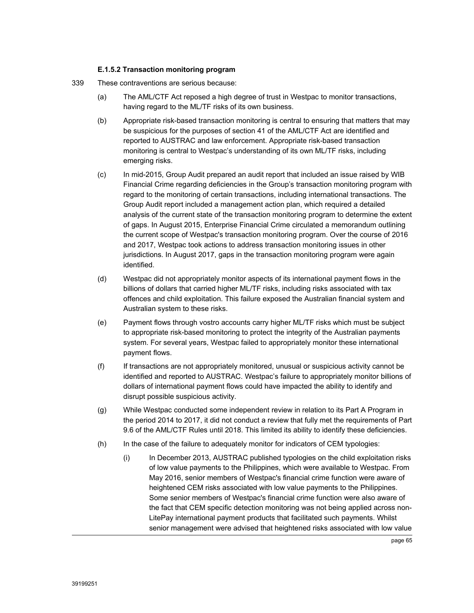## **E.1.5.2 Transaction monitoring program**

- 339 These contraventions are serious because:
	- (a) The AML/CTF Act reposed a high degree of trust in Westpac to monitor transactions, having regard to the ML/TF risks of its own business.
	- (b) Appropriate risk-based transaction monitoring is central to ensuring that matters that may be suspicious for the purposes of section 41 of the AML/CTF Act are identified and reported to AUSTRAC and law enforcement. Appropriate risk-based transaction monitoring is central to Westpac's understanding of its own ML/TF risks, including emerging risks.
	- (c) In mid-2015, Group Audit prepared an audit report that included an issue raised by WIB Financial Crime regarding deficiencies in the Group's transaction monitoring program with regard to the monitoring of certain transactions, including international transactions. The Group Audit report included a management action plan, which required a detailed analysis of the current state of the transaction monitoring program to determine the extent of gaps. In August 2015, Enterprise Financial Crime circulated a memorandum outlining the current scope of Westpac's transaction monitoring program. Over the course of 2016 and 2017, Westpac took actions to address transaction monitoring issues in other jurisdictions. In August 2017, gaps in the transaction monitoring program were again identified.
	- (d) Westpac did not appropriately monitor aspects of its international payment flows in the billions of dollars that carried higher ML/TF risks, including risks associated with tax offences and child exploitation. This failure exposed the Australian financial system and Australian system to these risks.
	- (e) Payment flows through vostro accounts carry higher ML/TF risks which must be subject to appropriate risk-based monitoring to protect the integrity of the Australian payments system. For several years, Westpac failed to appropriately monitor these international payment flows.
	- (f) If transactions are not appropriately monitored, unusual or suspicious activity cannot be identified and reported to AUSTRAC. Westpac's failure to appropriately monitor billions of dollars of international payment flows could have impacted the ability to identify and disrupt possible suspicious activity.
	- (g) While Westpac conducted some independent review in relation to its Part A Program in the period 2014 to 2017, it did not conduct a review that fully met the requirements of Part 9.6 of the AML/CTF Rules until 2018. This limited its ability to identify these deficiencies.
	- (h) In the case of the failure to adequately monitor for indicators of CEM typologies:
		- (i) In December 2013, AUSTRAC published typologies on the child exploitation risks of low value payments to the Philippines, which were available to Westpac. From May 2016, senior members of Westpac's financial crime function were aware of heightened CEM risks associated with low value payments to the Philippines. Some senior members of Westpac's financial crime function were also aware of the fact that CEM specific detection monitoring was not being applied across non-LitePay international payment products that facilitated such payments. Whilst senior management were advised that heightened risks associated with low value

page 65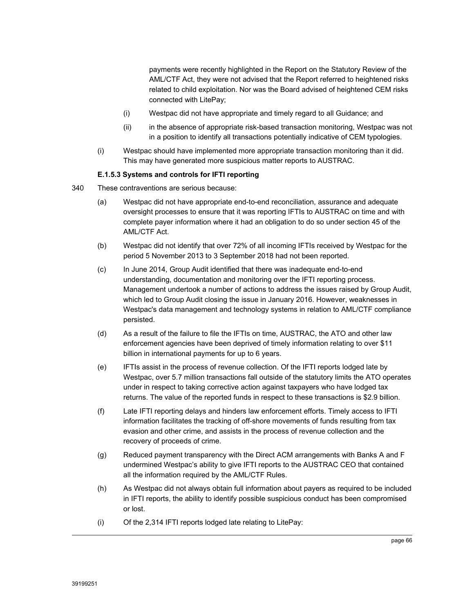payments were recently highlighted in the Report on the Statutory Review of the AML/CTF Act, they were not advised that the Report referred to heightened risks related to child exploitation. Nor was the Board advised of heightened CEM risks connected with LitePay;

- (i) Westpac did not have appropriate and timely regard to all Guidance; and
- (ii) in the absence of appropriate risk-based transaction monitoring, Westpac was not in a position to identify all transactions potentially indicative of CEM typologies.
- (i) Westpac should have implemented more appropriate transaction monitoring than it did. This may have generated more suspicious matter reports to AUSTRAC.

#### **E.1.5.3 Systems and controls for IFTI reporting**

- 340 These contraventions are serious because:
	- (a) Westpac did not have appropriate end-to-end reconciliation, assurance and adequate oversight processes to ensure that it was reporting IFTIs to AUSTRAC on time and with complete payer information where it had an obligation to do so under section 45 of the AML/CTF Act.
	- (b) Westpac did not identify that over 72% of all incoming IFTIs received by Westpac for the period 5 November 2013 to 3 September 2018 had not been reported.
	- (c) In June 2014, Group Audit identified that there was inadequate end-to-end understanding, documentation and monitoring over the IFTI reporting process. Management undertook a number of actions to address the issues raised by Group Audit, which led to Group Audit closing the issue in January 2016. However, weaknesses in Westpac's data management and technology systems in relation to AML/CTF compliance persisted.
	- (d) As a result of the failure to file the IFTIs on time, AUSTRAC, the ATO and other law enforcement agencies have been deprived of timely information relating to over \$11 billion in international payments for up to 6 years.
	- (e) IFTIs assist in the process of revenue collection. Of the IFTI reports lodged late by Westpac, over 5.7 million transactions fall outside of the statutory limits the ATO operates under in respect to taking corrective action against taxpayers who have lodged tax returns. The value of the reported funds in respect to these transactions is \$2.9 billion.
	- (f) Late IFTI reporting delays and hinders law enforcement efforts. Timely access to IFTI information facilitates the tracking of off-shore movements of funds resulting from tax evasion and other crime, and assists in the process of revenue collection and the recovery of proceeds of crime.
	- (g) Reduced payment transparency with the Direct ACM arrangements with Banks A and F undermined Westpac's ability to give IFTI reports to the AUSTRAC CEO that contained all the information required by the AML/CTF Rules.
	- (h) As Westpac did not always obtain full information about payers as required to be included in IFTI reports, the ability to identify possible suspicious conduct has been compromised or lost.
	- (i) Of the 2,314 IFTI reports lodged late relating to LitePay: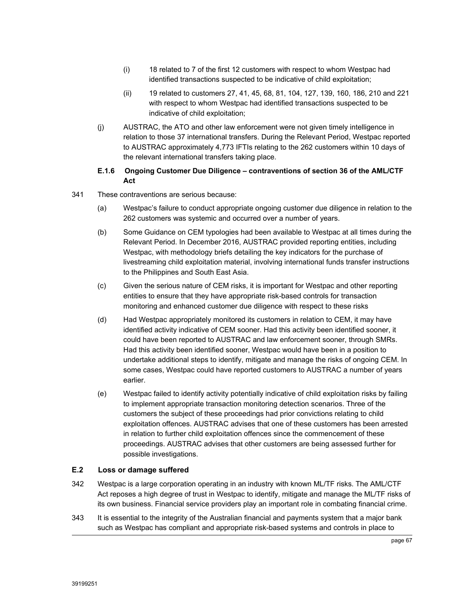- (i) 18 related to 7 of the first 12 customers with respect to whom Westpac had identified transactions suspected to be indicative of child exploitation;
- (ii) 19 related to customers 27, 41, 45, 68, 81, 104, 127, 139, 160, 186, 210 and 221 with respect to whom Westpac had identified transactions suspected to be indicative of child exploitation;
- (j) AUSTRAC, the ATO and other law enforcement were not given timely intelligence in relation to those 37 international transfers. During the Relevant Period, Westpac reported to AUSTRAC approximately 4,773 IFTIs relating to the 262 customers within 10 days of the relevant international transfers taking place.

# **E.1.6 Ongoing Customer Due Diligence – contraventions of section 36 of the AML/CTF Act**

- 341 These contraventions are serious because:
	- (a) Westpac's failure to conduct appropriate ongoing customer due diligence in relation to the 262 customers was systemic and occurred over a number of years.
	- (b) Some Guidance on CEM typologies had been available to Westpac at all times during the Relevant Period. In December 2016, AUSTRAC provided reporting entities, including Westpac, with methodology briefs detailing the key indicators for the purchase of livestreaming child exploitation material, involving international funds transfer instructions to the Philippines and South East Asia.
	- (c) Given the serious nature of CEM risks, it is important for Westpac and other reporting entities to ensure that they have appropriate risk-based controls for transaction monitoring and enhanced customer due diligence with respect to these risks
	- (d) Had Westpac appropriately monitored its customers in relation to CEM, it may have identified activity indicative of CEM sooner. Had this activity been identified sooner, it could have been reported to AUSTRAC and law enforcement sooner, through SMRs. Had this activity been identified sooner, Westpac would have been in a position to undertake additional steps to identify, mitigate and manage the risks of ongoing CEM. In some cases, Westpac could have reported customers to AUSTRAC a number of years earlier.
	- (e) Westpac failed to identify activity potentially indicative of child exploitation risks by failing to implement appropriate transaction monitoring detection scenarios. Three of the customers the subject of these proceedings had prior convictions relating to child exploitation offences. AUSTRAC advises that one of these customers has been arrested in relation to further child exploitation offences since the commencement of these proceedings. AUSTRAC advises that other customers are being assessed further for possible investigations.

# **E.2 Loss or damage suffered**

- 342 Westpac is a large corporation operating in an industry with known ML/TF risks. The AML/CTF Act reposes a high degree of trust in Westpac to identify, mitigate and manage the ML/TF risks of its own business. Financial service providers play an important role in combating financial crime.
- 343 It is essential to the integrity of the Australian financial and payments system that a major bank such as Westpac has compliant and appropriate risk-based systems and controls in place to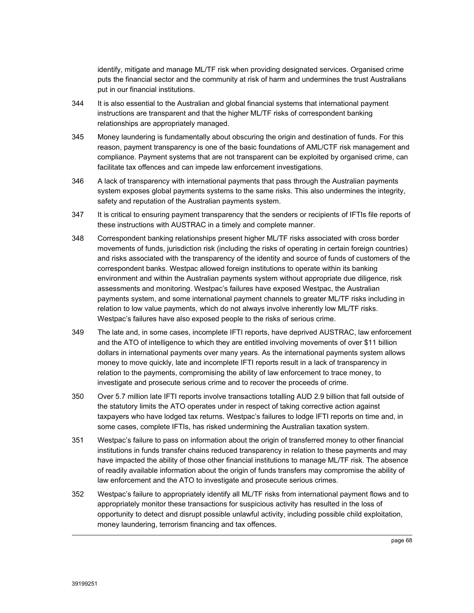identify, mitigate and manage ML/TF risk when providing designated services. Organised crime puts the financial sector and the community at risk of harm and undermines the trust Australians put in our financial institutions.

- 344 It is also essential to the Australian and global financial systems that international payment instructions are transparent and that the higher ML/TF risks of correspondent banking relationships are appropriately managed.
- 345 Money laundering is fundamentally about obscuring the origin and destination of funds. For this reason, payment transparency is one of the basic foundations of AML/CTF risk management and compliance. Payment systems that are not transparent can be exploited by organised crime, can facilitate tax offences and can impede law enforcement investigations.
- 346 A lack of transparency with international payments that pass through the Australian payments system exposes global payments systems to the same risks. This also undermines the integrity, safety and reputation of the Australian payments system.
- 347 It is critical to ensuring payment transparency that the senders or recipients of IFTIs file reports of these instructions with AUSTRAC in a timely and complete manner.
- 348 Correspondent banking relationships present higher ML/TF risks associated with cross border movements of funds, jurisdiction risk (including the risks of operating in certain foreign countries) and risks associated with the transparency of the identity and source of funds of customers of the correspondent banks. Westpac allowed foreign institutions to operate within its banking environment and within the Australian payments system without appropriate due diligence, risk assessments and monitoring. Westpac's failures have exposed Westpac, the Australian payments system, and some international payment channels to greater ML/TF risks including in relation to low value payments, which do not always involve inherently low ML/TF risks. Westpac's failures have also exposed people to the risks of serious crime.
- 349 The late and, in some cases, incomplete IFTI reports, have deprived AUSTRAC, law enforcement and the ATO of intelligence to which they are entitled involving movements of over \$11 billion dollars in international payments over many years. As the international payments system allows money to move quickly, late and incomplete IFTI reports result in a lack of transparency in relation to the payments, compromising the ability of law enforcement to trace money, to investigate and prosecute serious crime and to recover the proceeds of crime.
- 350 Over 5.7 million late IFTI reports involve transactions totalling AUD 2.9 billion that fall outside of the statutory limits the ATO operates under in respect of taking corrective action against taxpayers who have lodged tax returns. Westpac's failures to lodge IFTI reports on time and, in some cases, complete IFTIs, has risked undermining the Australian taxation system.
- 351 Westpac's failure to pass on information about the origin of transferred money to other financial institutions in funds transfer chains reduced transparency in relation to these payments and may have impacted the ability of those other financial institutions to manage ML/TF risk. The absence of readily available information about the origin of funds transfers may compromise the ability of law enforcement and the ATO to investigate and prosecute serious crimes.
- 352 Westpac's failure to appropriately identify all ML/TF risks from international payment flows and to appropriately monitor these transactions for suspicious activity has resulted in the loss of opportunity to detect and disrupt possible unlawful activity, including possible child exploitation, money laundering, terrorism financing and tax offences.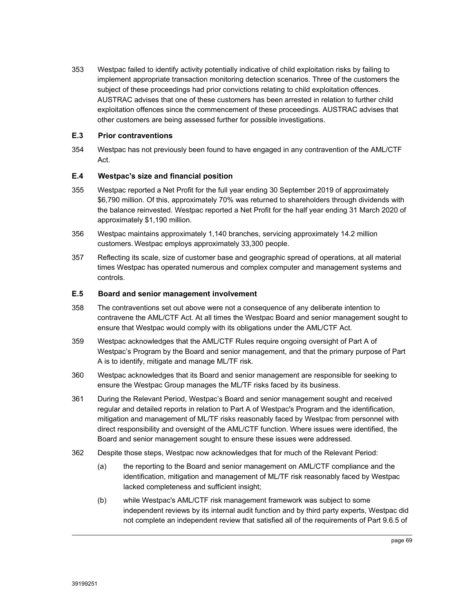353 Westpac failed to identify activity potentially indicative of child exploitation risks by failing to implement appropriate transaction monitoring detection scenarios. Three of the customers the subject of these proceedings had prior convictions relating to child exploitation offences. AUSTRAC advises that one of these customers has been arrested in relation to further child exploitation offences since the commencement of these proceedings. AUSTRAC advises that other customers are being assessed further for possible investigations.

# **E.3 Prior contraventions**

354 Westpac has not previously been found to have engaged in any contravention of the AML/CTF Act.

# **E.4 Westpac's size and financial position**

- 355 Westpac reported a Net Profit for the full year ending 30 September 2019 of approximately \$6,790 million. Of this, approximately 70% was returned to shareholders through dividends with the balance reinvested. Westpac reported a Net Profit for the half year ending 31 March 2020 of approximately \$1,190 million.
- 356 Westpac maintains approximately 1,140 branches, servicing approximately 14.2 million customers. Westpac employs approximately 33,300 people.
- 357 Reflecting its scale, size of customer base and geographic spread of operations, at all material times Westpac has operated numerous and complex computer and management systems and controls.

# **E.5 Board and senior management involvement**

- 358 The contraventions set out above were not a consequence of any deliberate intention to contravene the AML/CTF Act. At all times the Westpac Board and senior management sought to ensure that Westpac would comply with its obligations under the AML/CTF Act.
- 359 Westpac acknowledges that the AML/CTF Rules require ongoing oversight of Part A of Westpac's Program by the Board and senior management, and that the primary purpose of Part A is to identify, mitigate and manage ML/TF risk.
- 360 Westpac acknowledges that its Board and senior management are responsible for seeking to ensure the Westpac Group manages the ML/TF risks faced by its business.
- 361 During the Relevant Period, Westpac's Board and senior management sought and received regular and detailed reports in relation to Part A of Westpac's Program and the identification, mitigation and management of ML/TF risks reasonably faced by Westpac from personnel with direct responsibility and oversight of the AML/CTF function. Where issues were identified, the Board and senior management sought to ensure these issues were addressed.
- 362 Despite those steps, Westpac now acknowledges that for much of the Relevant Period:
	- (a) the reporting to the Board and senior management on AML/CTF compliance and the identification, mitigation and management of ML/TF risk reasonably faced by Westpac lacked completeness and sufficient insight;
	- (b) while Westpac's AML/CTF risk management framework was subject to some independent reviews by its internal audit function and by third party experts, Westpac did not complete an independent review that satisfied all of the requirements of Part 9.6.5 of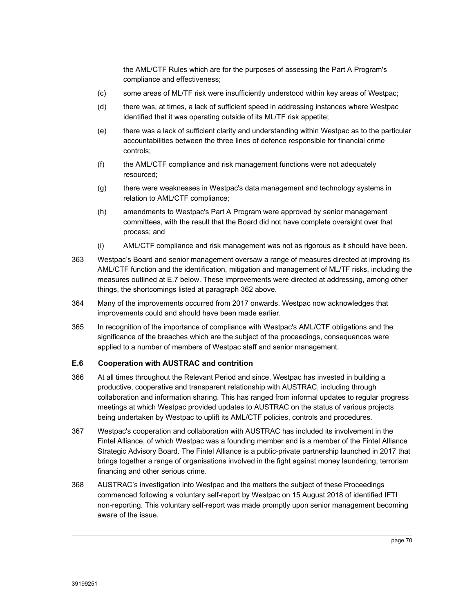the AML/CTF Rules which are for the purposes of assessing the Part A Program's compliance and effectiveness;

- (c) some areas of ML/TF risk were insufficiently understood within key areas of Westpac;
- (d) there was, at times, a lack of sufficient speed in addressing instances where Westpac identified that it was operating outside of its ML/TF risk appetite;
- (e) there was a lack of sufficient clarity and understanding within Westpac as to the particular accountabilities between the three lines of defence responsible for financial crime controls;
- (f) the AML/CTF compliance and risk management functions were not adequately resourced;
- (g) there were weaknesses in Westpac's data management and technology systems in relation to AML/CTF compliance;
- (h) amendments to Westpac's Part A Program were approved by senior management committees, with the result that the Board did not have complete oversight over that process; and
- (i) AML/CTF compliance and risk management was not as rigorous as it should have been.
- 363 Westpac's Board and senior management oversaw a range of measures directed at improving its AML/CTF function and the identification, mitigation and management of ML/TF risks, including the measures outlined at E.7 below. These improvements were directed at addressing, among other things, the shortcomings listed at paragraph 362 above.
- 364 Many of the improvements occurred from 2017 onwards. Westpac now acknowledges that improvements could and should have been made earlier.
- 365 In recognition of the importance of compliance with Westpac's AML/CTF obligations and the significance of the breaches which are the subject of the proceedings, consequences were applied to a number of members of Westpac staff and senior management.

# **E.6 Cooperation with AUSTRAC and contrition**

- 366 At all times throughout the Relevant Period and since, Westpac has invested in building a productive, cooperative and transparent relationship with AUSTRAC, including through collaboration and information sharing. This has ranged from informal updates to regular progress meetings at which Westpac provided updates to AUSTRAC on the status of various projects being undertaken by Westpac to uplift its AML/CTF policies, controls and procedures.
- 367 Westpac's cooperation and collaboration with AUSTRAC has included its involvement in the Fintel Alliance, of which Westpac was a founding member and is a member of the Fintel Alliance Strategic Advisory Board. The Fintel Alliance is a public-private partnership launched in 2017 that brings together a range of organisations involved in the fight against money laundering, terrorism financing and other serious crime.
- 368 AUSTRAC's investigation into Westpac and the matters the subject of these Proceedings commenced following a voluntary self-report by Westpac on 15 August 2018 of identified IFTI non-reporting. This voluntary self-report was made promptly upon senior management becoming aware of the issue.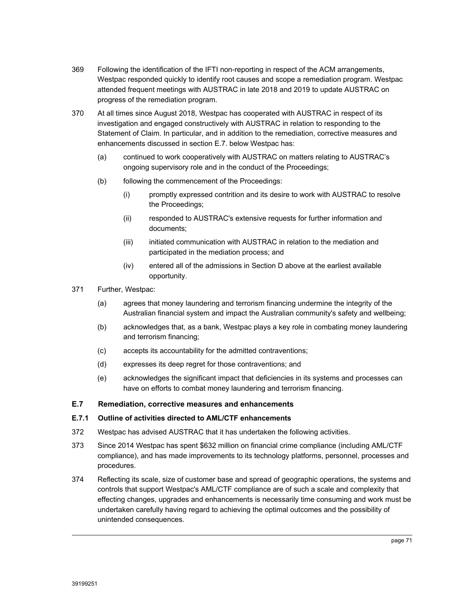- 369 Following the identification of the IFTI non-reporting in respect of the ACM arrangements, Westpac responded quickly to identify root causes and scope a remediation program. Westpac attended frequent meetings with AUSTRAC in late 2018 and 2019 to update AUSTRAC on progress of the remediation program.
- 370 At all times since August 2018, Westpac has cooperated with AUSTRAC in respect of its investigation and engaged constructively with AUSTRAC in relation to responding to the Statement of Claim. In particular, and in addition to the remediation, corrective measures and enhancements discussed in section E.7. below Westpac has:
	- (a) continued to work cooperatively with AUSTRAC on matters relating to AUSTRAC's ongoing supervisory role and in the conduct of the Proceedings;
	- (b) following the commencement of the Proceedings:
		- (i) promptly expressed contrition and its desire to work with AUSTRAC to resolve the Proceedings;
		- (ii) responded to AUSTRAC's extensive requests for further information and documents;
		- (iii) initiated communication with AUSTRAC in relation to the mediation and participated in the mediation process; and
		- (iv) entered all of the admissions in Section D above at the earliest available opportunity.
- 371 Further, Westpac:
	- (a) agrees that money laundering and terrorism financing undermine the integrity of the Australian financial system and impact the Australian community's safety and wellbeing;
	- (b) acknowledges that, as a bank, Westpac plays a key role in combating money laundering and terrorism financing;
	- (c) accepts its accountability for the admitted contraventions;
	- (d) expresses its deep regret for those contraventions; and
	- (e) acknowledges the significant impact that deficiencies in its systems and processes can have on efforts to combat money laundering and terrorism financing.

## **E.7 Remediation, corrective measures and enhancements**

#### **E.7.1 Outline of activities directed to AML/CTF enhancements**

- 372 Westpac has advised AUSTRAC that it has undertaken the following activities.
- 373 Since 2014 Westpac has spent \$632 million on financial crime compliance (including AML/CTF compliance), and has made improvements to its technology platforms, personnel, processes and procedures.
- 374 Reflecting its scale, size of customer base and spread of geographic operations, the systems and controls that support Westpac's AML/CTF compliance are of such a scale and complexity that effecting changes, upgrades and enhancements is necessarily time consuming and work must be undertaken carefully having regard to achieving the optimal outcomes and the possibility of unintended consequences.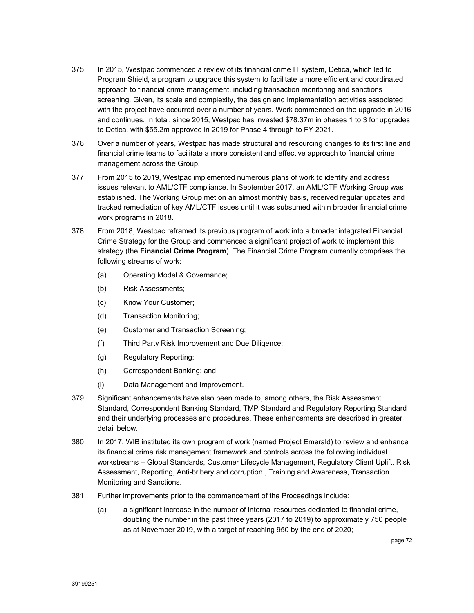- 375 In 2015, Westpac commenced a review of its financial crime IT system, Detica, which led to Program Shield, a program to upgrade this system to facilitate a more efficient and coordinated approach to financial crime management, including transaction monitoring and sanctions screening. Given, its scale and complexity, the design and implementation activities associated with the project have occurred over a number of years. Work commenced on the upgrade in 2016 and continues. In total, since 2015, Westpac has invested \$78.37m in phases 1 to 3 for upgrades to Detica, with \$55.2m approved in 2019 for Phase 4 through to FY 2021.
- 376 Over a number of years, Westpac has made structural and resourcing changes to its first line and financial crime teams to facilitate a more consistent and effective approach to financial crime management across the Group.
- 377 From 2015 to 2019, Westpac implemented numerous plans of work to identify and address issues relevant to AML/CTF compliance. In September 2017, an AML/CTF Working Group was established. The Working Group met on an almost monthly basis, received regular updates and tracked remediation of key AML/CTF issues until it was subsumed within broader financial crime work programs in 2018.
- 378 From 2018, Westpac reframed its previous program of work into a broader integrated Financial Crime Strategy for the Group and commenced a significant project of work to implement this strategy (the **Financial Crime Program**). The Financial Crime Program currently comprises the following streams of work:
	- (a) Operating Model & Governance;
	- (b) Risk Assessments;
	- (c) Know Your Customer;
	- (d) Transaction Monitoring;
	- (e) Customer and Transaction Screening;
	- (f) Third Party Risk Improvement and Due Diligence;
	- (g) Regulatory Reporting;
	- (h) Correspondent Banking; and
	- (i) Data Management and Improvement.
- 379 Significant enhancements have also been made to, among others, the Risk Assessment Standard, Correspondent Banking Standard, TMP Standard and Regulatory Reporting Standard and their underlying processes and procedures. These enhancements are described in greater detail below.
- 380 In 2017, WIB instituted its own program of work (named Project Emerald) to review and enhance its financial crime risk management framework and controls across the following individual workstreams – Global Standards, Customer Lifecycle Management, Regulatory Client Uplift, Risk Assessment, Reporting, Anti-bribery and corruption , Training and Awareness, Transaction Monitoring and Sanctions.
- 381 Further improvements prior to the commencement of the Proceedings include:
	- (a) a significant increase in the number of internal resources dedicated to financial crime, doubling the number in the past three years (2017 to 2019) to approximately 750 people as at November 2019, with a target of reaching 950 by the end of 2020;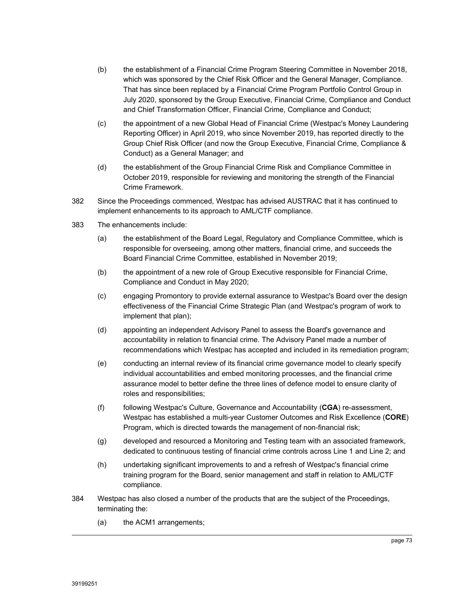- (b) the establishment of a Financial Crime Program Steering Committee in November 2018, which was sponsored by the Chief Risk Officer and the General Manager, Compliance. That has since been replaced by a Financial Crime Program Portfolio Control Group in July 2020, sponsored by the Group Executive, Financial Crime, Compliance and Conduct and Chief Transformation Officer, Financial Crime, Compliance and Conduct;
- (c) the appointment of a new Global Head of Financial Crime (Westpac's Money Laundering Reporting Officer) in April 2019, who since November 2019, has reported directly to the Group Chief Risk Officer (and now the Group Executive, Financial Crime, Compliance & Conduct) as a General Manager; and
- (d) the establishment of the Group Financial Crime Risk and Compliance Committee in October 2019, responsible for reviewing and monitoring the strength of the Financial Crime Framework.
- 382 Since the Proceedings commenced, Westpac has advised AUSTRAC that it has continued to implement enhancements to its approach to AML/CTF compliance.
- 383 The enhancements include:
	- (a) the establishment of the Board Legal, Regulatory and Compliance Committee, which is responsible for overseeing, among other matters, financial crime, and succeeds the Board Financial Crime Committee, established in November 2019;
	- (b) the appointment of a new role of Group Executive responsible for Financial Crime, Compliance and Conduct in May 2020;
	- (c) engaging Promontory to provide external assurance to Westpac's Board over the design effectiveness of the Financial Crime Strategic Plan (and Westpac's program of work to implement that plan);
	- (d) appointing an independent Advisory Panel to assess the Board's governance and accountability in relation to financial crime. The Advisory Panel made a number of recommendations which Westpac has accepted and included in its remediation program;
	- (e) conducting an internal review of its financial crime governance model to clearly specify individual accountabilities and embed monitoring processes, and the financial crime assurance model to better define the three lines of defence model to ensure clarity of roles and responsibilities;
	- (f) following Westpac's Culture, Governance and Accountability (**CGA**) re-assessment, Westpac has established a multi-year Customer Outcomes and Risk Excellence (**CORE**) Program, which is directed towards the management of non-financial risk;
	- (g) developed and resourced a Monitoring and Testing team with an associated framework, dedicated to continuous testing of financial crime controls across Line 1 and Line 2; and
	- (h) undertaking significant improvements to and a refresh of Westpac's financial crime training program for the Board, senior management and staff in relation to AML/CTF compliance.
- 384 Westpac has also closed a number of the products that are the subject of the Proceedings, terminating the:
	- (a) the ACM1 arrangements;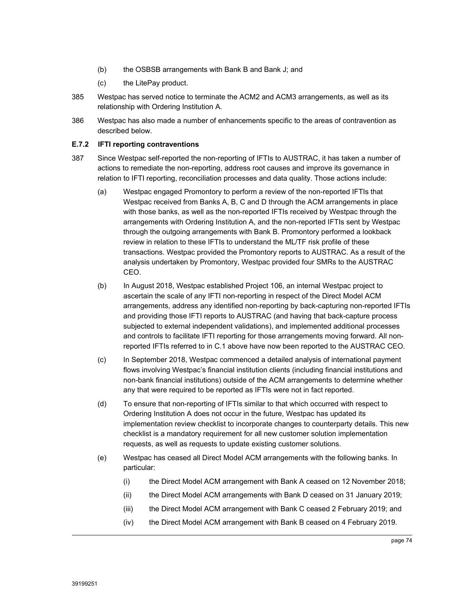- (b) the OSBSB arrangements with Bank B and Bank J; and
- (c) the LitePay product.
- 385 Westpac has served notice to terminate the ACM2 and ACM3 arrangements, as well as its relationship with Ordering Institution A.
- 386 Westpac has also made a number of enhancements specific to the areas of contravention as described below.

#### **E.7.2 IFTI reporting contraventions**

- 387 Since Westpac self-reported the non-reporting of IFTIs to AUSTRAC, it has taken a number of actions to remediate the non-reporting, address root causes and improve its governance in relation to IFTI reporting, reconciliation processes and data quality. Those actions include:
	- (a) Westpac engaged Promontory to perform a review of the non-reported IFTIs that Westpac received from Banks A, B, C and D through the ACM arrangements in place with those banks, as well as the non-reported IFTIs received by Westpac through the arrangements with Ordering Institution A, and the non-reported IFTIs sent by Westpac through the outgoing arrangements with Bank B. Promontory performed a lookback review in relation to these IFTIs to understand the ML/TF risk profile of these transactions. Westpac provided the Promontory reports to AUSTRAC. As a result of the analysis undertaken by Promontory, Westpac provided four SMRs to the AUSTRAC CEO.
	- (b) In August 2018, Westpac established Project 106, an internal Westpac project to ascertain the scale of any IFTI non-reporting in respect of the Direct Model ACM arrangements, address any identified non-reporting by back-capturing non-reported IFTIs and providing those IFTI reports to AUSTRAC (and having that back-capture process subjected to external independent validations), and implemented additional processes and controls to facilitate IFTI reporting for those arrangements moving forward. All nonreported IFTIs referred to in C.1 above have now been reported to the AUSTRAC CEO.
	- (c) In September 2018, Westpac commenced a detailed analysis of international payment flows involving Westpac's financial institution clients (including financial institutions and non-bank financial institutions) outside of the ACM arrangements to determine whether any that were required to be reported as IFTIs were not in fact reported.
	- (d) To ensure that non-reporting of IFTIs similar to that which occurred with respect to Ordering Institution A does not occur in the future, Westpac has updated its implementation review checklist to incorporate changes to counterparty details. This new checklist is a mandatory requirement for all new customer solution implementation requests, as well as requests to update existing customer solutions.
	- (e) Westpac has ceased all Direct Model ACM arrangements with the following banks. In particular:
		- (i) the Direct Model ACM arrangement with Bank A ceased on 12 November 2018;
		- (ii) the Direct Model ACM arrangements with Bank D ceased on 31 January 2019;
		- (iii) the Direct Model ACM arrangement with Bank C ceased 2 February 2019; and
		- (iv) the Direct Model ACM arrangement with Bank B ceased on 4 February 2019.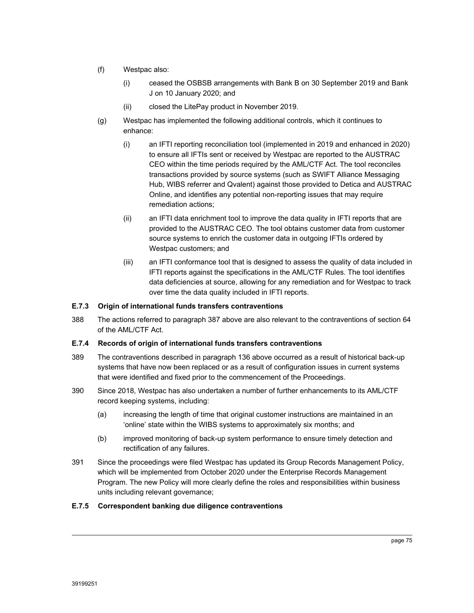- (f) Westpac also:
	- (i) ceased the OSBSB arrangements with Bank B on 30 September 2019 and Bank J on 10 January 2020; and
	- (ii) closed the LitePay product in November 2019.
- (g) Westpac has implemented the following additional controls, which it continues to enhance:
	- (i) an IFTI reporting reconciliation tool (implemented in 2019 and enhanced in 2020) to ensure all IFTIs sent or received by Westpac are reported to the AUSTRAC CEO within the time periods required by the AML/CTF Act. The tool reconciles transactions provided by source systems (such as SWIFT Alliance Messaging Hub, WIBS referrer and Qvalent) against those provided to Detica and AUSTRAC Online, and identifies any potential non-reporting issues that may require remediation actions;
	- (ii) an IFTI data enrichment tool to improve the data quality in IFTI reports that are provided to the AUSTRAC CEO. The tool obtains customer data from customer source systems to enrich the customer data in outgoing IFTIs ordered by Westpac customers; and
	- (iii) an IFTI conformance tool that is designed to assess the quality of data included in IFTI reports against the specifications in the AML/CTF Rules. The tool identifies data deficiencies at source, allowing for any remediation and for Westpac to track over time the data quality included in IFTI reports.

## **E.7.3 Origin of international funds transfers contraventions**

388 The actions referred to paragraph 387 above are also relevant to the contraventions of section 64 of the AML/CTF Act.

#### **E.7.4 Records of origin of international funds transfers contraventions**

- 389 The contraventions described in paragraph 136 above occurred as a result of historical back-up systems that have now been replaced or as a result of configuration issues in current systems that were identified and fixed prior to the commencement of the Proceedings.
- 390 Since 2018, Westpac has also undertaken a number of further enhancements to its AML/CTF record keeping systems, including:
	- (a) increasing the length of time that original customer instructions are maintained in an 'online' state within the WIBS systems to approximately six months; and
	- (b) improved monitoring of back-up system performance to ensure timely detection and rectification of any failures.
- 391 Since the proceedings were filed Westpac has updated its Group Records Management Policy, which will be implemented from October 2020 under the Enterprise Records Management Program. The new Policy will more clearly define the roles and responsibilities within business units including relevant governance;

#### **E.7.5 Correspondent banking due diligence contraventions**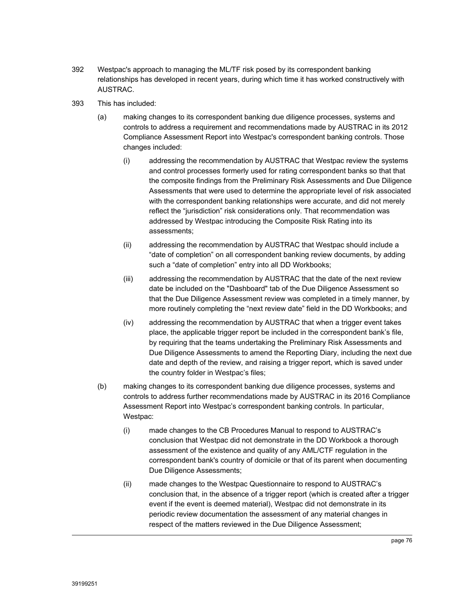- 392 Westpac's approach to managing the ML/TF risk posed by its correspondent banking relationships has developed in recent years, during which time it has worked constructively with AUSTRAC.
- 393 This has included:
	- (a) making changes to its correspondent banking due diligence processes, systems and controls to address a requirement and recommendations made by AUSTRAC in its 2012 Compliance Assessment Report into Westpac's correspondent banking controls. Those changes included:
		- (i) addressing the recommendation by AUSTRAC that Westpac review the systems and control processes formerly used for rating correspondent banks so that that the composite findings from the Preliminary Risk Assessments and Due Diligence Assessments that were used to determine the appropriate level of risk associated with the correspondent banking relationships were accurate, and did not merely reflect the "jurisdiction" risk considerations only. That recommendation was addressed by Westpac introducing the Composite Risk Rating into its assessments;
		- (ii) addressing the recommendation by AUSTRAC that Westpac should include a "date of completion" on all correspondent banking review documents, by adding such a "date of completion" entry into all DD Workbooks;
		- (iii) addressing the recommendation by AUSTRAC that the date of the next review date be included on the "Dashboard" tab of the Due Diligence Assessment so that the Due Diligence Assessment review was completed in a timely manner, by more routinely completing the "next review date" field in the DD Workbooks; and
		- (iv) addressing the recommendation by AUSTRAC that when a trigger event takes place, the applicable trigger report be included in the correspondent bank's file, by requiring that the teams undertaking the Preliminary Risk Assessments and Due Diligence Assessments to amend the Reporting Diary, including the next due date and depth of the review, and raising a trigger report, which is saved under the country folder in Westpac's files;
	- (b) making changes to its correspondent banking due diligence processes, systems and controls to address further recommendations made by AUSTRAC in its 2016 Compliance Assessment Report into Westpac's correspondent banking controls. In particular, Westpac:
		- (i) made changes to the CB Procedures Manual to respond to AUSTRAC's conclusion that Westpac did not demonstrate in the DD Workbook a thorough assessment of the existence and quality of any AML/CTF regulation in the correspondent bank's country of domicile or that of its parent when documenting Due Diligence Assessments;
		- (ii) made changes to the Westpac Questionnaire to respond to AUSTRAC's conclusion that, in the absence of a trigger report (which is created after a trigger event if the event is deemed material), Westpac did not demonstrate in its periodic review documentation the assessment of any material changes in respect of the matters reviewed in the Due Diligence Assessment;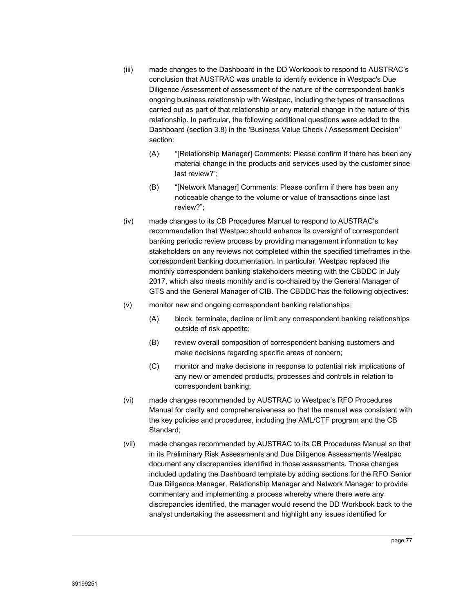- (iii) made changes to the Dashboard in the DD Workbook to respond to AUSTRAC's conclusion that AUSTRAC was unable to identify evidence in Westpac's Due Diligence Assessment of assessment of the nature of the correspondent bank's ongoing business relationship with Westpac, including the types of transactions carried out as part of that relationship or any material change in the nature of this relationship. In particular, the following additional questions were added to the Dashboard (section 3.8) in the 'Business Value Check / Assessment Decision' section:
	- (A) "[Relationship Manager] Comments: Please confirm if there has been any material change in the products and services used by the customer since last review?";
	- (B) "[Network Manager] Comments: Please confirm if there has been any noticeable change to the volume or value of transactions since last review?";
- (iv) made changes to its CB Procedures Manual to respond to AUSTRAC's recommendation that Westpac should enhance its oversight of correspondent banking periodic review process by providing management information to key stakeholders on any reviews not completed within the specified timeframes in the correspondent banking documentation. In particular, Westpac replaced the monthly correspondent banking stakeholders meeting with the CBDDC in July 2017, which also meets monthly and is co-chaired by the General Manager of GTS and the General Manager of CIB. The CBDDC has the following objectives:
- (v) monitor new and ongoing correspondent banking relationships;
	- (A) block, terminate, decline or limit any correspondent banking relationships outside of risk appetite;
	- (B) review overall composition of correspondent banking customers and make decisions regarding specific areas of concern;
	- (C) monitor and make decisions in response to potential risk implications of any new or amended products, processes and controls in relation to correspondent banking;
- (vi) made changes recommended by AUSTRAC to Westpac's RFO Procedures Manual for clarity and comprehensiveness so that the manual was consistent with the key policies and procedures, including the AML/CTF program and the CB Standard;
- (vii) made changes recommended by AUSTRAC to its CB Procedures Manual so that in its Preliminary Risk Assessments and Due Diligence Assessments Westpac document any discrepancies identified in those assessments. Those changes included updating the Dashboard template by adding sections for the RFO Senior Due Diligence Manager, Relationship Manager and Network Manager to provide commentary and implementing a process whereby where there were any discrepancies identified, the manager would resend the DD Workbook back to the analyst undertaking the assessment and highlight any issues identified for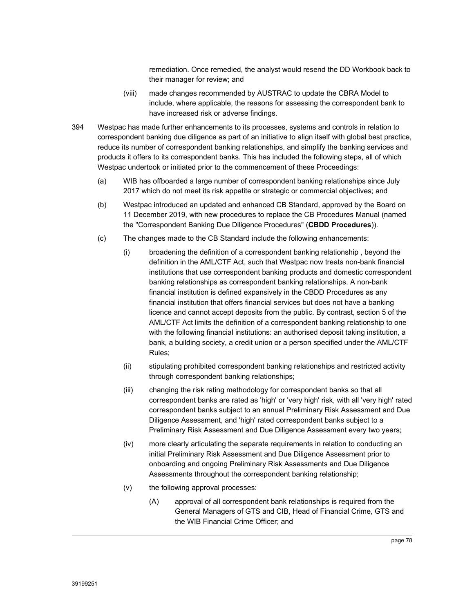remediation. Once remedied, the analyst would resend the DD Workbook back to their manager for review; and

- (viii) made changes recommended by AUSTRAC to update the CBRA Model to include, where applicable, the reasons for assessing the correspondent bank to have increased risk or adverse findings.
- 394 Westpac has made further enhancements to its processes, systems and controls in relation to correspondent banking due diligence as part of an initiative to align itself with global best practice, reduce its number of correspondent banking relationships, and simplify the banking services and products it offers to its correspondent banks. This has included the following steps, all of which Westpac undertook or initiated prior to the commencement of these Proceedings:
	- (a) WIB has offboarded a large number of correspondent banking relationships since July 2017 which do not meet its risk appetite or strategic or commercial objectives; and
	- (b) Westpac introduced an updated and enhanced CB Standard, approved by the Board on 11 December 2019, with new procedures to replace the CB Procedures Manual (named the "Correspondent Banking Due Diligence Procedures" (**CBDD Procedures**)).
	- (c) The changes made to the CB Standard include the following enhancements:
		- (i) broadening the definition of a correspondent banking relationship , beyond the definition in the AML/CTF Act, such that Westpac now treats non-bank financial institutions that use correspondent banking products and domestic correspondent banking relationships as correspondent banking relationships. A non-bank financial institution is defined expansively in the CBDD Procedures as any financial institution that offers financial services but does not have a banking licence and cannot accept deposits from the public. By contrast, section 5 of the AML/CTF Act limits the definition of a correspondent banking relationship to one with the following financial institutions: an authorised deposit taking institution, a bank, a building society, a credit union or a person specified under the AML/CTF Rules;
		- (ii) stipulating prohibited correspondent banking relationships and restricted activity through correspondent banking relationships;
		- (iii) changing the risk rating methodology for correspondent banks so that all correspondent banks are rated as 'high' or 'very high' risk, with all 'very high' rated correspondent banks subject to an annual Preliminary Risk Assessment and Due Diligence Assessment, and 'high' rated correspondent banks subject to a Preliminary Risk Assessment and Due Diligence Assessment every two years;
		- (iv) more clearly articulating the separate requirements in relation to conducting an initial Preliminary Risk Assessment and Due Diligence Assessment prior to onboarding and ongoing Preliminary Risk Assessments and Due Diligence Assessments throughout the correspondent banking relationship;
		- (v) the following approval processes:
			- (A) approval of all correspondent bank relationships is required from the General Managers of GTS and CIB, Head of Financial Crime, GTS and the WIB Financial Crime Officer; and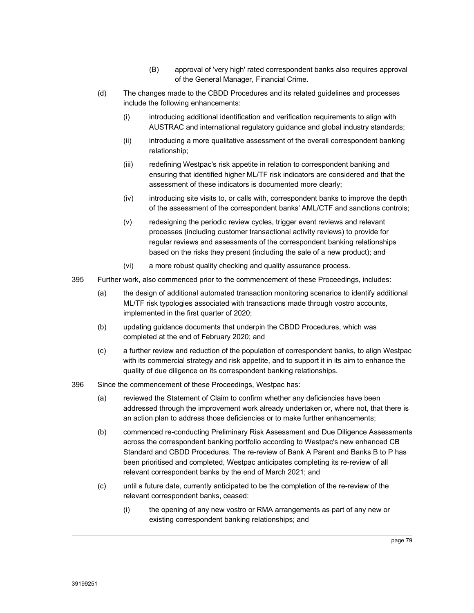- (B) approval of 'very high' rated correspondent banks also requires approval of the General Manager, Financial Crime.
- (d) The changes made to the CBDD Procedures and its related guidelines and processes include the following enhancements:
	- (i) introducing additional identification and verification requirements to align with AUSTRAC and international regulatory guidance and global industry standards;
	- (ii) introducing a more qualitative assessment of the overall correspondent banking relationship;
	- (iii) redefining Westpac's risk appetite in relation to correspondent banking and ensuring that identified higher ML/TF risk indicators are considered and that the assessment of these indicators is documented more clearly;
	- (iv) introducing site visits to, or calls with, correspondent banks to improve the depth of the assessment of the correspondent banks' AML/CTF and sanctions controls;
	- (v) redesigning the periodic review cycles, trigger event reviews and relevant processes (including customer transactional activity reviews) to provide for regular reviews and assessments of the correspondent banking relationships based on the risks they present (including the sale of a new product); and
	- (vi) a more robust quality checking and quality assurance process.
- 395 Further work, also commenced prior to the commencement of these Proceedings, includes:
	- (a) the design of additional automated transaction monitoring scenarios to identify additional ML/TF risk typologies associated with transactions made through vostro accounts, implemented in the first quarter of 2020;
	- (b) updating guidance documents that underpin the CBDD Procedures, which was completed at the end of February 2020; and
	- (c) a further review and reduction of the population of correspondent banks, to align Westpac with its commercial strategy and risk appetite, and to support it in its aim to enhance the quality of due diligence on its correspondent banking relationships.
- 396 Since the commencement of these Proceedings, Westpac has:
	- (a) reviewed the Statement of Claim to confirm whether any deficiencies have been addressed through the improvement work already undertaken or, where not, that there is an action plan to address those deficiencies or to make further enhancements;
	- (b) commenced re-conducting Preliminary Risk Assessment and Due Diligence Assessments across the correspondent banking portfolio according to Westpac's new enhanced CB Standard and CBDD Procedures. The re-review of Bank A Parent and Banks B to P has been prioritised and completed, Westpac anticipates completing its re-review of all relevant correspondent banks by the end of March 2021; and
	- (c) until a future date, currently anticipated to be the completion of the re-review of the relevant correspondent banks, ceased:
		- (i) the opening of any new vostro or RMA arrangements as part of any new or existing correspondent banking relationships; and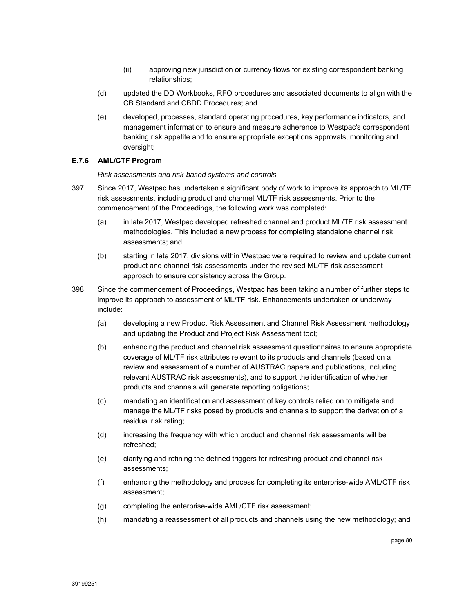- (ii) approving new jurisdiction or currency flows for existing correspondent banking relationships;
- (d) updated the DD Workbooks, RFO procedures and associated documents to align with the CB Standard and CBDD Procedures; and
- (e) developed, processes, standard operating procedures, key performance indicators, and management information to ensure and measure adherence to Westpac's correspondent banking risk appetite and to ensure appropriate exceptions approvals, monitoring and oversight;

## **E.7.6 AML/CTF Program**

#### *Risk assessments and risk-based systems and controls*

- 397 Since 2017, Westpac has undertaken a significant body of work to improve its approach to ML/TF risk assessments, including product and channel ML/TF risk assessments. Prior to the commencement of the Proceedings, the following work was completed:
	- (a) in late 2017, Westpac developed refreshed channel and product ML/TF risk assessment methodologies. This included a new process for completing standalone channel risk assessments; and
	- (b) starting in late 2017, divisions within Westpac were required to review and update current product and channel risk assessments under the revised ML/TF risk assessment approach to ensure consistency across the Group.
- 398 Since the commencement of Proceedings, Westpac has been taking a number of further steps to improve its approach to assessment of ML/TF risk. Enhancements undertaken or underway include:
	- (a) developing a new Product Risk Assessment and Channel Risk Assessment methodology and updating the Product and Project Risk Assessment tool;
	- (b) enhancing the product and channel risk assessment questionnaires to ensure appropriate coverage of ML/TF risk attributes relevant to its products and channels (based on a review and assessment of a number of AUSTRAC papers and publications, including relevant AUSTRAC risk assessments), and to support the identification of whether products and channels will generate reporting obligations;
	- (c) mandating an identification and assessment of key controls relied on to mitigate and manage the ML/TF risks posed by products and channels to support the derivation of a residual risk rating;
	- (d) increasing the frequency with which product and channel risk assessments will be refreshed;
	- (e) clarifying and refining the defined triggers for refreshing product and channel risk assessments;
	- (f) enhancing the methodology and process for completing its enterprise-wide AML/CTF risk assessment;
	- (g) completing the enterprise-wide AML/CTF risk assessment;
	- (h) mandating a reassessment of all products and channels using the new methodology; and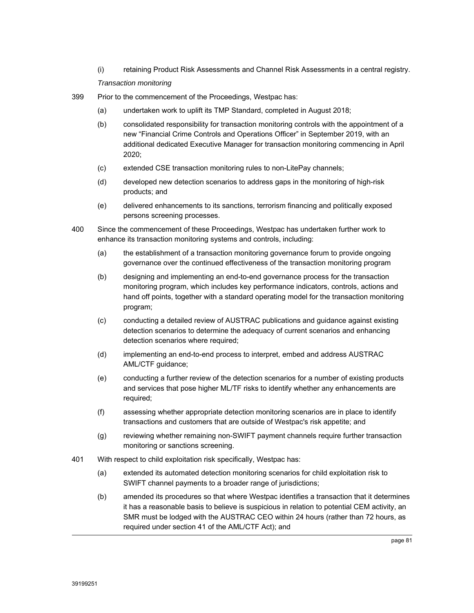(i) retaining Product Risk Assessments and Channel Risk Assessments in a central registry.

### *Transaction monitoring*

- 399 Prior to the commencement of the Proceedings, Westpac has:
	- (a) undertaken work to uplift its TMP Standard, completed in August 2018;
	- (b) consolidated responsibility for transaction monitoring controls with the appointment of a new "Financial Crime Controls and Operations Officer" in September 2019, with an additional dedicated Executive Manager for transaction monitoring commencing in April 2020;
	- (c) extended CSE transaction monitoring rules to non-LitePay channels;
	- (d) developed new detection scenarios to address gaps in the monitoring of high-risk products; and
	- (e) delivered enhancements to its sanctions, terrorism financing and politically exposed persons screening processes.
- 400 Since the commencement of these Proceedings, Westpac has undertaken further work to enhance its transaction monitoring systems and controls, including:
	- (a) the establishment of a transaction monitoring governance forum to provide ongoing governance over the continued effectiveness of the transaction monitoring program
	- (b) designing and implementing an end-to-end governance process for the transaction monitoring program, which includes key performance indicators, controls, actions and hand off points, together with a standard operating model for the transaction monitoring program;
	- (c) conducting a detailed review of AUSTRAC publications and guidance against existing detection scenarios to determine the adequacy of current scenarios and enhancing detection scenarios where required;
	- (d) implementing an end-to-end process to interpret, embed and address AUSTRAC AML/CTF guidance;
	- (e) conducting a further review of the detection scenarios for a number of existing products and services that pose higher ML/TF risks to identify whether any enhancements are required;
	- (f) assessing whether appropriate detection monitoring scenarios are in place to identify transactions and customers that are outside of Westpac's risk appetite; and
	- (g) reviewing whether remaining non-SWIFT payment channels require further transaction monitoring or sanctions screening.
- 401 With respect to child exploitation risk specifically, Westpac has:
	- (a) extended its automated detection monitoring scenarios for child exploitation risk to SWIFT channel payments to a broader range of jurisdictions;
	- (b) amended its procedures so that where Westpac identifies a transaction that it determines it has a reasonable basis to believe is suspicious in relation to potential CEM activity, an SMR must be lodged with the AUSTRAC CEO within 24 hours (rather than 72 hours, as required under section 41 of the AML/CTF Act); and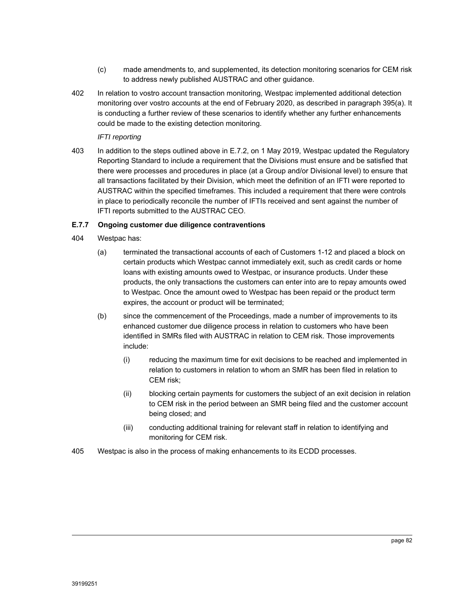- (c) made amendments to, and supplemented, its detection monitoring scenarios for CEM risk to address newly published AUSTRAC and other guidance.
- 402 In relation to vostro account transaction monitoring, Westpac implemented additional detection monitoring over vostro accounts at the end of February 2020, as described in paragraph 395(a). It is conducting a further review of these scenarios to identify whether any further enhancements could be made to the existing detection monitoring.

## *IFTI reporting*

403 In addition to the steps outlined above in E.7.2, on 1 May 2019, Westpac updated the Regulatory Reporting Standard to include a requirement that the Divisions must ensure and be satisfied that there were processes and procedures in place (at a Group and/or Divisional level) to ensure that all transactions facilitated by their Division, which meet the definition of an IFTI were reported to AUSTRAC within the specified timeframes. This included a requirement that there were controls in place to periodically reconcile the number of IFTIs received and sent against the number of IFTI reports submitted to the AUSTRAC CEO.

#### **E.7.7 Ongoing customer due diligence contraventions**

- 404 Westpac has:
	- (a) terminated the transactional accounts of each of Customers 1-12 and placed a block on certain products which Westpac cannot immediately exit, such as credit cards or home loans with existing amounts owed to Westpac, or insurance products. Under these products, the only transactions the customers can enter into are to repay amounts owed to Westpac. Once the amount owed to Westpac has been repaid or the product term expires, the account or product will be terminated;
	- (b) since the commencement of the Proceedings, made a number of improvements to its enhanced customer due diligence process in relation to customers who have been identified in SMRs filed with AUSTRAC in relation to CEM risk. Those improvements include:
		- (i) reducing the maximum time for exit decisions to be reached and implemented in relation to customers in relation to whom an SMR has been filed in relation to CEM risk;
		- (ii) blocking certain payments for customers the subject of an exit decision in relation to CEM risk in the period between an SMR being filed and the customer account being closed; and
		- (iii) conducting additional training for relevant staff in relation to identifying and monitoring for CEM risk.
- 405 Westpac is also in the process of making enhancements to its ECDD processes.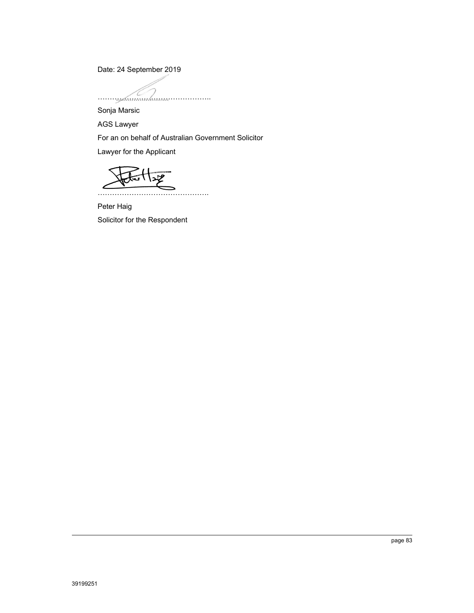Date: 24 September 2019

………………………………………..

Sonja Marsic

AGS Lawyer

For an on behalf of Australian Government Solicitor

Lawyer for the Applicant



Peter Haig

Solicitor for the Respondent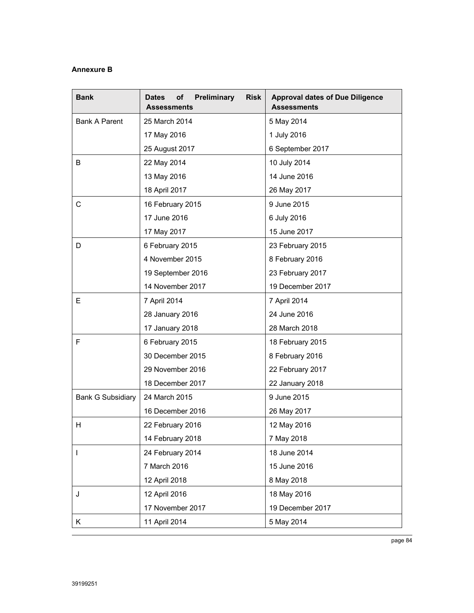## **Annexure B**

| <b>Bank</b>              | Preliminary<br><b>Risk</b><br><b>Dates</b><br>οf<br><b>Assessments</b> | <b>Approval dates of Due Diligence</b><br><b>Assessments</b> |
|--------------------------|------------------------------------------------------------------------|--------------------------------------------------------------|
| <b>Bank A Parent</b>     | 25 March 2014                                                          | 5 May 2014                                                   |
|                          | 17 May 2016                                                            | 1 July 2016                                                  |
|                          | 25 August 2017                                                         | 6 September 2017                                             |
| B                        | 22 May 2014                                                            | 10 July 2014                                                 |
|                          | 13 May 2016                                                            | 14 June 2016                                                 |
|                          | 18 April 2017                                                          | 26 May 2017                                                  |
| $\mathsf{C}$             | 16 February 2015                                                       | 9 June 2015                                                  |
|                          | 17 June 2016                                                           | 6 July 2016                                                  |
|                          | 17 May 2017                                                            | 15 June 2017                                                 |
| D                        | 6 February 2015                                                        | 23 February 2015                                             |
|                          | 4 November 2015                                                        | 8 February 2016                                              |
|                          | 19 September 2016                                                      | 23 February 2017                                             |
|                          | 14 November 2017                                                       | 19 December 2017                                             |
| Е                        | 7 April 2014                                                           | 7 April 2014                                                 |
|                          | 28 January 2016                                                        | 24 June 2016                                                 |
|                          | 17 January 2018                                                        | 28 March 2018                                                |
| F                        | 6 February 2015                                                        | 18 February 2015                                             |
|                          | 30 December 2015                                                       | 8 February 2016                                              |
|                          | 29 November 2016                                                       | 22 February 2017                                             |
|                          | 18 December 2017                                                       | 22 January 2018                                              |
| <b>Bank G Subsidiary</b> | 24 March 2015                                                          | 9 June 2015                                                  |
|                          | 16 December 2016                                                       | 26 May 2017                                                  |
| H.                       | 22 February 2016                                                       | 12 May 2016                                                  |
|                          | 14 February 2018                                                       | 7 May 2018                                                   |
| $\mathbf{I}$             | 24 February 2014                                                       | 18 June 2014                                                 |
|                          | 7 March 2016                                                           | 15 June 2016                                                 |
|                          | 12 April 2018                                                          | 8 May 2018                                                   |
| J                        | 12 April 2016                                                          | 18 May 2016                                                  |
|                          | 17 November 2017                                                       | 19 December 2017                                             |
| Κ                        | 11 April 2014                                                          | 5 May 2014                                                   |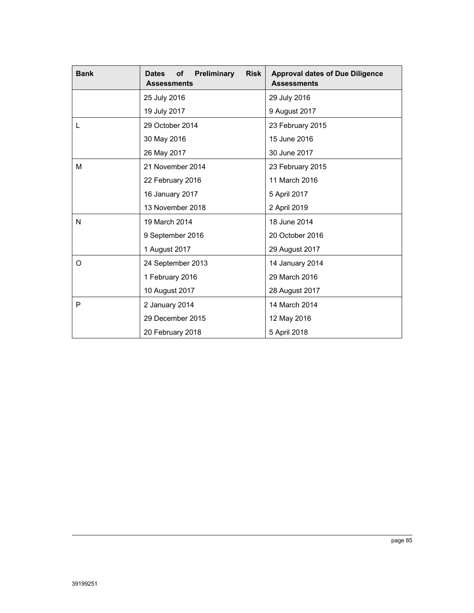| <b>Bank</b> | Preliminary<br><b>Risk</b><br>of<br><b>Dates</b><br><b>Assessments</b> | <b>Approval dates of Due Diligence</b><br><b>Assessments</b> |
|-------------|------------------------------------------------------------------------|--------------------------------------------------------------|
|             | 25 July 2016                                                           | 29 July 2016                                                 |
|             | 19 July 2017                                                           | 9 August 2017                                                |
| L           | 29 October 2014                                                        | 23 February 2015                                             |
|             | 30 May 2016                                                            | 15 June 2016                                                 |
|             | 26 May 2017                                                            | 30 June 2017                                                 |
| М           | 21 November 2014                                                       | 23 February 2015                                             |
|             | 22 February 2016                                                       | 11 March 2016                                                |
|             | 16 January 2017                                                        | 5 April 2017                                                 |
|             | 13 November 2018                                                       | 2 April 2019                                                 |
| N           | 19 March 2014                                                          | 18 June 2014                                                 |
|             | 9 September 2016                                                       | 20 October 2016                                              |
|             | 1 August 2017                                                          | 29 August 2017                                               |
| O           | 24 September 2013                                                      | 14 January 2014                                              |
|             | 1 February 2016                                                        | 29 March 2016                                                |
|             | 10 August 2017                                                         | 28 August 2017                                               |
| P           | 2 January 2014                                                         | 14 March 2014                                                |
|             | 29 December 2015                                                       | 12 May 2016                                                  |
|             | 20 February 2018                                                       | 5 April 2018                                                 |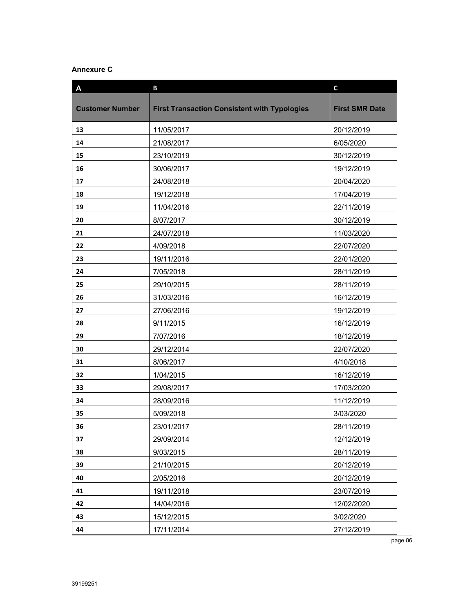# **Annexure C**

| A                      | B                                                   | $\mathsf{C}$          |
|------------------------|-----------------------------------------------------|-----------------------|
| <b>Customer Number</b> | <b>First Transaction Consistent with Typologies</b> | <b>First SMR Date</b> |
| 13                     | 11/05/2017                                          | 20/12/2019            |
| 14                     | 21/08/2017                                          | 6/05/2020             |
| 15                     | 23/10/2019                                          | 30/12/2019            |
| 16                     | 30/06/2017                                          | 19/12/2019            |
| 17                     | 24/08/2018                                          | 20/04/2020            |
| 18                     | 19/12/2018                                          | 17/04/2019            |
| 19                     | 11/04/2016                                          | 22/11/2019            |
| 20                     | 8/07/2017                                           | 30/12/2019            |
| 21                     | 24/07/2018                                          | 11/03/2020            |
| 22                     | 4/09/2018                                           | 22/07/2020            |
| 23                     | 19/11/2016                                          | 22/01/2020            |
| 24                     | 7/05/2018                                           | 28/11/2019            |
| 25                     | 29/10/2015                                          | 28/11/2019            |
| 26                     | 31/03/2016                                          | 16/12/2019            |
| 27                     | 27/06/2016                                          | 19/12/2019            |
| 28                     | 9/11/2015                                           | 16/12/2019            |
| 29                     | 7/07/2016                                           | 18/12/2019            |
| 30                     | 29/12/2014                                          | 22/07/2020            |
| 31                     | 8/06/2017                                           | 4/10/2018             |
| 32                     | 1/04/2015                                           | 16/12/2019            |
| 33                     | 29/08/2017                                          | 17/03/2020            |
| 34                     | 28/09/2016                                          | 11/12/2019            |
| 35                     | 5/09/2018                                           | 3/03/2020             |
| 36                     | 23/01/2017                                          | 28/11/2019            |
| 37                     | 29/09/2014                                          | 12/12/2019            |
| 38                     | 9/03/2015                                           | 28/11/2019            |
| 39                     | 21/10/2015                                          | 20/12/2019            |
| 40                     | 2/05/2016                                           | 20/12/2019            |
| 41                     | 19/11/2018                                          | 23/07/2019            |
| 42                     | 14/04/2016                                          | 12/02/2020            |
| 43                     | 15/12/2015                                          | 3/02/2020             |
| 44                     | 17/11/2014                                          | 27/12/2019            |

page 86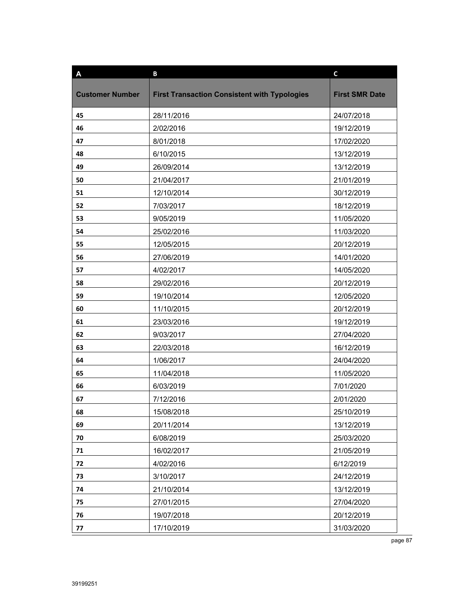| A                      | B                                                   | $\mathbf c$           |
|------------------------|-----------------------------------------------------|-----------------------|
|                        |                                                     |                       |
| <b>Customer Number</b> | <b>First Transaction Consistent with Typologies</b> | <b>First SMR Date</b> |
| 45                     | 28/11/2016                                          | 24/07/2018            |
| 46                     | 2/02/2016                                           | 19/12/2019            |
| 47                     | 8/01/2018                                           | 17/02/2020            |
| 48                     | 6/10/2015                                           | 13/12/2019            |
| 49                     | 26/09/2014                                          | 13/12/2019            |
| 50                     | 21/04/2017                                          | 21/01/2019            |
| 51                     | 12/10/2014                                          | 30/12/2019            |
| 52                     | 7/03/2017                                           | 18/12/2019            |
| 53                     | 9/05/2019                                           | 11/05/2020            |
| 54                     | 25/02/2016                                          | 11/03/2020            |
| 55                     | 12/05/2015                                          | 20/12/2019            |
| 56                     | 27/06/2019                                          | 14/01/2020            |
| 57                     | 4/02/2017                                           | 14/05/2020            |
| 58                     | 29/02/2016                                          | 20/12/2019            |
| 59                     | 19/10/2014                                          | 12/05/2020            |
| 60                     | 11/10/2015                                          | 20/12/2019            |
| 61                     | 23/03/2016                                          | 19/12/2019            |
| 62                     | 9/03/2017                                           | 27/04/2020            |
| 63                     | 22/03/2018                                          | 16/12/2019            |
| 64                     | 1/06/2017                                           | 24/04/2020            |
| 65                     | 11/04/2018                                          | 11/05/2020            |
| 66                     | 6/03/2019                                           | 7/01/2020             |
| 67                     | 7/12/2016                                           | 2/01/2020             |
| 68                     | 15/08/2018                                          | 25/10/2019            |
| 69                     | 20/11/2014                                          | 13/12/2019            |
| 70                     | 6/08/2019                                           | 25/03/2020            |
| 71                     | 16/02/2017                                          | 21/05/2019            |
| 72                     | 4/02/2016                                           | 6/12/2019             |
| 73                     | 3/10/2017                                           | 24/12/2019            |
| 74                     | 21/10/2014                                          | 13/12/2019            |
| 75                     | 27/01/2015                                          | 27/04/2020            |
| 76                     | 19/07/2018                                          | 20/12/2019            |
| 77                     | 17/10/2019                                          | 31/03/2020            |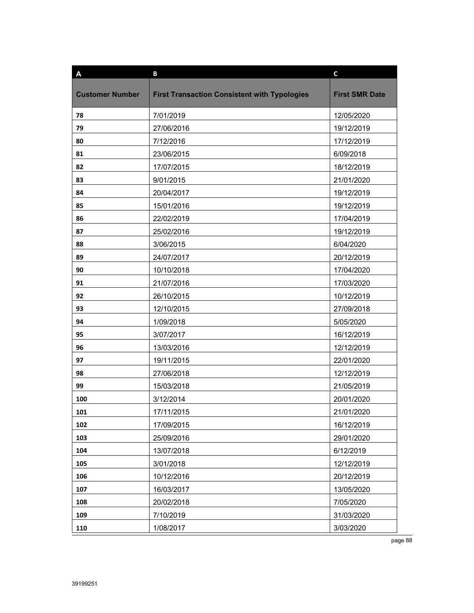| A                      | B                                                   | $\mathbf c$           |
|------------------------|-----------------------------------------------------|-----------------------|
| <b>Customer Number</b> | <b>First Transaction Consistent with Typologies</b> | <b>First SMR Date</b> |
|                        |                                                     |                       |
| 78                     | 7/01/2019                                           | 12/05/2020            |
| 79                     | 27/06/2016                                          | 19/12/2019            |
| 80                     | 7/12/2016                                           | 17/12/2019            |
| 81                     | 23/06/2015                                          | 6/09/2018             |
| 82                     | 17/07/2015                                          | 18/12/2019            |
| 83                     | 9/01/2015                                           | 21/01/2020            |
| 84                     | 20/04/2017                                          | 19/12/2019            |
| 85                     | 15/01/2016                                          | 19/12/2019            |
| 86                     | 22/02/2019                                          | 17/04/2019            |
| 87                     | 25/02/2016                                          | 19/12/2019            |
| 88                     | 3/06/2015                                           | 6/04/2020             |
| 89                     | 24/07/2017                                          | 20/12/2019            |
| 90                     | 10/10/2018                                          | 17/04/2020            |
| 91                     | 21/07/2016                                          | 17/03/2020            |
| 92                     | 26/10/2015                                          | 10/12/2019            |
| 93                     | 12/10/2015                                          | 27/09/2018            |
| 94                     | 1/09/2018                                           | 5/05/2020             |
| 95                     | 3/07/2017                                           | 16/12/2019            |
| 96                     | 13/03/2016                                          | 12/12/2019            |
| 97                     | 19/11/2015                                          | 22/01/2020            |
| 98                     | 27/06/2018                                          | 12/12/2019            |
| 99                     | 15/03/2018                                          | 21/05/2019            |
| 100                    | 3/12/2014                                           | 20/01/2020            |
| 101                    | 17/11/2015                                          | 21/01/2020            |
| 102                    | 17/09/2015                                          | 16/12/2019            |
| 103                    | 25/09/2016                                          | 29/01/2020            |
| 104                    | 13/07/2018                                          | 6/12/2019             |
| 105                    | 3/01/2018                                           | 12/12/2019            |
| 106                    | 10/12/2016                                          | 20/12/2019            |
| 107                    | 16/03/2017                                          | 13/05/2020            |
| 108                    | 20/02/2018                                          | 7/05/2020             |
| 109                    | 7/10/2019                                           | 31/03/2020            |
| 110                    | 1/08/2017                                           | 3/03/2020             |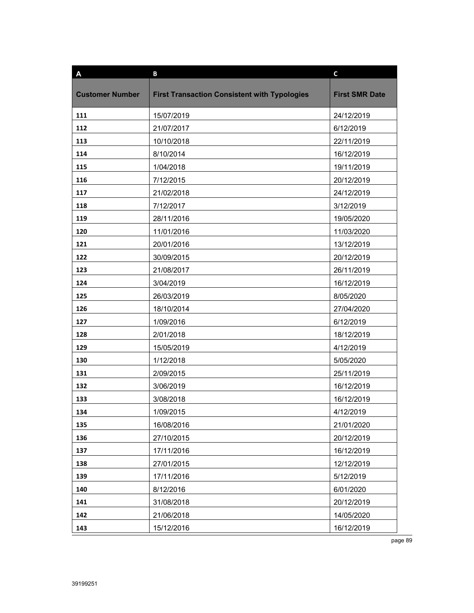| A                      | B                                                   | $\mathbf c$           |
|------------------------|-----------------------------------------------------|-----------------------|
|                        |                                                     |                       |
| <b>Customer Number</b> | <b>First Transaction Consistent with Typologies</b> | <b>First SMR Date</b> |
| 111                    | 15/07/2019                                          | 24/12/2019            |
| 112                    | 21/07/2017                                          | 6/12/2019             |
| 113                    | 10/10/2018                                          | 22/11/2019            |
| 114                    | 8/10/2014                                           | 16/12/2019            |
| 115                    | 1/04/2018                                           | 19/11/2019            |
| 116                    | 7/12/2015                                           | 20/12/2019            |
| 117                    | 21/02/2018                                          | 24/12/2019            |
| 118                    | 7/12/2017                                           | 3/12/2019             |
| 119                    | 28/11/2016                                          | 19/05/2020            |
| 120                    | 11/01/2016                                          | 11/03/2020            |
| 121                    | 20/01/2016                                          | 13/12/2019            |
| 122                    | 30/09/2015                                          | 20/12/2019            |
| 123                    | 21/08/2017                                          | 26/11/2019            |
| 124                    | 3/04/2019                                           | 16/12/2019            |
| 125                    | 26/03/2019                                          | 8/05/2020             |
| 126                    | 18/10/2014                                          | 27/04/2020            |
| 127                    | 1/09/2016                                           | 6/12/2019             |
| 128                    | 2/01/2018                                           | 18/12/2019            |
| 129                    | 15/05/2019                                          | 4/12/2019             |
| 130                    | 1/12/2018                                           | 5/05/2020             |
| 131                    | 2/09/2015                                           | 25/11/2019            |
| 132                    | 3/06/2019                                           | 16/12/2019            |
| 133                    | 3/08/2018                                           | 16/12/2019            |
| 134                    | 1/09/2015                                           | 4/12/2019             |
| 135                    | 16/08/2016                                          | 21/01/2020            |
| 136                    | 27/10/2015                                          | 20/12/2019            |
| 137                    | 17/11/2016                                          | 16/12/2019            |
| 138                    | 27/01/2015                                          | 12/12/2019            |
| 139                    | 17/11/2016                                          | 5/12/2019             |
| 140                    | 8/12/2016                                           | 6/01/2020             |
| 141                    | 31/08/2018                                          | 20/12/2019            |
| 142                    | 21/06/2018                                          | 14/05/2020            |
| 143                    | 15/12/2016                                          | 16/12/2019            |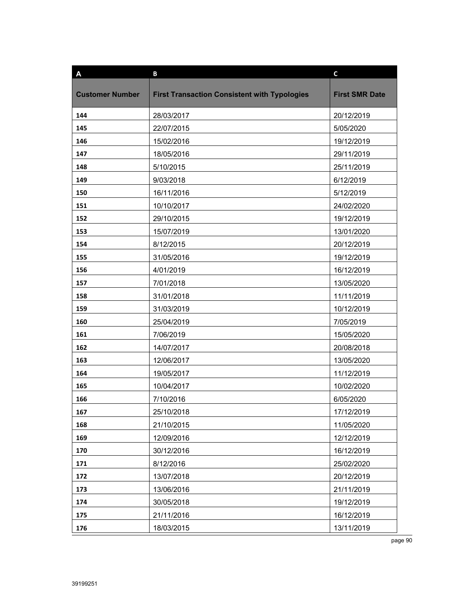| A                      | B                                                   | $\mathbf c$           |
|------------------------|-----------------------------------------------------|-----------------------|
| <b>Customer Number</b> | <b>First Transaction Consistent with Typologies</b> | <b>First SMR Date</b> |
|                        |                                                     |                       |
| 144                    | 28/03/2017                                          | 20/12/2019            |
| 145                    | 22/07/2015                                          | 5/05/2020             |
| 146                    | 15/02/2016                                          | 19/12/2019            |
| 147                    | 18/05/2016                                          | 29/11/2019            |
| 148                    | 5/10/2015                                           | 25/11/2019            |
| 149                    | 9/03/2018                                           | 6/12/2019             |
| 150                    | 16/11/2016                                          | 5/12/2019             |
| 151                    | 10/10/2017                                          | 24/02/2020            |
| 152                    | 29/10/2015                                          | 19/12/2019            |
| 153                    | 15/07/2019                                          | 13/01/2020            |
| 154                    | 8/12/2015                                           | 20/12/2019            |
| 155                    | 31/05/2016                                          | 19/12/2019            |
| 156                    | 4/01/2019                                           | 16/12/2019            |
| 157                    | 7/01/2018                                           | 13/05/2020            |
| 158                    | 31/01/2018                                          | 11/11/2019            |
| 159                    | 31/03/2019                                          | 10/12/2019            |
| 160                    | 25/04/2019                                          | 7/05/2019             |
| 161                    | 7/06/2019                                           | 15/05/2020            |
| 162                    | 14/07/2017                                          | 20/08/2018            |
| 163                    | 12/06/2017                                          | 13/05/2020            |
| 164                    | 19/05/2017                                          | 11/12/2019            |
| 165                    | 10/04/2017                                          | 10/02/2020            |
| 166                    | 7/10/2016                                           | 6/05/2020             |
| 167                    | 25/10/2018                                          | 17/12/2019            |
| 168                    | 21/10/2015                                          | 11/05/2020            |
| 169                    | 12/09/2016                                          | 12/12/2019            |
| 170                    | 30/12/2016                                          | 16/12/2019            |
| 171                    | 8/12/2016                                           | 25/02/2020            |
| 172                    | 13/07/2018                                          | 20/12/2019            |
| 173                    | 13/06/2016                                          | 21/11/2019            |
| 174                    | 30/05/2018                                          | 19/12/2019            |
| 175                    | 21/11/2016                                          | 16/12/2019            |
| 176                    | 18/03/2015                                          | 13/11/2019            |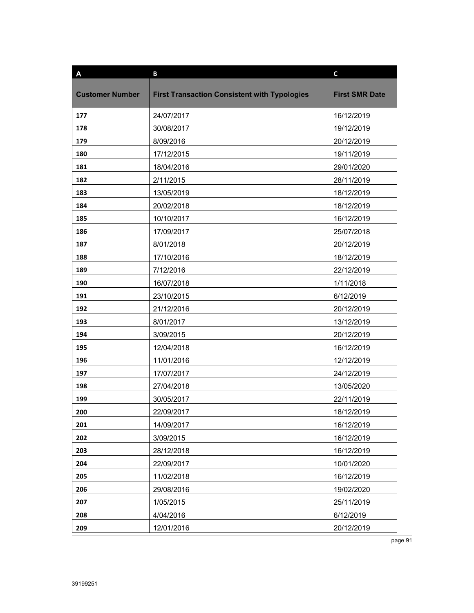| A                      | B                                                   | $\mathbf c$           |
|------------------------|-----------------------------------------------------|-----------------------|
|                        |                                                     |                       |
| <b>Customer Number</b> | <b>First Transaction Consistent with Typologies</b> | <b>First SMR Date</b> |
| 177                    | 24/07/2017                                          | 16/12/2019            |
| 178                    | 30/08/2017                                          | 19/12/2019            |
| 179                    | 8/09/2016                                           | 20/12/2019            |
| 180                    | 17/12/2015                                          | 19/11/2019            |
| 181                    | 18/04/2016                                          | 29/01/2020            |
| 182                    | 2/11/2015                                           | 28/11/2019            |
| 183                    | 13/05/2019                                          | 18/12/2019            |
| 184                    | 20/02/2018                                          | 18/12/2019            |
| 185                    | 10/10/2017                                          | 16/12/2019            |
| 186                    | 17/09/2017                                          | 25/07/2018            |
| 187                    | 8/01/2018                                           | 20/12/2019            |
| 188                    | 17/10/2016                                          | 18/12/2019            |
| 189                    | 7/12/2016                                           | 22/12/2019            |
| 190                    | 16/07/2018                                          | 1/11/2018             |
| 191                    | 23/10/2015                                          | 6/12/2019             |
| 192                    | 21/12/2016                                          | 20/12/2019            |
| 193                    | 8/01/2017                                           | 13/12/2019            |
| 194                    | 3/09/2015                                           | 20/12/2019            |
| 195                    | 12/04/2018                                          | 16/12/2019            |
| 196                    | 11/01/2016                                          | 12/12/2019            |
| 197                    | 17/07/2017                                          | 24/12/2019            |
| 198                    | 27/04/2018                                          | 13/05/2020            |
| 199                    | 30/05/2017                                          | 22/11/2019            |
| 200                    | 22/09/2017                                          | 18/12/2019            |
| 201                    | 14/09/2017                                          | 16/12/2019            |
| 202                    | 3/09/2015                                           | 16/12/2019            |
| 203                    | 28/12/2018                                          | 16/12/2019            |
| 204                    | 22/09/2017                                          | 10/01/2020            |
| 205                    | 11/02/2018                                          | 16/12/2019            |
| 206                    | 29/08/2016                                          | 19/02/2020            |
| 207                    | 1/05/2015                                           | 25/11/2019            |
| 208                    | 4/04/2016                                           | 6/12/2019             |
| 209                    | 12/01/2016                                          | 20/12/2019            |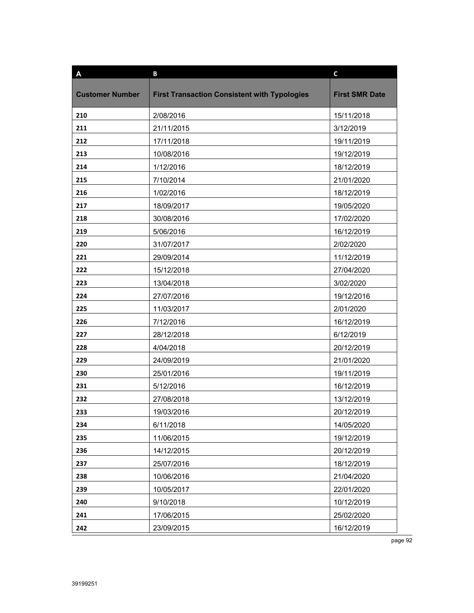| A                      | B                                                   | $\mathbf c$           |
|------------------------|-----------------------------------------------------|-----------------------|
| <b>Customer Number</b> | <b>First Transaction Consistent with Typologies</b> | <b>First SMR Date</b> |
|                        |                                                     |                       |
| 210                    | 2/08/2016                                           | 15/11/2018            |
| 211                    | 21/11/2015                                          | 3/12/2019             |
| 212                    | 17/11/2018                                          | 19/11/2019            |
| 213                    | 10/08/2016                                          | 19/12/2019            |
| 214                    | 1/12/2016                                           | 18/12/2019            |
| 215                    | 7/10/2014                                           | 21/01/2020            |
| 216                    | 1/02/2016                                           | 18/12/2019            |
| 217                    | 18/09/2017                                          | 19/05/2020            |
| 218                    | 30/08/2016                                          | 17/02/2020            |
| 219                    | 5/06/2016                                           | 16/12/2019            |
| 220                    | 31/07/2017                                          | 2/02/2020             |
| 221                    | 29/09/2014                                          | 11/12/2019            |
| 222                    | 15/12/2018                                          | 27/04/2020            |
| 223                    | 13/04/2018                                          | 3/02/2020             |
| 224                    | 27/07/2016                                          | 19/12/2016            |
| 225                    | 11/03/2017                                          | 2/01/2020             |
| 226                    | 7/12/2016                                           | 16/12/2019            |
| 227                    | 28/12/2018                                          | 6/12/2019             |
| 228                    | 4/04/2018                                           | 20/12/2019            |
| 229                    | 24/09/2019                                          | 21/01/2020            |
| 230                    | 25/01/2016                                          | 19/11/2019            |
| 231                    | 5/12/2016                                           | 16/12/2019            |
| 232                    | 27/08/2018                                          | 13/12/2019            |
| 233                    | 19/03/2016                                          | 20/12/2019            |
| 234                    | 6/11/2018                                           | 14/05/2020            |
| 235                    | 11/06/2015                                          | 19/12/2019            |
| 236                    | 14/12/2015                                          | 20/12/2019            |
| 237                    | 25/07/2016                                          | 18/12/2019            |
| 238                    | 10/06/2016                                          | 21/04/2020            |
| 239                    | 10/05/2017                                          | 22/01/2020            |
| 240                    | 9/10/2018                                           | 10/12/2019            |
| 241                    | 17/06/2015                                          | 25/02/2020            |
| 242                    | 23/09/2015                                          | 16/12/2019            |